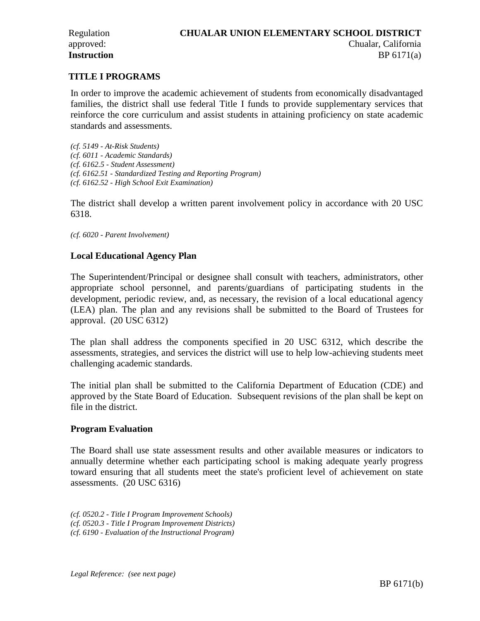Chualar, California

BP 6171(a)

# **TITLE I PROGRAMS**

In order to improve the academic achievement of students from economically disadvantaged families, the district shall use federal Title I funds to provide supplementary services that reinforce the core curriculum and assist students in attaining proficiency on state academic standards and assessments.

*(cf. 5149 - At-Risk Students) (cf. 6011 - Academic Standards) (cf. 6162.5 - Student Assessment) (cf. 6162.51 - Standardized Testing and Reporting Program) (cf. 6162.52 - High School Exit Examination)* 

The district shall develop a written parent involvement policy in accordance with 20 USC 6318.

*(cf. 6020 - Parent Involvement)* 

### **Local Educational Agency Plan**

The Superintendent/Principal or designee shall consult with teachers, administrators, other appropriate school personnel, and parents/guardians of participating students in the development, periodic review, and, as necessary, the revision of a local educational agency (LEA) plan. The plan and any revisions shall be submitted to the Board of Trustees for approval. (20 USC 6312)

The plan shall address the components specified in 20 USC 6312, which describe the assessments, strategies, and services the district will use to help low-achieving students meet challenging academic standards.

The initial plan shall be submitted to the California Department of Education (CDE) and approved by the State Board of Education. Subsequent revisions of the plan shall be kept on file in the district.

#### **Program Evaluation**

The Board shall use state assessment results and other available measures or indicators to annually determine whether each participating school is making adequate yearly progress toward ensuring that all students meet the state's proficient level of achievement on state assessments. (20 USC 6316)

*(cf. 0520.2 - Title I Program Improvement Schools) (cf. 0520.3 - Title I Program Improvement Districts) (cf. 6190 - Evaluation of the Instructional Program)*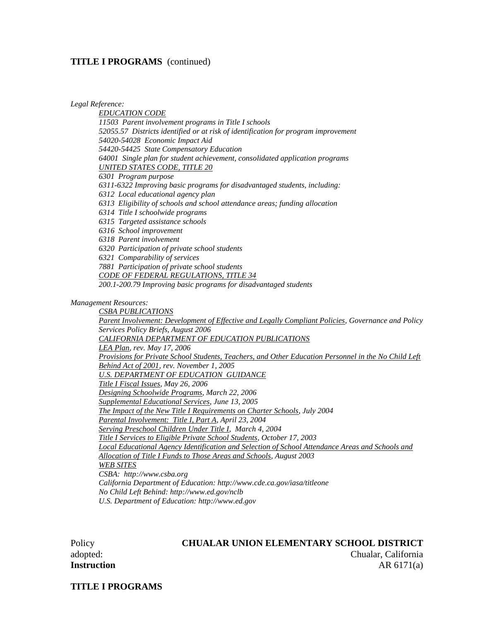#### **TITLE I PROGRAMS** (continued)

*Legal Reference:* 

*EDUCATION CODE 11503 Parent involvement programs in Title I schools 52055.57 Districts identified or at risk of identification for program improvement 54020-54028 Economic Impact Aid 54420-54425 State Compensatory Education 64001 Single plan for student achievement, consolidated application programs UNITED STATES CODE, TITLE 20 6301 Program purpose 6311-6322 Improving basic programs for disadvantaged students, including: 6312 Local educational agency plan 6313 Eligibility of schools and school attendance areas; funding allocation 6314 Title I schoolwide programs 6315 Targeted assistance schools 6316 School improvement 6318 Parent involvement 6320 Participation of private school students 6321 Comparability of services 7881 Participation of private school students CODE OF FEDERAL REGULATIONS, TITLE 34 200.1-200.79 Improving basic programs for disadvantaged students Management Resources: CSBA PUBLICATIONS Parent Involvement: Development of Effective and Legally Compliant Policies, Governance and Policy Services Policy Briefs, August 2006 CALIFORNIA DEPARTMENT OF EDUCATION PUBLICATIONS LEA Plan, rev. May 17, 2006 Provisions for Private School Students, Teachers, and Other Education Personnel in the No Child Left Behind Act of 2001, rev. November 1, 2005 U.S. DEPARTMENT OF EDUCATION GUIDANCE Title I Fiscal Issues, May 26, 2006 Designing Schoolwide Programs, March 22, 2006 Supplemental Educational Services, June 13, 2005 The Impact of the New Title I Requirements on Charter Schools, July 2004 Parental Involvement: Title I, Part A, April 23, 2004 Serving Preschool Children Under Title I, March 4, 2004 Title I Services to Eligible Private School Students, October 17, 2003 Local Educational Agency Identification and Selection of School Attendance Areas and Schools and Allocation of Title I Funds to Those Areas and Schools, August 2003 WEB SITES CSBA: http://www.csba.org California Department of Education: http://www.cde.ca.gov/iasa/titleone No Child Left Behind: http://www.ed.gov/nclb U.S. Department of Education: http://www.ed.gov* 

# Policy **CHUALAR UNION ELEMENTARY SCHOOL DISTRICT**

adopted: Chualar, California **Instruction** AR 6171(a)

**TITLE I PROGRAMS**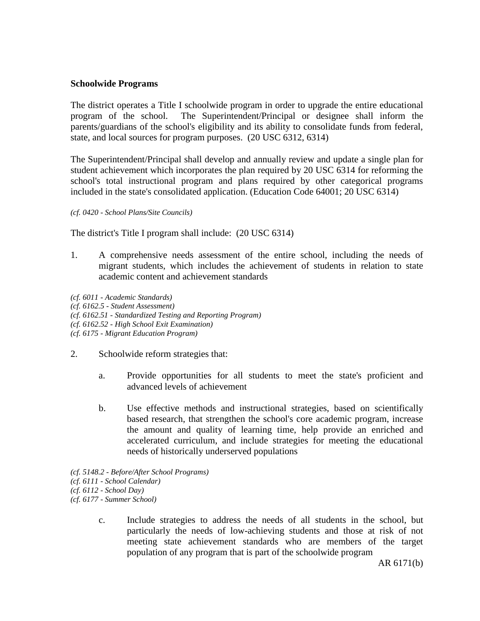### **Schoolwide Programs**

The district operates a Title I schoolwide program in order to upgrade the entire educational program of the school. The Superintendent/Principal or designee shall inform the parents/guardians of the school's eligibility and its ability to consolidate funds from federal, state, and local sources for program purposes. (20 USC 6312, 6314)

The Superintendent/Principal shall develop and annually review and update a single plan for student achievement which incorporates the plan required by 20 USC 6314 for reforming the school's total instructional program and plans required by other categorical programs included in the state's consolidated application. (Education Code 64001; 20 USC 6314)

*(cf. 0420 - School Plans/Site Councils)*

The district's Title I program shall include: (20 USC 6314)

1. A comprehensive needs assessment of the entire school, including the needs of migrant students, which includes the achievement of students in relation to state academic content and achievement standards

*(cf. 6011 - Academic Standards) (cf. 6162.5 - Student Assessment) (cf. 6162.51 - Standardized Testing and Reporting Program) (cf. 6162.52 - High School Exit Examination) (cf. 6175 - Migrant Education Program)*

- 2. Schoolwide reform strategies that:
	- a. Provide opportunities for all students to meet the state's proficient and advanced levels of achievement
	- b. Use effective methods and instructional strategies, based on scientifically based research, that strengthen the school's core academic program, increase the amount and quality of learning time, help provide an enriched and accelerated curriculum, and include strategies for meeting the educational needs of historically underserved populations
- *(cf. 5148.2 - Before/After School Programs) (cf. 6111 - School Calendar) (cf. 6112 - School Day) (cf. 6177 - Summer School)*
	- c. Include strategies to address the needs of all students in the school, but particularly the needs of low-achieving students and those at risk of not meeting state achievement standards who are members of the target population of any program that is part of the schoolwide program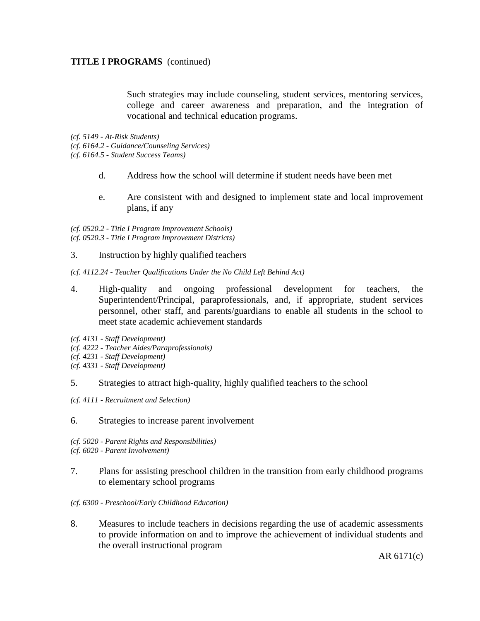### **TITLE I PROGRAMS** (continued)

Such strategies may include counseling, student services, mentoring services, college and career awareness and preparation, and the integration of vocational and technical education programs.

*(cf. 5149 - At-Risk Students) (cf. 6164.2 - Guidance/Counseling Services) (cf. 6164.5 - Student Success Teams)* 

- d. Address how the school will determine if student needs have been met
- e. Are consistent with and designed to implement state and local improvement plans, if any

*(cf. 0520.2 - Title I Program Improvement Schools) (cf. 0520.3 - Title I Program Improvement Districts)* 

- 3. Instruction by highly qualified teachers
- *(cf. 4112.24 Teacher Qualifications Under the No Child Left Behind Act)*
- 4. High-quality and ongoing professional development for teachers, the Superintendent/Principal, paraprofessionals, and, if appropriate, student services personnel, other staff, and parents/guardians to enable all students in the school to meet state academic achievement standards
- *(cf. 4131 Staff Development)*
- *(cf. 4222 Teacher Aides/Paraprofessionals)*
- *(cf. 4231 Staff Development)*
- *(cf. 4331 Staff Development)*

#### 5. Strategies to attract high-quality, highly qualified teachers to the school

- *(cf. 4111 Recruitment and Selection)*
- 6. Strategies to increase parent involvement
- *(cf. 5020 Parent Rights and Responsibilities)*
- *(cf. 6020 Parent Involvement)*
- 7. Plans for assisting preschool children in the transition from early childhood programs to elementary school programs
- *(cf. 6300 Preschool/Early Childhood Education)*
- 8. Measures to include teachers in decisions regarding the use of academic assessments to provide information on and to improve the achievement of individual students and the overall instructional program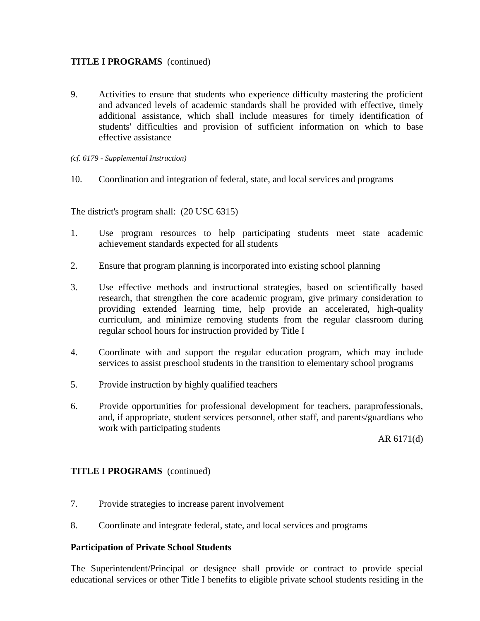# **TITLE I PROGRAMS** (continued)

- 9. Activities to ensure that students who experience difficulty mastering the proficient and advanced levels of academic standards shall be provided with effective, timely additional assistance, which shall include measures for timely identification of students' difficulties and provision of sufficient information on which to base effective assistance
- *(cf. 6179 - Supplemental Instruction)*
- 10. Coordination and integration of federal, state, and local services and programs

The district's program shall: (20 USC 6315)

- 1. Use program resources to help participating students meet state academic achievement standards expected for all students
- 2. Ensure that program planning is incorporated into existing school planning
- 3. Use effective methods and instructional strategies, based on scientifically based research, that strengthen the core academic program, give primary consideration to providing extended learning time, help provide an accelerated, high-quality curriculum, and minimize removing students from the regular classroom during regular school hours for instruction provided by Title I
- 4. Coordinate with and support the regular education program, which may include services to assist preschool students in the transition to elementary school programs
- 5. Provide instruction by highly qualified teachers
- 6. Provide opportunities for professional development for teachers, paraprofessionals, and, if appropriate, student services personnel, other staff, and parents/guardians who work with participating students

AR 6171(d)

# **TITLE I PROGRAMS** (continued)

- 7. Provide strategies to increase parent involvement
- 8. Coordinate and integrate federal, state, and local services and programs

### **Participation of Private School Students**

The Superintendent/Principal or designee shall provide or contract to provide special educational services or other Title I benefits to eligible private school students residing in the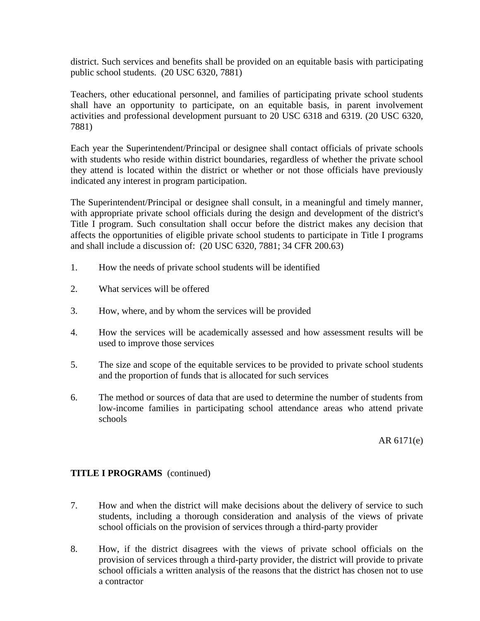district. Such services and benefits shall be provided on an equitable basis with participating public school students. (20 USC 6320, 7881)

Teachers, other educational personnel, and families of participating private school students shall have an opportunity to participate, on an equitable basis, in parent involvement activities and professional development pursuant to 20 USC 6318 and 6319. (20 USC 6320, 7881)

Each year the Superintendent/Principal or designee shall contact officials of private schools with students who reside within district boundaries, regardless of whether the private school they attend is located within the district or whether or not those officials have previously indicated any interest in program participation.

The Superintendent/Principal or designee shall consult, in a meaningful and timely manner, with appropriate private school officials during the design and development of the district's Title I program. Such consultation shall occur before the district makes any decision that affects the opportunities of eligible private school students to participate in Title I programs and shall include a discussion of: (20 USC 6320, 7881; 34 CFR 200.63)

- 1. How the needs of private school students will be identified
- 2. What services will be offered
- 3. How, where, and by whom the services will be provided
- 4. How the services will be academically assessed and how assessment results will be used to improve those services
- 5. The size and scope of the equitable services to be provided to private school students and the proportion of funds that is allocated for such services
- 6. The method or sources of data that are used to determine the number of students from low-income families in participating school attendance areas who attend private schools

AR 6171(e)

### **TITLE I PROGRAMS** (continued)

- 7. How and when the district will make decisions about the delivery of service to such students, including a thorough consideration and analysis of the views of private school officials on the provision of services through a third-party provider
- 8. How, if the district disagrees with the views of private school officials on the provision of services through a third-party provider, the district will provide to private school officials a written analysis of the reasons that the district has chosen not to use a contractor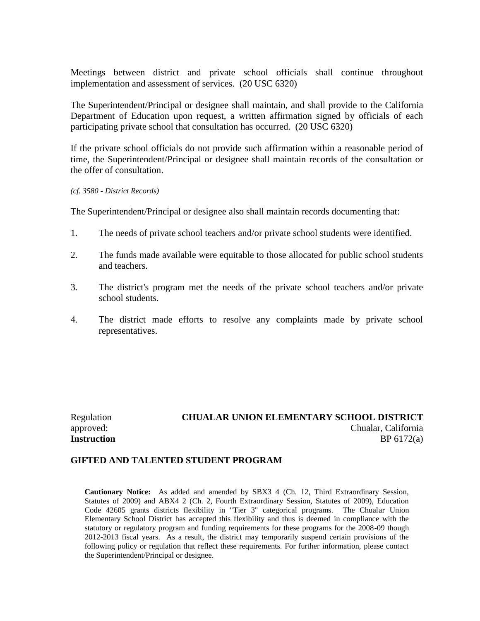Meetings between district and private school officials shall continue throughout implementation and assessment of services. (20 USC 6320)

The Superintendent/Principal or designee shall maintain, and shall provide to the California Department of Education upon request, a written affirmation signed by officials of each participating private school that consultation has occurred. (20 USC 6320)

If the private school officials do not provide such affirmation within a reasonable period of time, the Superintendent/Principal or designee shall maintain records of the consultation or the offer of consultation.

#### *(cf. 3580 - District Records)*

The Superintendent/Principal or designee also shall maintain records documenting that:

- 1. The needs of private school teachers and/or private school students were identified.
- 2. The funds made available were equitable to those allocated for public school students and teachers.
- 3. The district's program met the needs of the private school teachers and/or private school students.
- 4. The district made efforts to resolve any complaints made by private school representatives.

Regulation **CHUALAR UNION ELEMENTARY SCHOOL DISTRICT** approved: Chualar, California **Instruction** BP 6172(a)

#### **GIFTED AND TALENTED STUDENT PROGRAM**

**Cautionary Notice:** As added and amended by SBX3 4 (Ch. 12, Third Extraordinary Session, Statutes of 2009) and ABX4 2 (Ch. 2, Fourth Extraordinary Session, Statutes of 2009), Education Code 42605 grants districts flexibility in "Tier 3" categorical programs. The Chualar Union Elementary School District has accepted this flexibility and thus is deemed in compliance with the statutory or regulatory program and funding requirements for these programs for the 2008-09 though 2012-2013 fiscal years. As a result, the district may temporarily suspend certain provisions of the following policy or regulation that reflect these requirements. For further information, please contact the Superintendent/Principal or designee.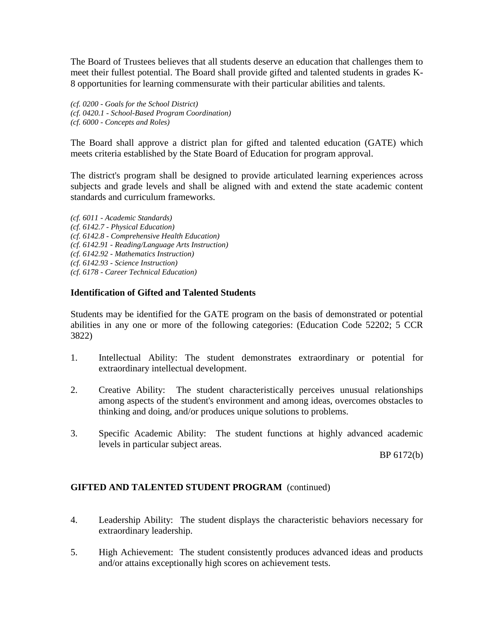The Board of Trustees believes that all students deserve an education that challenges them to meet their fullest potential. The Board shall provide gifted and talented students in grades K-8 opportunities for learning commensurate with their particular abilities and talents.

*(cf. 0200 - Goals for the School District) (cf. 0420.1 - School-Based Program Coordination) (cf. 6000 - Concepts and Roles)*

The Board shall approve a district plan for gifted and talented education (GATE) which meets criteria established by the State Board of Education for program approval.

The district's program shall be designed to provide articulated learning experiences across subjects and grade levels and shall be aligned with and extend the state academic content standards and curriculum frameworks.

*(cf. 6011 - Academic Standards) (cf. 6142.7 - Physical Education) (cf. 6142.8 - Comprehensive Health Education) (cf. 6142.91 - Reading/Language Arts Instruction) (cf. 6142.92 - Mathematics Instruction) (cf. 6142.93 - Science Instruction) (cf. 6178 - Career Technical Education)*

# **Identification of Gifted and Talented Students**

Students may be identified for the GATE program on the basis of demonstrated or potential abilities in any one or more of the following categories: (Education Code 52202; 5 CCR 3822)

- 1. Intellectual Ability: The student demonstrates extraordinary or potential for extraordinary intellectual development.
- 2. Creative Ability: The student characteristically perceives unusual relationships among aspects of the student's environment and among ideas, overcomes obstacles to thinking and doing, and/or produces unique solutions to problems.
- 3. Specific Academic Ability: The student functions at highly advanced academic levels in particular subject areas.

BP 6172(b)

# **GIFTED AND TALENTED STUDENT PROGRAM** (continued)

- 4. Leadership Ability: The student displays the characteristic behaviors necessary for extraordinary leadership.
- 5. High Achievement: The student consistently produces advanced ideas and products and/or attains exceptionally high scores on achievement tests.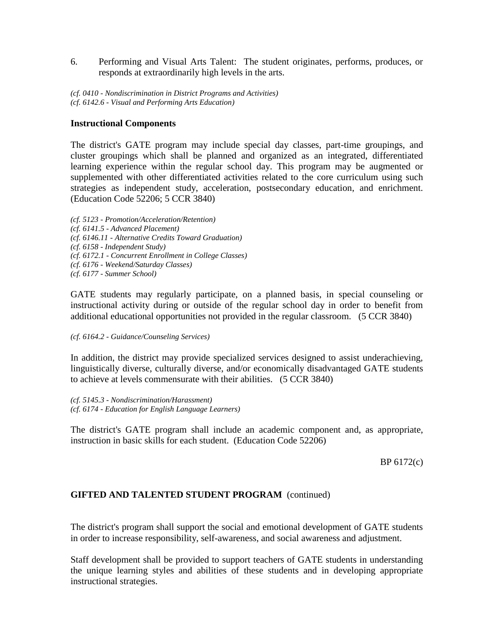6. Performing and Visual Arts Talent: The student originates, performs, produces, or responds at extraordinarily high levels in the arts.

*(cf. 0410 - Nondiscrimination in District Programs and Activities) (cf. 6142.6 - Visual and Performing Arts Education)*

### **Instructional Components**

The district's GATE program may include special day classes, part-time groupings, and cluster groupings which shall be planned and organized as an integrated, differentiated learning experience within the regular school day. This program may be augmented or supplemented with other differentiated activities related to the core curriculum using such strategies as independent study, acceleration, postsecondary education, and enrichment. (Education Code 52206; 5 CCR 3840)

*(cf. 5123 - Promotion/Acceleration/Retention) (cf. 6141.5 - Advanced Placement) (cf. 6146.11 - Alternative Credits Toward Graduation) (cf. 6158 - Independent Study) (cf. 6172.1 - Concurrent Enrollment in College Classes) (cf. 6176 - Weekend/Saturday Classes) (cf. 6177 - Summer School)*

GATE students may regularly participate, on a planned basis, in special counseling or instructional activity during or outside of the regular school day in order to benefit from additional educational opportunities not provided in the regular classroom. (5 CCR 3840)

*(cf. 6164.2 - Guidance/Counseling Services)*

In addition, the district may provide specialized services designed to assist underachieving, linguistically diverse, culturally diverse, and/or economically disadvantaged GATE students to achieve at levels commensurate with their abilities. (5 CCR 3840)

*(cf. 5145.3 - Nondiscrimination/Harassment) (cf. 6174 - Education for English Language Learners)*

The district's GATE program shall include an academic component and, as appropriate, instruction in basic skills for each student. (Education Code 52206)

BP 6172(c)

### **GIFTED AND TALENTED STUDENT PROGRAM** (continued)

The district's program shall support the social and emotional development of GATE students in order to increase responsibility, self-awareness, and social awareness and adjustment.

Staff development shall be provided to support teachers of GATE students in understanding the unique learning styles and abilities of these students and in developing appropriate instructional strategies.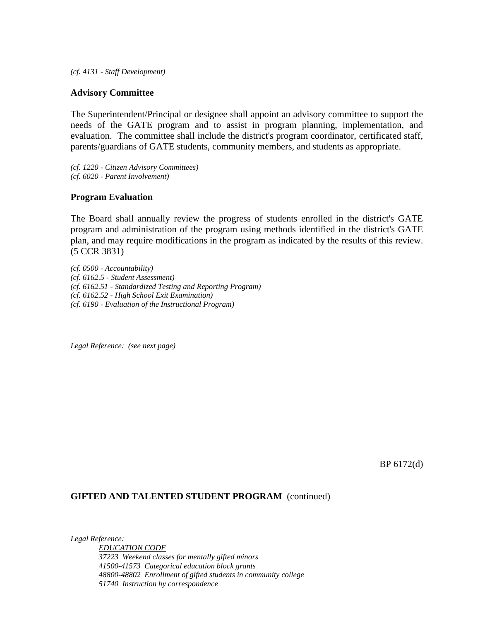*(cf. 4131 - Staff Development)*

#### **Advisory Committee**

The Superintendent/Principal or designee shall appoint an advisory committee to support the needs of the GATE program and to assist in program planning, implementation, and evaluation. The committee shall include the district's program coordinator, certificated staff, parents/guardians of GATE students, community members, and students as appropriate.

*(cf. 1220 - Citizen Advisory Committees) (cf. 6020 - Parent Involvement)*

#### **Program Evaluation**

The Board shall annually review the progress of students enrolled in the district's GATE program and administration of the program using methods identified in the district's GATE plan, and may require modifications in the program as indicated by the results of this review. (5 CCR 3831)

*(cf. 0500 - Accountability) (cf. 6162.5 - Student Assessment) (cf. 6162.51 - Standardized Testing and Reporting Program) (cf. 6162.52 - High School Exit Examination) (cf. 6190 - Evaluation of the Instructional Program)*

*Legal Reference: (see next page)*

BP 6172(d)

#### **GIFTED AND TALENTED STUDENT PROGRAM** (continued)

*Legal Reference: EDUCATION CODE 37223 Weekend classes for mentally gifted minors 41500-41573 Categorical education block grants 48800-48802 Enrollment of gifted students in community college 51740 Instruction by correspondence*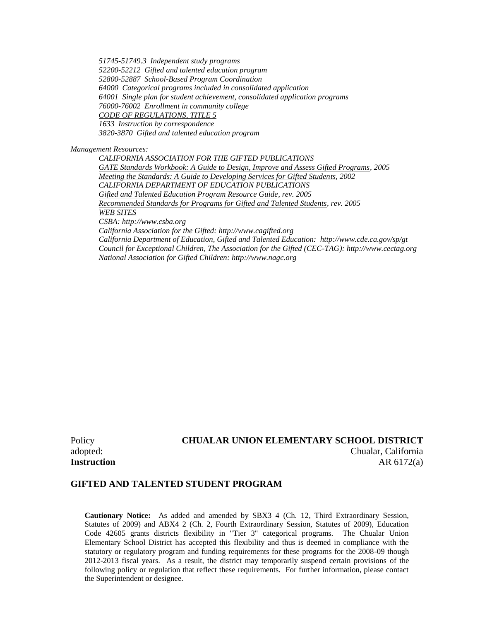*51745-51749.3 Independent study programs 52200-52212 Gifted and talented education program 52800-52887 School-Based Program Coordination 64000 Categorical programs included in consolidated application 64001 Single plan for student achievement, consolidated application programs 76000-76002 Enrollment in community college CODE OF REGULATIONS, TITLE 5 1633 Instruction by correspondence 3820-3870 Gifted and talented education program*

*Management Resources:*

*CALIFORNIA ASSOCIATION FOR THE GIFTED PUBLICATIONS GATE Standards Workbook: A Guide to Design, Improve and Assess Gifted Programs, 2005 Meeting the Standards: A Guide to Developing Services for Gifted Students, 2002 CALIFORNIA DEPARTMENT OF EDUCATION PUBLICATIONS Gifted and Talented Education Program Resource Guide, rev. 2005 Recommended Standards for Programs for Gifted and Talented Students, rev. 2005 WEB SITES CSBA: http://www.csba.org California Association for the Gifted: http://www.cagifted.org California Department of Education, Gifted and Talented Education: http://www.cde.ca.gov/sp/gt*

*Council for Exceptional Children, The Association for the Gifted (CEC-TAG): http://www.cectag.org National Association for Gifted Children: http://www.nagc.org*

# Policy **CHUALAR UNION ELEMENTARY SCHOOL DISTRICT** adopted: Chualar, California **Instruction** AR 6172(a)

### **GIFTED AND TALENTED STUDENT PROGRAM**

**Cautionary Notice:** As added and amended by SBX3 4 (Ch. 12, Third Extraordinary Session, Statutes of 2009) and ABX4 2 (Ch. 2, Fourth Extraordinary Session, Statutes of 2009), Education Code 42605 grants districts flexibility in "Tier 3" categorical programs. The Chualar Union Elementary School District has accepted this flexibility and thus is deemed in compliance with the statutory or regulatory program and funding requirements for these programs for the 2008-09 though 2012-2013 fiscal years. As a result, the district may temporarily suspend certain provisions of the following policy or regulation that reflect these requirements. For further information, please contact the Superintendent or designee.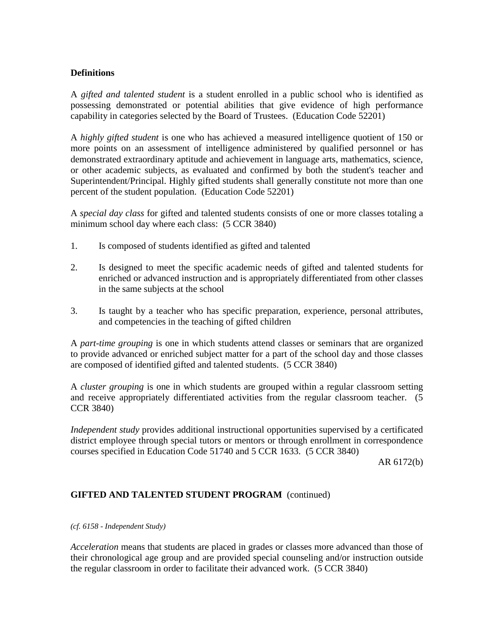# **Definitions**

A *gifted and talented student* is a student enrolled in a public school who is identified as possessing demonstrated or potential abilities that give evidence of high performance capability in categories selected by the Board of Trustees. (Education Code 52201)

A *highly gifted student* is one who has achieved a measured intelligence quotient of 150 or more points on an assessment of intelligence administered by qualified personnel or has demonstrated extraordinary aptitude and achievement in language arts, mathematics, science, or other academic subjects, as evaluated and confirmed by both the student's teacher and Superintendent/Principal. Highly gifted students shall generally constitute not more than one percent of the student population. (Education Code 52201)

A *special day class* for gifted and talented students consists of one or more classes totaling a minimum school day where each class: (5 CCR 3840)

- 1. Is composed of students identified as gifted and talented
- 2. Is designed to meet the specific academic needs of gifted and talented students for enriched or advanced instruction and is appropriately differentiated from other classes in the same subjects at the school
- 3. Is taught by a teacher who has specific preparation, experience, personal attributes, and competencies in the teaching of gifted children

A *part-time grouping* is one in which students attend classes or seminars that are organized to provide advanced or enriched subject matter for a part of the school day and those classes are composed of identified gifted and talented students. (5 CCR 3840)

A *cluster grouping* is one in which students are grouped within a regular classroom setting and receive appropriately differentiated activities from the regular classroom teacher. (5 CCR 3840)

*Independent study* provides additional instructional opportunities supervised by a certificated district employee through special tutors or mentors or through enrollment in correspondence courses specified in Education Code 51740 and 5 CCR 1633. (5 CCR 3840)

AR 6172(b)

### **GIFTED AND TALENTED STUDENT PROGRAM** (continued)

*(cf. 6158 - Independent Study)*

*Acceleration* means that students are placed in grades or classes more advanced than those of their chronological age group and are provided special counseling and/or instruction outside the regular classroom in order to facilitate their advanced work. (5 CCR 3840)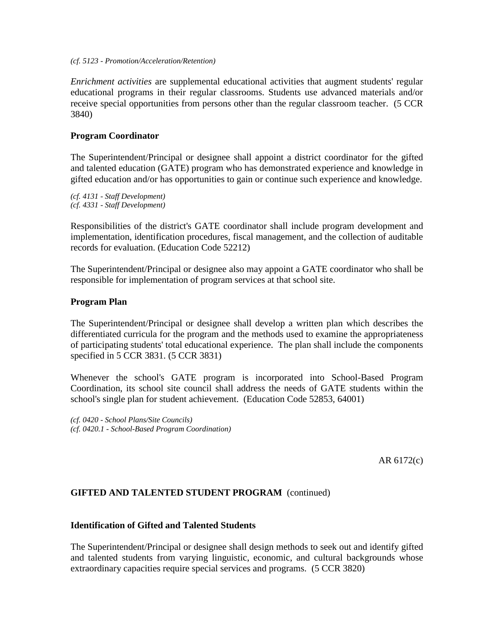#### *(cf. 5123 - Promotion/Acceleration/Retention)*

*Enrichment activities* are supplemental educational activities that augment students' regular educational programs in their regular classrooms. Students use advanced materials and/or receive special opportunities from persons other than the regular classroom teacher. (5 CCR 3840)

### **Program Coordinator**

The Superintendent/Principal or designee shall appoint a district coordinator for the gifted and talented education (GATE) program who has demonstrated experience and knowledge in gifted education and/or has opportunities to gain or continue such experience and knowledge.

*(cf. 4131 - Staff Development) (cf. 4331 - Staff Development)*

Responsibilities of the district's GATE coordinator shall include program development and implementation, identification procedures, fiscal management, and the collection of auditable records for evaluation. (Education Code 52212)

The Superintendent/Principal or designee also may appoint a GATE coordinator who shall be responsible for implementation of program services at that school site.

### **Program Plan**

The Superintendent/Principal or designee shall develop a written plan which describes the differentiated curricula for the program and the methods used to examine the appropriateness of participating students' total educational experience. The plan shall include the components specified in 5 CCR 3831. (5 CCR 3831)

Whenever the school's GATE program is incorporated into School-Based Program Coordination, its school site council shall address the needs of GATE students within the school's single plan for student achievement. (Education Code 52853, 64001)

*(cf. 0420 - School Plans/Site Councils) (cf. 0420.1 - School-Based Program Coordination)*

AR 6172(c)

### **GIFTED AND TALENTED STUDENT PROGRAM** (continued)

### **Identification of Gifted and Talented Students**

The Superintendent/Principal or designee shall design methods to seek out and identify gifted and talented students from varying linguistic, economic, and cultural backgrounds whose extraordinary capacities require special services and programs. (5 CCR 3820)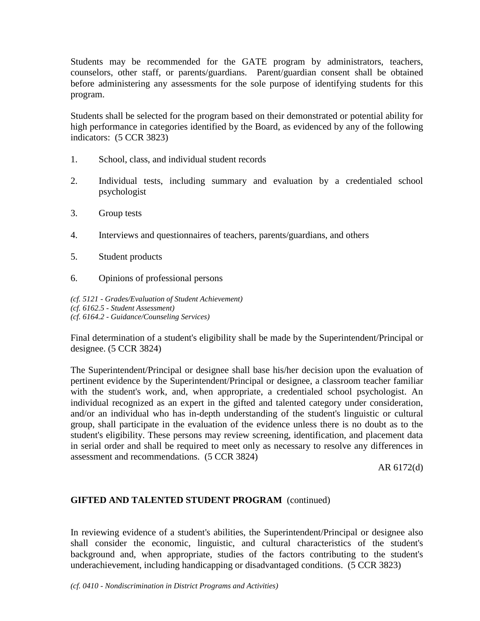Students may be recommended for the GATE program by administrators, teachers, counselors, other staff, or parents/guardians. Parent/guardian consent shall be obtained before administering any assessments for the sole purpose of identifying students for this program.

Students shall be selected for the program based on their demonstrated or potential ability for high performance in categories identified by the Board, as evidenced by any of the following indicators: (5 CCR 3823)

- 1. School, class, and individual student records
- 2. Individual tests, including summary and evaluation by a credentialed school psychologist
- 3. Group tests
- 4. Interviews and questionnaires of teachers, parents/guardians, and others
- 5. Student products
- 6. Opinions of professional persons

*(cf. 5121 - Grades/Evaluation of Student Achievement) (cf. 6162.5 - Student Assessment) (cf. 6164.2 - Guidance/Counseling Services)*

Final determination of a student's eligibility shall be made by the Superintendent/Principal or designee. (5 CCR 3824)

The Superintendent/Principal or designee shall base his/her decision upon the evaluation of pertinent evidence by the Superintendent/Principal or designee, a classroom teacher familiar with the student's work, and, when appropriate, a credentialed school psychologist. An individual recognized as an expert in the gifted and talented category under consideration, and/or an individual who has in-depth understanding of the student's linguistic or cultural group, shall participate in the evaluation of the evidence unless there is no doubt as to the student's eligibility. These persons may review screening, identification, and placement data in serial order and shall be required to meet only as necessary to resolve any differences in assessment and recommendations. (5 CCR 3824)

AR 6172(d)

# **GIFTED AND TALENTED STUDENT PROGRAM** (continued)

In reviewing evidence of a student's abilities, the Superintendent/Principal or designee also shall consider the economic, linguistic, and cultural characteristics of the student's background and, when appropriate, studies of the factors contributing to the student's underachievement, including handicapping or disadvantaged conditions. (5 CCR 3823)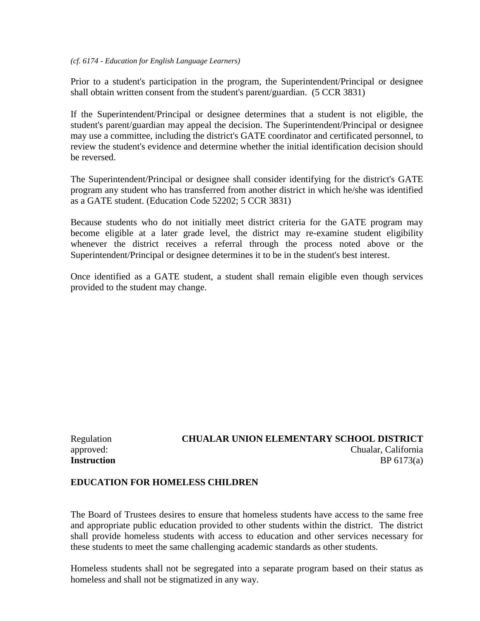#### *(cf. 6174 - Education for English Language Learners)*

Prior to a student's participation in the program, the Superintendent/Principal or designee shall obtain written consent from the student's parent/guardian. (5 CCR 3831)

If the Superintendent/Principal or designee determines that a student is not eligible, the student's parent/guardian may appeal the decision. The Superintendent/Principal or designee may use a committee, including the district's GATE coordinator and certificated personnel, to review the student's evidence and determine whether the initial identification decision should be reversed.

The Superintendent/Principal or designee shall consider identifying for the district's GATE program any student who has transferred from another district in which he/she was identified as a GATE student. (Education Code 52202; 5 CCR 3831)

Because students who do not initially meet district criteria for the GATE program may become eligible at a later grade level, the district may re-examine student eligibility whenever the district receives a referral through the process noted above or the Superintendent/Principal or designee determines it to be in the student's best interest.

Once identified as a GATE student, a student shall remain eligible even though services provided to the student may change.

# Regulation **CHUALAR UNION ELEMENTARY SCHOOL DISTRICT** approved: Chualar, California **Instruction** BP 6173(a)

### **EDUCATION FOR HOMELESS CHILDREN**

The Board of Trustees desires to ensure that homeless students have access to the same free and appropriate public education provided to other students within the district. The district shall provide homeless students with access to education and other services necessary for these students to meet the same challenging academic standards as other students.

Homeless students shall not be segregated into a separate program based on their status as homeless and shall not be stigmatized in any way.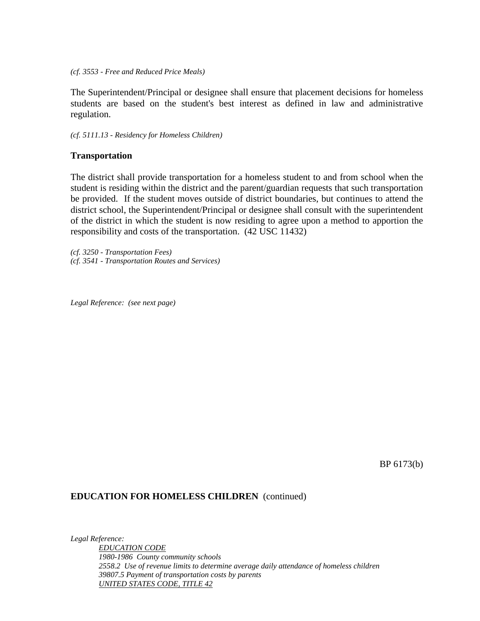#### *(cf. 3553 - Free and Reduced Price Meals)*

The Superintendent/Principal or designee shall ensure that placement decisions for homeless students are based on the student's best interest as defined in law and administrative regulation.

*(cf. 5111.13 - Residency for Homeless Children)*

#### **Transportation**

The district shall provide transportation for a homeless student to and from school when the student is residing within the district and the parent/guardian requests that such transportation be provided. If the student moves outside of district boundaries, but continues to attend the district school, the Superintendent/Principal or designee shall consult with the superintendent of the district in which the student is now residing to agree upon a method to apportion the responsibility and costs of the transportation. (42 USC 11432)

*(cf. 3250 - Transportation Fees) (cf. 3541 - Transportation Routes and Services)*

*Legal Reference: (see next page)*

BP 6173(b)

#### **EDUCATION FOR HOMELESS CHILDREN** (continued)

*Legal Reference: EDUCATION CODE 1980-1986 County community schools 2558.2 Use of revenue limits to determine average daily attendance of homeless children 39807.5 Payment of transportation costs by parents UNITED STATES CODE, TITLE 42*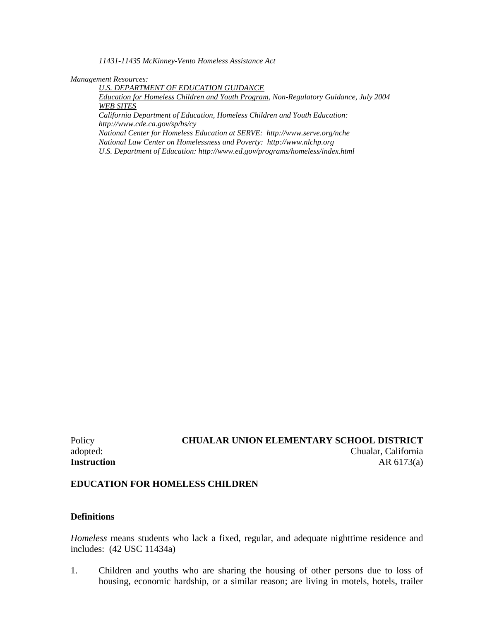*11431-11435 McKinney-Vento Homeless Assistance Act*

*Management Resources:*

*U.S. DEPARTMENT OF EDUCATION GUIDANCE*

*Education for Homeless Children and Youth Program, Non-Regulatory Guidance, July 2004 WEB SITES*

*California Department of Education, Homeless Children and Youth Education: http://www.cde.ca.gov/sp/hs/cy*

*National Center for Homeless Education at SERVE: http://www.serve.org/nche National Law Center on Homelessness and Poverty: http://www.nlchp.org U.S. Department of Education: http://www.ed.gov/programs/homeless/index.html*

# Policy **CHUALAR UNION ELEMENTARY SCHOOL DISTRICT** adopted: Chualar, California **Instruction** AR 6173(a)

### **EDUCATION FOR HOMELESS CHILDREN**

### **Definitions**

*Homeless* means students who lack a fixed, regular, and adequate nighttime residence and includes: (42 USC 11434a)

1. Children and youths who are sharing the housing of other persons due to loss of housing, economic hardship, or a similar reason; are living in motels, hotels, trailer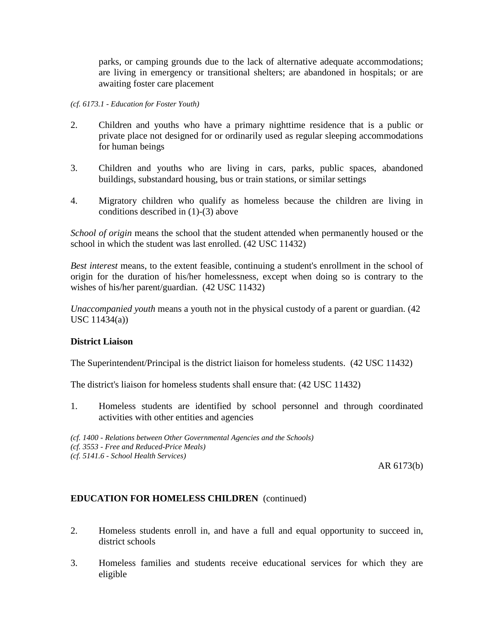parks, or camping grounds due to the lack of alternative adequate accommodations; are living in emergency or transitional shelters; are abandoned in hospitals; or are awaiting foster care placement

### *(cf. 6173.1 - Education for Foster Youth)*

- 2. Children and youths who have a primary nighttime residence that is a public or private place not designed for or ordinarily used as regular sleeping accommodations for human beings
- 3. Children and youths who are living in cars, parks, public spaces, abandoned buildings, substandard housing, bus or train stations, or similar settings
- 4. Migratory children who qualify as homeless because the children are living in conditions described in (1)-(3) above

*School of origin* means the school that the student attended when permanently housed or the school in which the student was last enrolled. (42 USC 11432)

*Best interest* means, to the extent feasible, continuing a student's enrollment in the school of origin for the duration of his/her homelessness, except when doing so is contrary to the wishes of his/her parent/guardian. (42 USC 11432)

*Unaccompanied youth* means a youth not in the physical custody of a parent or guardian. (42 USC 11434(a))

### **District Liaison**

The Superintendent/Principal is the district liaison for homeless students. (42 USC 11432)

The district's liaison for homeless students shall ensure that: (42 USC 11432)

1. Homeless students are identified by school personnel and through coordinated activities with other entities and agencies

*(cf. 1400 - Relations between Other Governmental Agencies and the Schools) (cf. 3553 - Free and Reduced-Price Meals)*

*(cf. 5141.6 - School Health Services)*

AR 6173(b)

# **EDUCATION FOR HOMELESS CHILDREN** (continued)

- 2. Homeless students enroll in, and have a full and equal opportunity to succeed in, district schools
- 3. Homeless families and students receive educational services for which they are eligible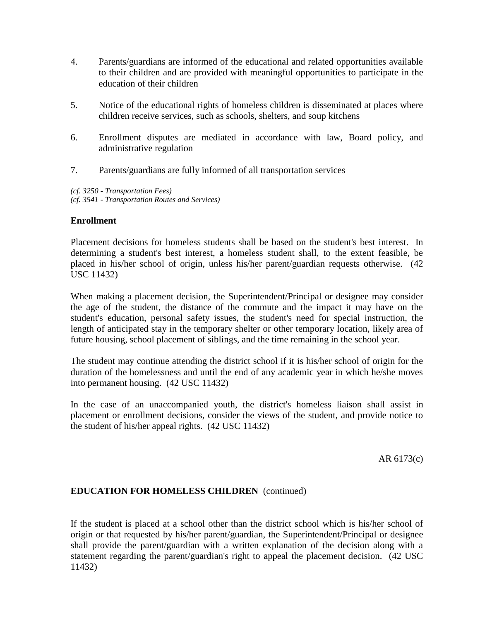- 4. Parents/guardians are informed of the educational and related opportunities available to their children and are provided with meaningful opportunities to participate in the education of their children
- 5. Notice of the educational rights of homeless children is disseminated at places where children receive services, such as schools, shelters, and soup kitchens
- 6. Enrollment disputes are mediated in accordance with law, Board policy, and administrative regulation
- 7. Parents/guardians are fully informed of all transportation services

*(cf. 3250 - Transportation Fees) (cf. 3541 - Transportation Routes and Services)*

# **Enrollment**

Placement decisions for homeless students shall be based on the student's best interest. In determining a student's best interest, a homeless student shall, to the extent feasible, be placed in his/her school of origin, unless his/her parent/guardian requests otherwise. (42 USC 11432)

When making a placement decision, the Superintendent/Principal or designee may consider the age of the student, the distance of the commute and the impact it may have on the student's education, personal safety issues, the student's need for special instruction, the length of anticipated stay in the temporary shelter or other temporary location, likely area of future housing, school placement of siblings, and the time remaining in the school year.

The student may continue attending the district school if it is his/her school of origin for the duration of the homelessness and until the end of any academic year in which he/she moves into permanent housing. (42 USC 11432)

In the case of an unaccompanied youth, the district's homeless liaison shall assist in placement or enrollment decisions, consider the views of the student, and provide notice to the student of his/her appeal rights. (42 USC 11432)

AR 6173(c)

# **EDUCATION FOR HOMELESS CHILDREN** (continued)

If the student is placed at a school other than the district school which is his/her school of origin or that requested by his/her parent/guardian, the Superintendent/Principal or designee shall provide the parent/guardian with a written explanation of the decision along with a statement regarding the parent/guardian's right to appeal the placement decision. (42 USC 11432)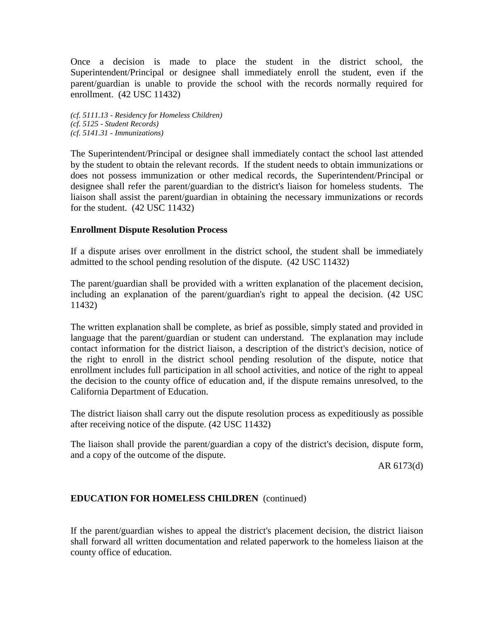Once a decision is made to place the student in the district school, the Superintendent/Principal or designee shall immediately enroll the student, even if the parent/guardian is unable to provide the school with the records normally required for enrollment. (42 USC 11432)

*(cf. 5111.13 - Residency for Homeless Children) (cf. 5125 - Student Records) (cf. 5141.31 - Immunizations)*

The Superintendent/Principal or designee shall immediately contact the school last attended by the student to obtain the relevant records. If the student needs to obtain immunizations or does not possess immunization or other medical records, the Superintendent/Principal or designee shall refer the parent/guardian to the district's liaison for homeless students. The liaison shall assist the parent/guardian in obtaining the necessary immunizations or records for the student. (42 USC 11432)

### **Enrollment Dispute Resolution Process**

If a dispute arises over enrollment in the district school, the student shall be immediately admitted to the school pending resolution of the dispute. (42 USC 11432)

The parent/guardian shall be provided with a written explanation of the placement decision, including an explanation of the parent/guardian's right to appeal the decision. (42 USC 11432)

The written explanation shall be complete, as brief as possible, simply stated and provided in language that the parent/guardian or student can understand. The explanation may include contact information for the district liaison, a description of the district's decision, notice of the right to enroll in the district school pending resolution of the dispute, notice that enrollment includes full participation in all school activities, and notice of the right to appeal the decision to the county office of education and, if the dispute remains unresolved, to the California Department of Education.

The district liaison shall carry out the dispute resolution process as expeditiously as possible after receiving notice of the dispute. (42 USC 11432)

The liaison shall provide the parent/guardian a copy of the district's decision, dispute form, and a copy of the outcome of the dispute.

AR 6173(d)

# **EDUCATION FOR HOMELESS CHILDREN** (continued)

If the parent/guardian wishes to appeal the district's placement decision, the district liaison shall forward all written documentation and related paperwork to the homeless liaison at the county office of education.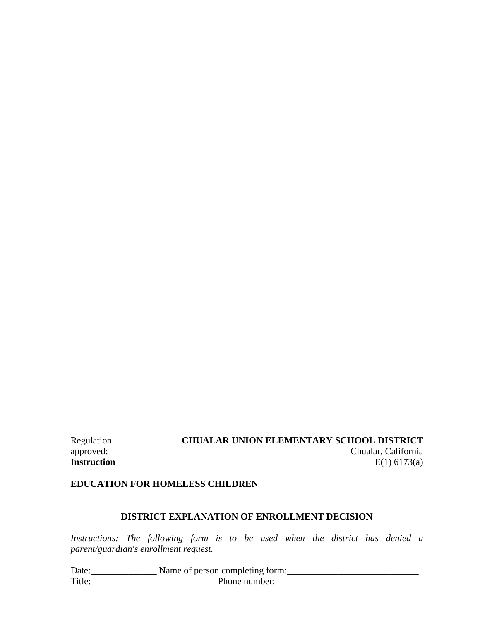# Regulation **CHUALAR UNION ELEMENTARY SCHOOL DISTRICT**<br>chualar, California approved: Chualar, California<br> **Instruction** E(1) 6173(a) **Instruction** E(1) 6173(a)

# **EDUCATION FOR HOMELESS CHILDREN**

# **DISTRICT EXPLANATION OF ENROLLMENT DECISION**

*Instructions: The following form is to be used when the district has denied a parent/guardian's enrollment request.*

| Date:  | Name of person completing form: |
|--------|---------------------------------|
| Title: | Phone number:                   |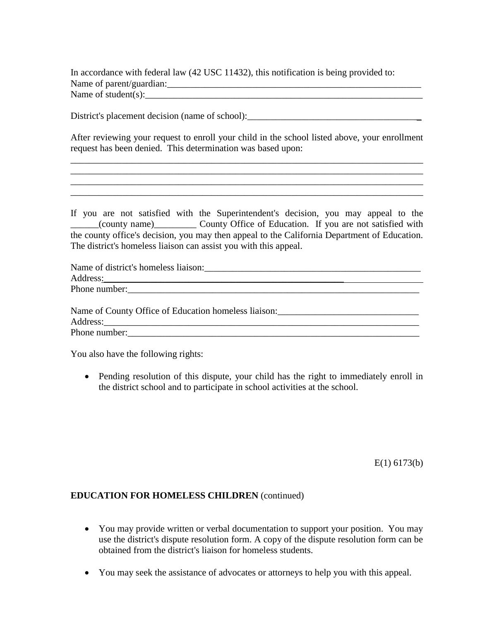In accordance with federal law (42 USC 11432), this notification is being provided to: Name of parent/guardian:\_\_\_\_\_\_\_\_\_\_\_\_\_\_\_\_\_\_\_\_\_\_\_\_\_\_\_\_\_\_\_\_\_\_\_\_\_\_\_\_\_\_\_\_\_\_\_\_\_\_\_\_\_\_ Name of student(s):  $\Box$ 

District's placement decision (name of school):

After reviewing your request to enroll your child in the school listed above, your enrollment request has been denied. This determination was based upon:

\_\_\_\_\_\_\_\_\_\_\_\_\_\_\_\_\_\_\_\_\_\_\_\_\_\_\_\_\_\_\_\_\_\_\_\_\_\_\_\_\_\_\_\_\_\_\_\_\_\_\_\_\_\_\_\_\_\_\_\_\_\_\_\_\_\_\_\_\_\_\_\_\_\_\_ \_\_\_\_\_\_\_\_\_\_\_\_\_\_\_\_\_\_\_\_\_\_\_\_\_\_\_\_\_\_\_\_\_\_\_\_\_\_\_\_\_\_\_\_\_\_\_\_\_\_\_\_\_\_\_\_\_\_\_\_\_\_\_\_\_\_\_\_\_\_\_\_\_\_\_ \_\_\_\_\_\_\_\_\_\_\_\_\_\_\_\_\_\_\_\_\_\_\_\_\_\_\_\_\_\_\_\_\_\_\_\_\_\_\_\_\_\_\_\_\_\_\_\_\_\_\_\_\_\_\_\_\_\_\_\_\_\_\_\_\_\_\_\_\_\_\_\_\_\_\_ \_\_\_\_\_\_\_\_\_\_\_\_\_\_\_\_\_\_\_\_\_\_\_\_\_\_\_\_\_\_\_\_\_\_\_\_\_\_\_\_\_\_\_\_\_\_\_\_\_\_\_\_\_\_\_\_\_\_\_\_\_\_\_\_\_\_\_\_\_\_\_\_\_\_\_

If you are not satisfied with the Superintendent's decision, you may appeal to the \_\_\_\_\_\_(county name)\_\_\_\_\_\_\_\_\_ County Office of Education. If you are not satisfied with the county office's decision, you may then appeal to the California Department of Education. The district's homeless liaison can assist you with this appeal.

| Name of district's homeless liaison: |  |
|--------------------------------------|--|
| Address:                             |  |
| Phone number:                        |  |
|                                      |  |

| Name of County Office of Education homeless liaison: |  |
|------------------------------------------------------|--|
| Address:                                             |  |
| Phone number:                                        |  |

You also have the following rights:

• Pending resolution of this dispute, your child has the right to immediately enroll in the district school and to participate in school activities at the school.

E(1) 6173(b)

### **EDUCATION FOR HOMELESS CHILDREN** (continued)

- You may provide written or verbal documentation to support your position. You may use the district's dispute resolution form. A copy of the dispute resolution form can be obtained from the district's liaison for homeless students.
- You may seek the assistance of advocates or attorneys to help you with this appeal.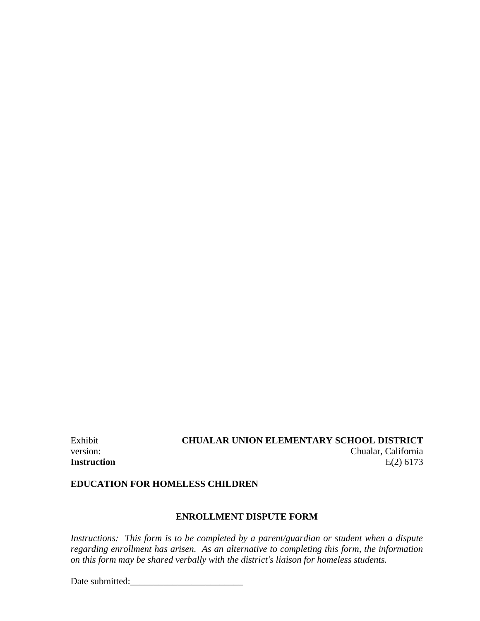# Exhibit **CHUALAR UNION ELEMENTARY SCHOOL DISTRICT** version: Chualar, California **Instruction** E(2) 6173

## **EDUCATION FOR HOMELESS CHILDREN**

### **ENROLLMENT DISPUTE FORM**

*Instructions: This form is to be completed by a parent/guardian or student when a dispute regarding enrollment has arisen. As an alternative to completing this form, the information on this form may be shared verbally with the district's liaison for homeless students.*

Date submitted:\_\_\_\_\_\_\_\_\_\_\_\_\_\_\_\_\_\_\_\_\_\_\_\_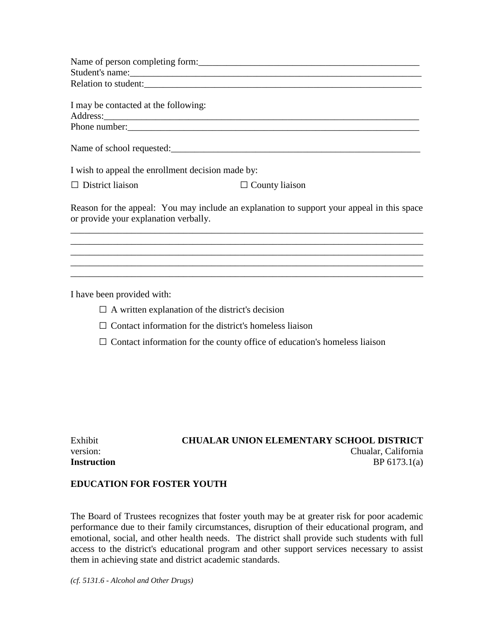|                                                   | Name of person completing form:                                                                                                                                                                                                      |
|---------------------------------------------------|--------------------------------------------------------------------------------------------------------------------------------------------------------------------------------------------------------------------------------------|
|                                                   |                                                                                                                                                                                                                                      |
|                                                   | Relation to student:                                                                                                                                                                                                                 |
|                                                   |                                                                                                                                                                                                                                      |
| I may be contacted at the following:              |                                                                                                                                                                                                                                      |
|                                                   | Address: <u>Address</u> : Address: Address: Address: Address: Address: Address: Address: Address: Address: Address: Address: Address: Address: Address: Address: Address: Address: Address: Address: Address: Address: Address: Addr |
|                                                   | Phone number:                                                                                                                                                                                                                        |
|                                                   |                                                                                                                                                                                                                                      |
| I wish to appeal the enrollment decision made by: |                                                                                                                                                                                                                                      |
| $\Box$ District liaison                           | $\Box$ County liaison                                                                                                                                                                                                                |
| or provide your explanation verbally.             | Reason for the appeal: You may include an explanation to support your appeal in this space                                                                                                                                           |
|                                                   |                                                                                                                                                                                                                                      |
|                                                   |                                                                                                                                                                                                                                      |
|                                                   |                                                                                                                                                                                                                                      |
|                                                   |                                                                                                                                                                                                                                      |

I have been provided with:

- $\square$  A written explanation of the district's decision
- $\square$  Contact information for the district's homeless liaison
- $\square$  Contact information for the county office of education's homeless liaison

| Exhibit            |
|--------------------|
| version:           |
| <b>Instruction</b> |

# **CHUALAR UNION ELEMENTARY SCHOOL DISTRICT** Chualar, California **Instruction** BP 6173.1(a)

# **EDUCATION FOR FOSTER YOUTH**

The Board of Trustees recognizes that foster youth may be at greater risk for poor academic performance due to their family circumstances, disruption of their educational program, and emotional, social, and other health needs. The district shall provide such students with full access to the district's educational program and other support services necessary to assist them in achieving state and district academic standards.

*(cf. 5131.6 - Alcohol and Other Drugs)*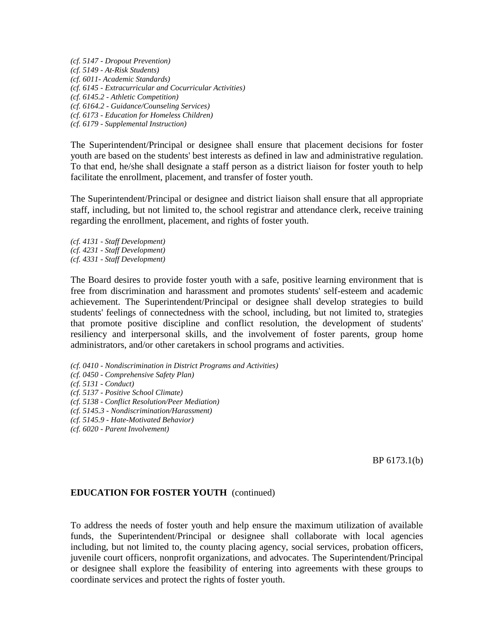*(cf. 5147 - Dropout Prevention) (cf. 5149 - At-Risk Students) (cf. 6011- Academic Standards) (cf. 6145 - Extracurricular and Cocurricular Activities) (cf. 6145.2 - Athletic Competition) (cf. 6164.2 - Guidance/Counseling Services) (cf. 6173 - Education for Homeless Children) (cf. 6179 - Supplemental Instruction)*

The Superintendent/Principal or designee shall ensure that placement decisions for foster youth are based on the students' best interests as defined in law and administrative regulation. To that end, he/she shall designate a staff person as a district liaison for foster youth to help facilitate the enrollment, placement, and transfer of foster youth.

The Superintendent/Principal or designee and district liaison shall ensure that all appropriate staff, including, but not limited to, the school registrar and attendance clerk, receive training regarding the enrollment, placement, and rights of foster youth.

*(cf. 4131 - Staff Development) (cf. 4231 - Staff Development) (cf. 4331 - Staff Development)*

The Board desires to provide foster youth with a safe, positive learning environment that is free from discrimination and harassment and promotes students' self-esteem and academic achievement. The Superintendent/Principal or designee shall develop strategies to build students' feelings of connectedness with the school, including, but not limited to, strategies that promote positive discipline and conflict resolution, the development of students' resiliency and interpersonal skills, and the involvement of foster parents, group home administrators, and/or other caretakers in school programs and activities.

*(cf. 0410 - Nondiscrimination in District Programs and Activities)*

- *(cf. 0450 - Comprehensive Safety Plan)*
- *(cf. 5131 - Conduct)*
- *(cf. 5137 - Positive School Climate)*
- *(cf. 5138 - Conflict Resolution/Peer Mediation)*
- *(cf. 5145.3 - Nondiscrimination/Harassment)*
- *(cf. 5145.9 - Hate-Motivated Behavior)*
- *(cf. 6020 - Parent Involvement)*

BP 6173.1(b)

### **EDUCATION FOR FOSTER YOUTH** (continued)

To address the needs of foster youth and help ensure the maximum utilization of available funds, the Superintendent/Principal or designee shall collaborate with local agencies including, but not limited to, the county placing agency, social services, probation officers, juvenile court officers, nonprofit organizations, and advocates. The Superintendent/Principal or designee shall explore the feasibility of entering into agreements with these groups to coordinate services and protect the rights of foster youth.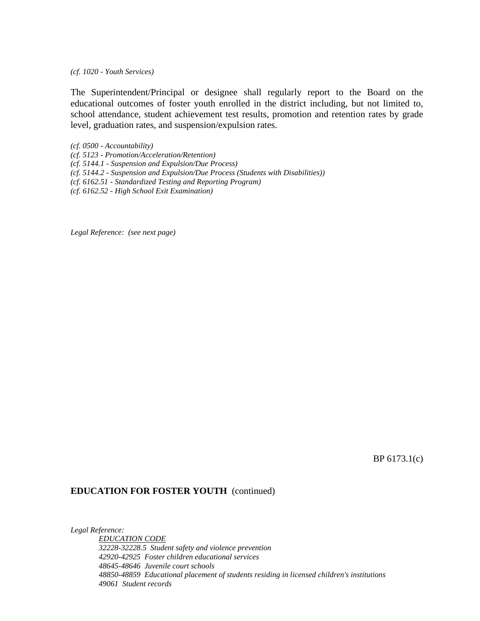*(cf. 1020 - Youth Services)*

The Superintendent/Principal or designee shall regularly report to the Board on the educational outcomes of foster youth enrolled in the district including, but not limited to, school attendance, student achievement test results, promotion and retention rates by grade level, graduation rates, and suspension/expulsion rates.

*(cf. 0500 - Accountability)*

- *(cf. 5123 - Promotion/Acceleration/Retention)*
- *(cf. 5144.1 - Suspension and Expulsion/Due Process)*
- *(cf. 5144.2 - Suspension and Expulsion/Due Process (Students with Disabilities))*
- *(cf. 6162.51 - Standardized Testing and Reporting Program)*

*(cf. 6162.52 - High School Exit Examination)*

*Legal Reference: (see next page)*

BP 6173.1(c)

#### **EDUCATION FOR FOSTER YOUTH** (continued)

*Legal Reference: EDUCATION CODE 32228-32228.5 Student safety and violence prevention 42920-42925 Foster children educational services 48645-48646 Juvenile court schools 48850-48859 Educational placement of students residing in licensed children's institutions 49061 Student records*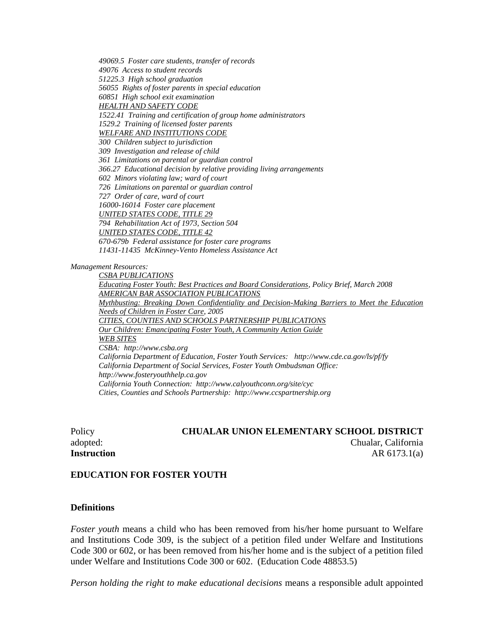*49069.5 Foster care students, transfer of records 49076 Access to student records 51225.3 High school graduation 56055 Rights of foster parents in special education 60851 High school exit examination HEALTH AND SAFETY CODE 1522.41 Training and certification of group home administrators 1529.2 Training of licensed foster parents WELFARE AND INSTITUTIONS CODE 300 Children subject to jurisdiction 309 Investigation and release of child 361 Limitations on parental or guardian control 366.27 Educational decision by relative providing living arrangements 602 Minors violating law; ward of court 726 Limitations on parental or guardian control 727 Order of care, ward of court 16000-16014 Foster care placement UNITED STATES CODE, TITLE 29 794 Rehabilitation Act of 1973, Section 504 UNITED STATES CODE, TITLE 42 670-679b Federal assistance for foster care programs 11431-11435 McKinney-Vento Homeless Assistance Act*

*Management Resources:*

*CSBA PUBLICATIONS Educating Foster Youth: Best Practices and Board Considerations, Policy Brief, March 2008 AMERICAN BAR ASSOCIATION PUBLICATIONS Mythbusting: Breaking Down Confidentiality and Decision-Making Barriers to Meet the Education Needs of Children in Foster Care, 2005 CITIES, COUNTIES AND SCHOOLS PARTNERSHIP PUBLICATIONS Our Children: Emancipating Foster Youth, A Community Action Guide WEB SITES CSBA: http://www.csba.org California Department of Education, Foster Youth Services: http://www.cde.ca.gov/ls/pf/fy California Department of Social Services, Foster Youth Ombudsman Office: http://www.fosteryouthhelp.ca.gov California Youth Connection: http://www.calyouthconn.org/site/cyc Cities, Counties and Schools Partnership: http://www.ccspartnership.org*

Policy **CHUALAR UNION ELEMENTARY SCHOOL DISTRICT** adopted: Chualar, California **Instruction** AR 6173.1(a)

#### **EDUCATION FOR FOSTER YOUTH**

#### **Definitions**

*Foster youth* means a child who has been removed from his/her home pursuant to Welfare and Institutions Code 309, is the subject of a petition filed under Welfare and Institutions Code 300 or 602, or has been removed from his/her home and is the subject of a petition filed under Welfare and Institutions Code 300 or 602. (Education Code 48853.5)

*Person holding the right to make educational decisions* means a responsible adult appointed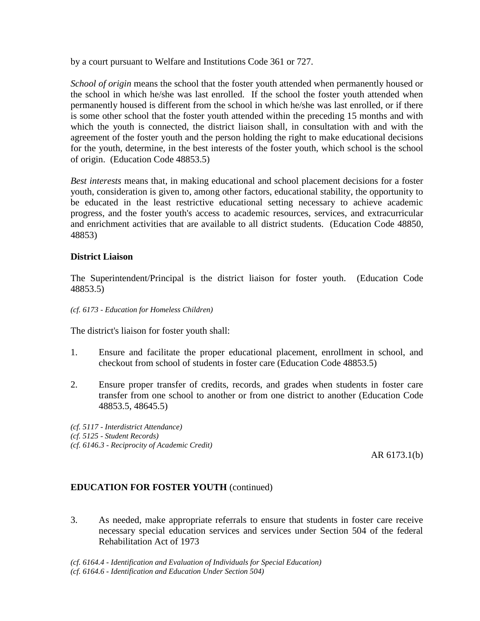by a court pursuant to Welfare and Institutions Code 361 or 727.

*School of origin* means the school that the foster youth attended when permanently housed or the school in which he/she was last enrolled. If the school the foster youth attended when permanently housed is different from the school in which he/she was last enrolled, or if there is some other school that the foster youth attended within the preceding 15 months and with which the youth is connected, the district liaison shall, in consultation with and with the agreement of the foster youth and the person holding the right to make educational decisions for the youth, determine, in the best interests of the foster youth, which school is the school of origin. (Education Code 48853.5)

*Best interests* means that, in making educational and school placement decisions for a foster youth, consideration is given to, among other factors, educational stability, the opportunity to be educated in the least restrictive educational setting necessary to achieve academic progress, and the foster youth's access to academic resources, services, and extracurricular and enrichment activities that are available to all district students. (Education Code 48850, 48853)

# **District Liaison**

The Superintendent/Principal is the district liaison for foster youth. (Education Code 48853.5)

*(cf. 6173 - Education for Homeless Children)*

The district's liaison for foster youth shall:

- 1. Ensure and facilitate the proper educational placement, enrollment in school, and checkout from school of students in foster care (Education Code 48853.5)
- 2. Ensure proper transfer of credits, records, and grades when students in foster care transfer from one school to another or from one district to another (Education Code 48853.5, 48645.5)

*(cf. 5117 - Interdistrict Attendance) (cf. 5125 - Student Records) (cf. 6146.3 - Reciprocity of Academic Credit)*

AR 6173.1(b)

# **EDUCATION FOR FOSTER YOUTH** (continued)

3. As needed, make appropriate referrals to ensure that students in foster care receive necessary special education services and services under Section 504 of the federal Rehabilitation Act of 1973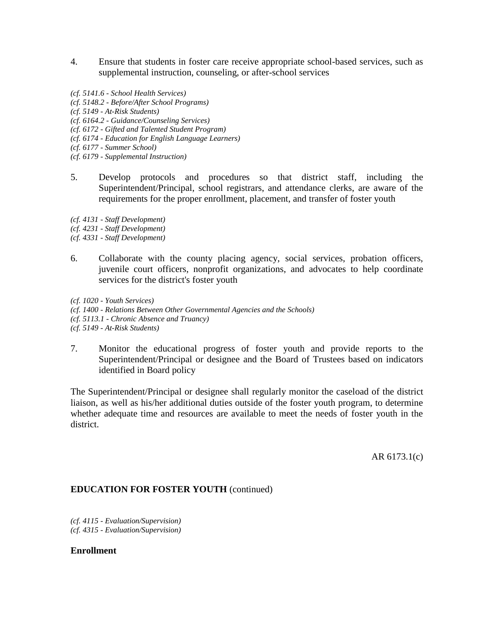- 4. Ensure that students in foster care receive appropriate school-based services, such as supplemental instruction, counseling, or after-school services
- *(cf. 5141.6 - School Health Services) (cf. 5148.2 - Before/After School Programs) (cf. 5149 - At-Risk Students) (cf. 6164.2 - Guidance/Counseling Services)*

*(cf. 6172 - Gifted and Talented Student Program)*

*(cf. 6174 - Education for English Language Learners)*

*(cf. 6177 - Summer School)*

*(cf. 6179 - Supplemental Instruction)*

5. Develop protocols and procedures so that district staff, including the Superintendent/Principal, school registrars, and attendance clerks, are aware of the requirements for the proper enrollment, placement, and transfer of foster youth

*(cf. 4131 - Staff Development)*

*(cf. 4231 - Staff Development)*

*(cf. 4331 - Staff Development)*

6. Collaborate with the county placing agency, social services, probation officers, juvenile court officers, nonprofit organizations, and advocates to help coordinate services for the district's foster youth

*(cf. 1020 - Youth Services) (cf. 1400 - Relations Between Other Governmental Agencies and the Schools) (cf. 5113.1 - Chronic Absence and Truancy) (cf. 5149 - At-Risk Students)*

7. Monitor the educational progress of foster youth and provide reports to the Superintendent/Principal or designee and the Board of Trustees based on indicators identified in Board policy

The Superintendent/Principal or designee shall regularly monitor the caseload of the district liaison, as well as his/her additional duties outside of the foster youth program, to determine whether adequate time and resources are available to meet the needs of foster youth in the district.

AR 6173.1(c)

### **EDUCATION FOR FOSTER YOUTH** (continued)

*(cf. 4115 - Evaluation/Supervision) (cf. 4315 - Evaluation/Supervision)*

#### **Enrollment**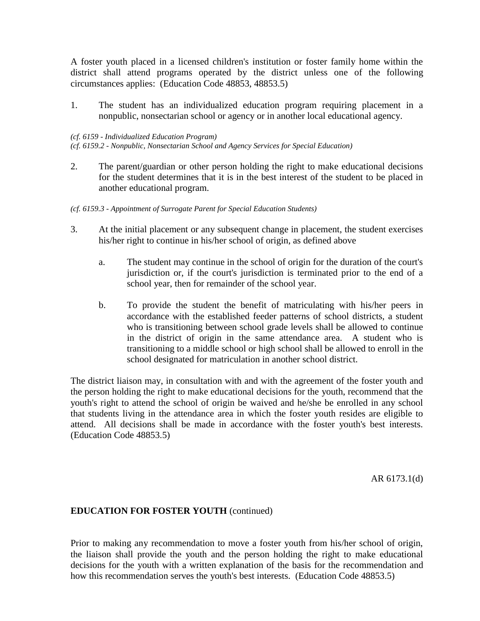A foster youth placed in a licensed children's institution or foster family home within the district shall attend programs operated by the district unless one of the following circumstances applies: (Education Code 48853, 48853.5)

1. The student has an individualized education program requiring placement in a nonpublic, nonsectarian school or agency or in another local educational agency.

#### *(cf. 6159 - Individualized Education Program)*

*(cf. 6159.2 - Nonpublic, Nonsectarian School and Agency Services for Special Education)*

- 2. The parent/guardian or other person holding the right to make educational decisions for the student determines that it is in the best interest of the student to be placed in another educational program.
- *(cf. 6159.3 - Appointment of Surrogate Parent for Special Education Students)*
- 3. At the initial placement or any subsequent change in placement, the student exercises his/her right to continue in his/her school of origin, as defined above
	- a. The student may continue in the school of origin for the duration of the court's jurisdiction or, if the court's jurisdiction is terminated prior to the end of a school year, then for remainder of the school year.
	- b. To provide the student the benefit of matriculating with his/her peers in accordance with the established feeder patterns of school districts, a student who is transitioning between school grade levels shall be allowed to continue in the district of origin in the same attendance area. A student who is transitioning to a middle school or high school shall be allowed to enroll in the school designated for matriculation in another school district.

The district liaison may, in consultation with and with the agreement of the foster youth and the person holding the right to make educational decisions for the youth, recommend that the youth's right to attend the school of origin be waived and he/she be enrolled in any school that students living in the attendance area in which the foster youth resides are eligible to attend. All decisions shall be made in accordance with the foster youth's best interests. (Education Code 48853.5)

AR 6173.1(d)

### **EDUCATION FOR FOSTER YOUTH** (continued)

Prior to making any recommendation to move a foster youth from his/her school of origin, the liaison shall provide the youth and the person holding the right to make educational decisions for the youth with a written explanation of the basis for the recommendation and how this recommendation serves the youth's best interests. (Education Code 48853.5)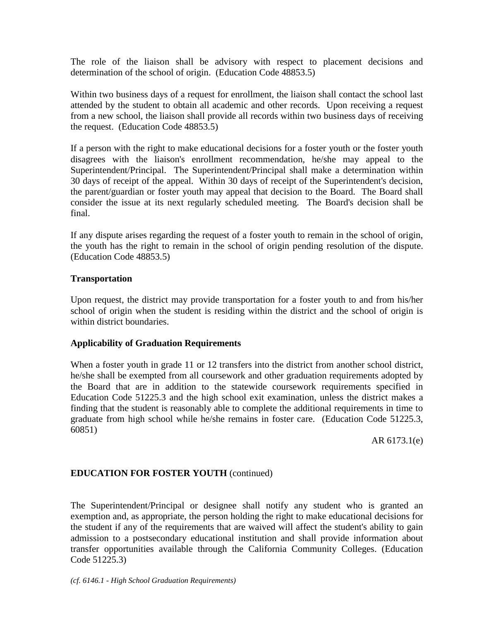The role of the liaison shall be advisory with respect to placement decisions and determination of the school of origin. (Education Code 48853.5)

Within two business days of a request for enrollment, the liaison shall contact the school last attended by the student to obtain all academic and other records. Upon receiving a request from a new school, the liaison shall provide all records within two business days of receiving the request. (Education Code 48853.5)

If a person with the right to make educational decisions for a foster youth or the foster youth disagrees with the liaison's enrollment recommendation, he/she may appeal to the Superintendent/Principal. The Superintendent/Principal shall make a determination within 30 days of receipt of the appeal. Within 30 days of receipt of the Superintendent's decision, the parent/guardian or foster youth may appeal that decision to the Board. The Board shall consider the issue at its next regularly scheduled meeting. The Board's decision shall be final.

If any dispute arises regarding the request of a foster youth to remain in the school of origin, the youth has the right to remain in the school of origin pending resolution of the dispute. (Education Code 48853.5)

# **Transportation**

Upon request, the district may provide transportation for a foster youth to and from his/her school of origin when the student is residing within the district and the school of origin is within district boundaries.

# **Applicability of Graduation Requirements**

When a foster youth in grade 11 or 12 transfers into the district from another school district, he/she shall be exempted from all coursework and other graduation requirements adopted by the Board that are in addition to the statewide coursework requirements specified in Education Code 51225.3 and the high school exit examination, unless the district makes a finding that the student is reasonably able to complete the additional requirements in time to graduate from high school while he/she remains in foster care. (Education Code 51225.3, 60851)

AR 6173.1(e)

# **EDUCATION FOR FOSTER YOUTH** (continued)

The Superintendent/Principal or designee shall notify any student who is granted an exemption and, as appropriate, the person holding the right to make educational decisions for the student if any of the requirements that are waived will affect the student's ability to gain admission to a postsecondary educational institution and shall provide information about transfer opportunities available through the California Community Colleges. (Education Code 51225.3)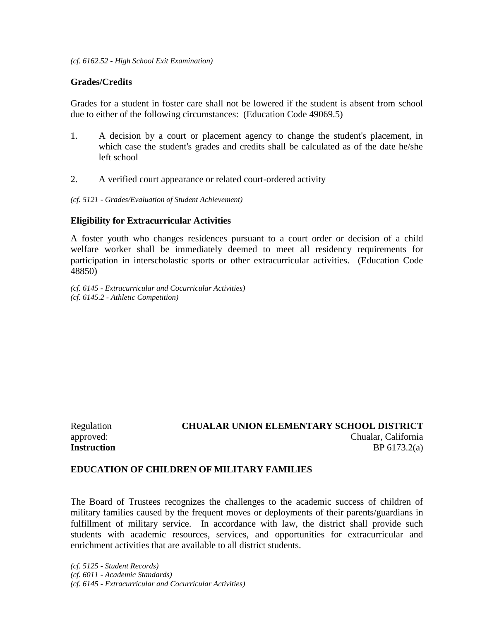### **Grades/Credits**

Grades for a student in foster care shall not be lowered if the student is absent from school due to either of the following circumstances: (Education Code 49069.5)

- 1. A decision by a court or placement agency to change the student's placement, in which case the student's grades and credits shall be calculated as of the date he/she left school
- 2. A verified court appearance or related court-ordered activity
- *(cf. 5121 - Grades/Evaluation of Student Achievement)*

### **Eligibility for Extracurricular Activities**

A foster youth who changes residences pursuant to a court order or decision of a child welfare worker shall be immediately deemed to meet all residency requirements for participation in interscholastic sports or other extracurricular activities. (Education Code 48850)

*(cf. 6145 - Extracurricular and Cocurricular Activities) (cf. 6145.2 - Athletic Competition)*

Regulation **CHUALAR UNION ELEMENTARY SCHOOL DISTRICT** approved: Chualar, California **Instruction** BP 6173.2(a)

#### **EDUCATION OF CHILDREN OF MILITARY FAMILIES**

The Board of Trustees recognizes the challenges to the academic success of children of military families caused by the frequent moves or deployments of their parents/guardians in fulfillment of military service. In accordance with law, the district shall provide such students with academic resources, services, and opportunities for extracurricular and enrichment activities that are available to all district students.

*(cf. 5125 - Student Records) (cf. 6011 - Academic Standards) (cf. 6145 - Extracurricular and Cocurricular Activities)*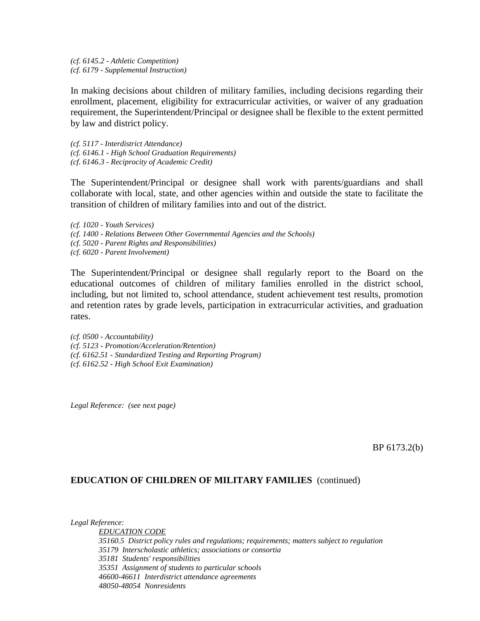*(cf. 6145.2 - Athletic Competition) (cf. 6179 - Supplemental Instruction)*

In making decisions about children of military families, including decisions regarding their enrollment, placement, eligibility for extracurricular activities, or waiver of any graduation requirement, the Superintendent/Principal or designee shall be flexible to the extent permitted by law and district policy.

*(cf. 5117 - Interdistrict Attendance) (cf. 6146.1 - High School Graduation Requirements) (cf. 6146.3 - Reciprocity of Academic Credit)*

The Superintendent/Principal or designee shall work with parents/guardians and shall collaborate with local, state, and other agencies within and outside the state to facilitate the transition of children of military families into and out of the district.

*(cf. 1020 - Youth Services) (cf. 1400 - Relations Between Other Governmental Agencies and the Schools) (cf. 5020 - Parent Rights and Responsibilities)*

*(cf. 6020 - Parent Involvement)*

The Superintendent/Principal or designee shall regularly report to the Board on the educational outcomes of children of military families enrolled in the district school, including, but not limited to, school attendance, student achievement test results, promotion and retention rates by grade levels, participation in extracurricular activities, and graduation rates.

*(cf. 0500 - Accountability) (cf. 5123 - Promotion/Acceleration/Retention) (cf. 6162.51 - Standardized Testing and Reporting Program) (cf. 6162.52 - High School Exit Examination)*

*Legal Reference: (see next page)*

BP 6173.2(b)

### **EDUCATION OF CHILDREN OF MILITARY FAMILIES** (continued)

*Legal Reference:*

*EDUCATION CODE 35160.5 District policy rules and regulations; requirements; matters subject to regulation 35179 Interscholastic athletics; associations or consortia 35181 Students' responsibilities 35351 Assignment of students to particular schools 46600-46611 Interdistrict attendance agreements 48050-48054 Nonresidents*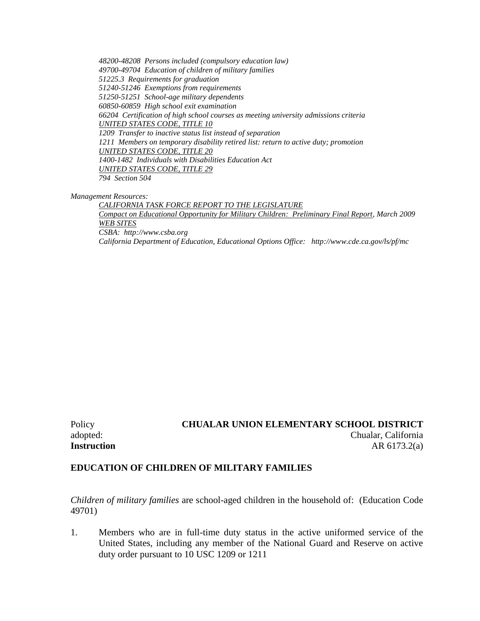*48200-48208 Persons included (compulsory education law) 49700-49704 Education of children of military families 51225.3 Requirements for graduation 51240-51246 Exemptions from requirements 51250-51251 School-age military dependents 60850-60859 High school exit examination 66204 Certification of high school courses as meeting university admissions criteria UNITED STATES CODE, TITLE 10 1209 Transfer to inactive status list instead of separation 1211 Members on temporary disability retired list: return to active duty; promotion UNITED STATES CODE, TITLE 20 1400-1482 Individuals with Disabilities Education Act UNITED STATES CODE, TITLE 29 794 Section 504*

*Management Resources:*

*CALIFORNIA TASK FORCE REPORT TO THE LEGISLATURE Compact on Educational Opportunity for Military Children: Preliminary Final Report, March 2009 WEB SITES CSBA: http://www.csba.org California Department of Education, Educational Options Office: http://www.cde.ca.gov/ls/pf/mc*

Policy **CHUALAR UNION ELEMENTARY SCHOOL DISTRICT** adopted: Chualar, California **Instruction** AR 6173.2(a)

### **EDUCATION OF CHILDREN OF MILITARY FAMILIES**

*Children of military families* are school-aged children in the household of: (Education Code 49701)

1. Members who are in full-time duty status in the active uniformed service of the United States, including any member of the National Guard and Reserve on active duty order pursuant to 10 USC 1209 or 1211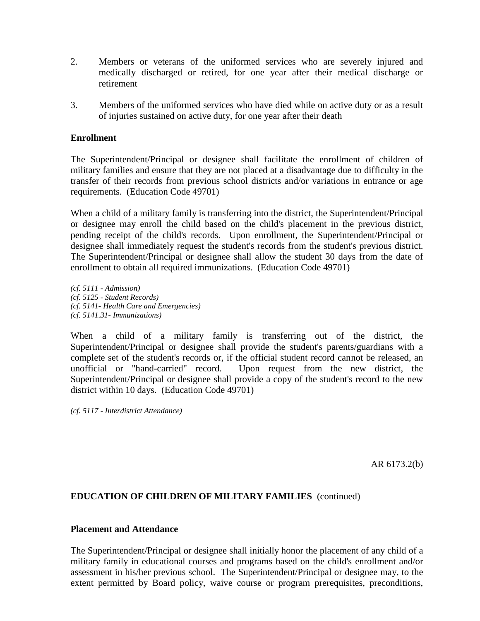- 2. Members or veterans of the uniformed services who are severely injured and medically discharged or retired, for one year after their medical discharge or retirement
- 3. Members of the uniformed services who have died while on active duty or as a result of injuries sustained on active duty, for one year after their death

## **Enrollment**

The Superintendent/Principal or designee shall facilitate the enrollment of children of military families and ensure that they are not placed at a disadvantage due to difficulty in the transfer of their records from previous school districts and/or variations in entrance or age requirements. (Education Code 49701)

When a child of a military family is transferring into the district, the Superintendent/Principal or designee may enroll the child based on the child's placement in the previous district, pending receipt of the child's records. Upon enrollment, the Superintendent/Principal or designee shall immediately request the student's records from the student's previous district. The Superintendent/Principal or designee shall allow the student 30 days from the date of enrollment to obtain all required immunizations. (Education Code 49701)

*(cf. 5111 - Admission) (cf. 5125 - Student Records) (cf. 5141- Health Care and Emergencies) (cf. 5141.31- Immunizations)*

When a child of a military family is transferring out of the district, the Superintendent/Principal or designee shall provide the student's parents/guardians with a complete set of the student's records or, if the official student record cannot be released, an unofficial or "hand-carried" record. Upon request from the new district, the Superintendent/Principal or designee shall provide a copy of the student's record to the new district within 10 days. (Education Code 49701)

*(cf. 5117 - Interdistrict Attendance)*

AR 6173.2(b)

# **EDUCATION OF CHILDREN OF MILITARY FAMILIES** (continued)

#### **Placement and Attendance**

The Superintendent/Principal or designee shall initially honor the placement of any child of a military family in educational courses and programs based on the child's enrollment and/or assessment in his/her previous school. The Superintendent/Principal or designee may, to the extent permitted by Board policy, waive course or program prerequisites, preconditions,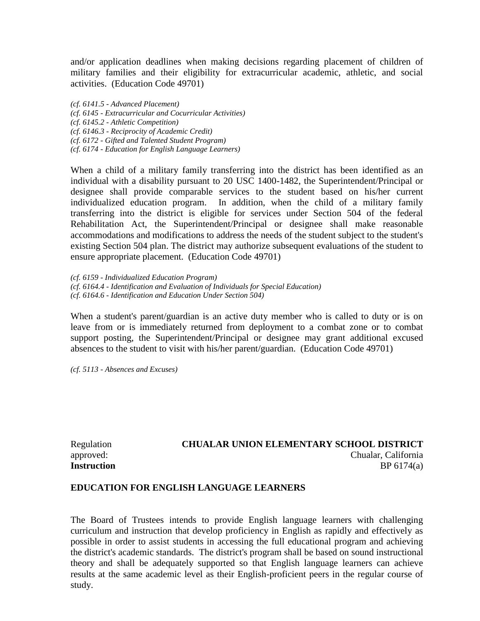and/or application deadlines when making decisions regarding placement of children of military families and their eligibility for extracurricular academic, athletic, and social activities. (Education Code 49701)

*(cf. 6141.5 - Advanced Placement) (cf. 6145 - Extracurricular and Cocurricular Activities) (cf. 6145.2 - Athletic Competition) (cf. 6146.3 - Reciprocity of Academic Credit) (cf. 6172 - Gifted and Talented Student Program) (cf. 6174 - Education for English Language Learners)*

When a child of a military family transferring into the district has been identified as an individual with a disability pursuant to 20 USC 1400-1482, the Superintendent/Principal or designee shall provide comparable services to the student based on his/her current individualized education program. In addition, when the child of a military family transferring into the district is eligible for services under Section 504 of the federal Rehabilitation Act, the Superintendent/Principal or designee shall make reasonable accommodations and modifications to address the needs of the student subject to the student's existing Section 504 plan. The district may authorize subsequent evaluations of the student to ensure appropriate placement. (Education Code 49701)

*(cf. 6159 - Individualized Education Program) (cf. 6164.4 - Identification and Evaluation of Individuals for Special Education) (cf. 6164.6 - Identification and Education Under Section 504)*

When a student's parent/guardian is an active duty member who is called to duty or is on leave from or is immediately returned from deployment to a combat zone or to combat support posting, the Superintendent/Principal or designee may grant additional excused absences to the student to visit with his/her parent/guardian. (Education Code 49701)

*(cf. 5113 - Absences and Excuses)*

## Regulation **CHUALAR UNION ELEMENTARY SCHOOL DISTRICT** approved: Chualar, California **Instruction** BP 6174(a)

### **EDUCATION FOR ENGLISH LANGUAGE LEARNERS**

The Board of Trustees intends to provide English language learners with challenging curriculum and instruction that develop proficiency in English as rapidly and effectively as possible in order to assist students in accessing the full educational program and achieving the district's academic standards. The district's program shall be based on sound instructional theory and shall be adequately supported so that English language learners can achieve results at the same academic level as their English-proficient peers in the regular course of study.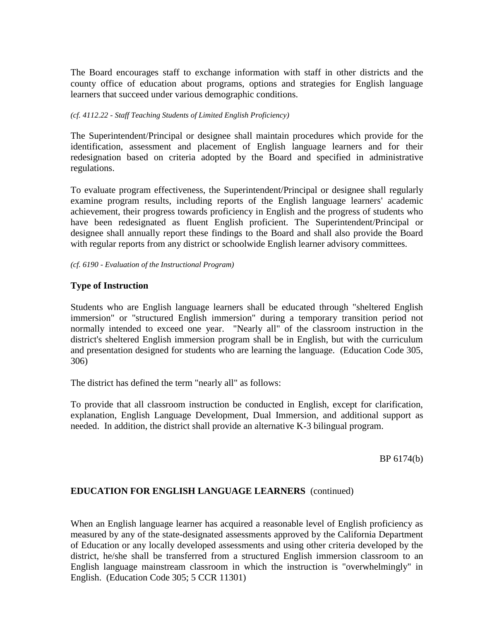The Board encourages staff to exchange information with staff in other districts and the county office of education about programs, options and strategies for English language learners that succeed under various demographic conditions.

#### *(cf. 4112.22 - Staff Teaching Students of Limited English Proficiency)*

The Superintendent/Principal or designee shall maintain procedures which provide for the identification, assessment and placement of English language learners and for their redesignation based on criteria adopted by the Board and specified in administrative regulations.

To evaluate program effectiveness, the Superintendent/Principal or designee shall regularly examine program results, including reports of the English language learners' academic achievement, their progress towards proficiency in English and the progress of students who have been redesignated as fluent English proficient. The Superintendent/Principal or designee shall annually report these findings to the Board and shall also provide the Board with regular reports from any district or schoolwide English learner advisory committees.

#### *(cf. 6190 - Evaluation of the Instructional Program)*

## **Type of Instruction**

Students who are English language learners shall be educated through "sheltered English immersion" or "structured English immersion" during a temporary transition period not normally intended to exceed one year. "Nearly all" of the classroom instruction in the district's sheltered English immersion program shall be in English, but with the curriculum and presentation designed for students who are learning the language. (Education Code 305, 306)

The district has defined the term "nearly all" as follows:

To provide that all classroom instruction be conducted in English, except for clarification, explanation, English Language Development, Dual Immersion, and additional support as needed. In addition, the district shall provide an alternative K-3 bilingual program.

BP 6174(b)

## **EDUCATION FOR ENGLISH LANGUAGE LEARNERS** (continued)

When an English language learner has acquired a reasonable level of English proficiency as measured by any of the state-designated assessments approved by the California Department of Education or any locally developed assessments and using other criteria developed by the district, he/she shall be transferred from a structured English immersion classroom to an English language mainstream classroom in which the instruction is "overwhelmingly" in English. (Education Code 305; 5 CCR 11301)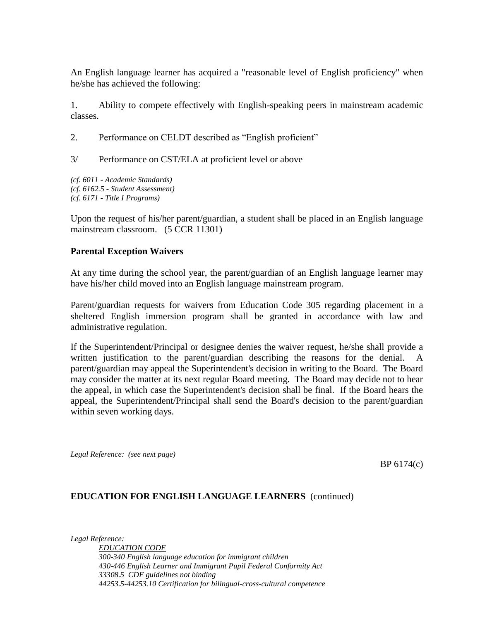An English language learner has acquired a "reasonable level of English proficiency" when he/she has achieved the following:

1. Ability to compete effectively with English-speaking peers in mainstream academic classes.

2. Performance on CELDT described as "English proficient"

3/ Performance on CST/ELA at proficient level or above

*(cf. 6011 - Academic Standards) (cf. 6162.5 - Student Assessment) (cf. 6171 - Title I Programs)*

Upon the request of his/her parent/guardian, a student shall be placed in an English language mainstream classroom. (5 CCR 11301)

## **Parental Exception Waivers**

At any time during the school year, the parent/guardian of an English language learner may have his/her child moved into an English language mainstream program.

Parent/guardian requests for waivers from Education Code 305 regarding placement in a sheltered English immersion program shall be granted in accordance with law and administrative regulation.

If the Superintendent/Principal or designee denies the waiver request, he/she shall provide a written justification to the parent/guardian describing the reasons for the denial. parent/guardian may appeal the Superintendent's decision in writing to the Board. The Board may consider the matter at its next regular Board meeting. The Board may decide not to hear the appeal, in which case the Superintendent's decision shall be final. If the Board hears the appeal, the Superintendent/Principal shall send the Board's decision to the parent/guardian within seven working days.

*Legal Reference: (see next page)*

BP 6174(c)

## **EDUCATION FOR ENGLISH LANGUAGE LEARNERS** (continued)

*Legal Reference:*

*EDUCATION CODE 300-340 English language education for immigrant children 430-446 English Learner and Immigrant Pupil Federal Conformity Act 33308.5 CDE guidelines not binding 44253.5-44253.10 Certification for bilingual-cross-cultural competence*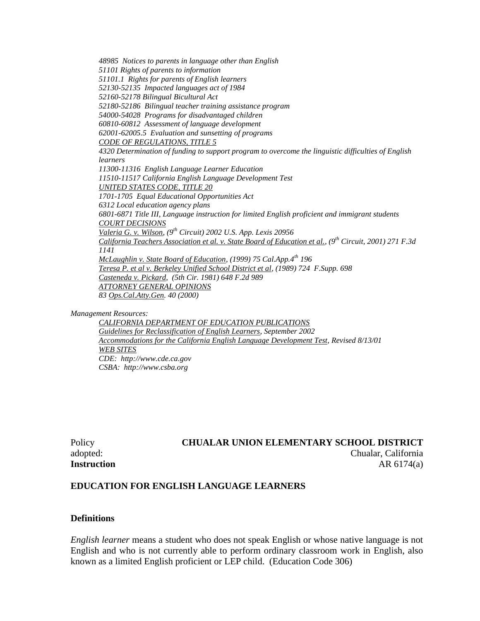*48985 Notices to parents in language other than English 51101 Rights of parents to information 51101.1 Rights for parents of English learners 52130-52135 Impacted languages act of 1984 52160-52178 Bilingual Bicultural Act 52180-52186 Bilingual teacher training assistance program 54000-54028 Programs for disadvantaged children 60810-60812 Assessment of language development 62001-62005.5 Evaluation and sunsetting of programs CODE OF REGULATIONS, TITLE 5 4320 Determination of funding to support program to overcome the linguistic difficulties of English learners 11300-11316 English Language Learner Education 11510-11517 California English Language Development Test UNITED STATES CODE, TITLE 20 1701-1705 Equal Educational Opportunities Act 6312 Local education agency plans 6801-6871 Title III, Language instruction for limited English proficient and immigrant students COURT DECISIONS Valeria G. v. Wilson, (9th Circuit) 2002 U.S. App. Lexis 20956 California Teachers Association et al. v. State Board of Education et al., (9th Circuit, 2001) 271 F.3d 1141 McLaughlin v. State Board of Education, (1999) 75 Cal.App.4th 196 Teresa P. et al v. Berkeley Unified School District et al, (1989) 724 F.Supp. 698 Casteneda v. Pickard, (5th Cir. 1981) 648 F.2d 989 ATTORNEY GENERAL OPINIONS 83 Ops.Cal.Atty.Gen. 40 (2000)*

*Management Resources:*

*CALIFORNIA DEPARTMENT OF EDUCATION PUBLICATIONS Guidelines for Reclassification of English Learners, September 2002 Accommodations for the California English Language Development Test, Revised 8/13/01 WEB SITES CDE: http://www.cde.ca.gov CSBA: http://www.csba.org*

## Policy **CHUALAR UNION ELEMENTARY SCHOOL DISTRICT** adopted: Chualar, California **Instruction** AR 6174(a)

#### **EDUCATION FOR ENGLISH LANGUAGE LEARNERS**

#### **Definitions**

*English learner* means a student who does not speak English or whose native language is not English and who is not currently able to perform ordinary classroom work in English, also known as a limited English proficient or LEP child. (Education Code 306)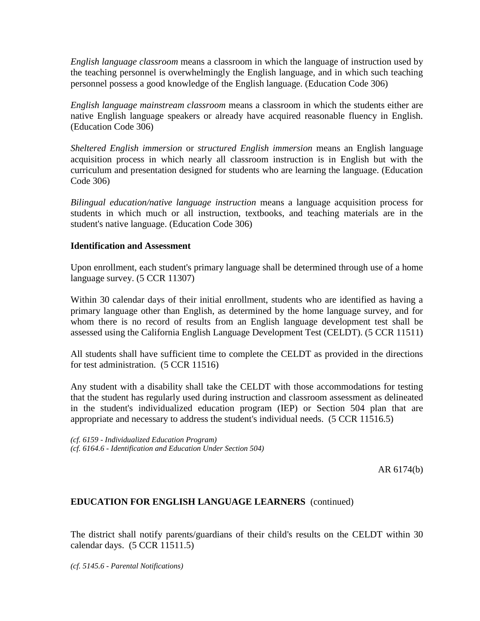*English language classroom* means a classroom in which the language of instruction used by the teaching personnel is overwhelmingly the English language, and in which such teaching personnel possess a good knowledge of the English language. (Education Code 306)

*English language mainstream classroom* means a classroom in which the students either are native English language speakers or already have acquired reasonable fluency in English. (Education Code 306)

*Sheltered English immersion* or *structured English immersion* means an English language acquisition process in which nearly all classroom instruction is in English but with the curriculum and presentation designed for students who are learning the language. (Education Code 306)

*Bilingual education/native language instruction* means a language acquisition process for students in which much or all instruction, textbooks, and teaching materials are in the student's native language. (Education Code 306)

## **Identification and Assessment**

Upon enrollment, each student's primary language shall be determined through use of a home language survey. (5 CCR 11307)

Within 30 calendar days of their initial enrollment, students who are identified as having a primary language other than English, as determined by the home language survey, and for whom there is no record of results from an English language development test shall be assessed using the California English Language Development Test (CELDT). (5 CCR 11511)

All students shall have sufficient time to complete the CELDT as provided in the directions for test administration. (5 CCR 11516)

Any student with a disability shall take the CELDT with those accommodations for testing that the student has regularly used during instruction and classroom assessment as delineated in the student's individualized education program (IEP) or Section 504 plan that are appropriate and necessary to address the student's individual needs. (5 CCR 11516.5)

*(cf. 6159 - Individualized Education Program) (cf. 6164.6 - Identification and Education Under Section 504)*

AR 6174(b)

## **EDUCATION FOR ENGLISH LANGUAGE LEARNERS** (continued)

The district shall notify parents/guardians of their child's results on the CELDT within 30 calendar days. (5 CCR 11511.5)

*(cf. 5145.6 - Parental Notifications)*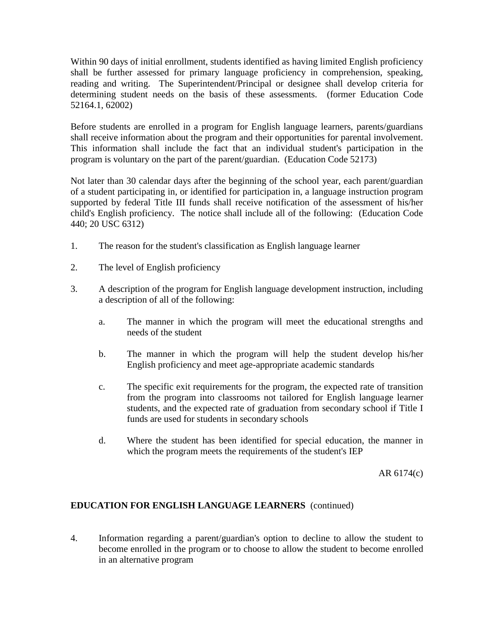Within 90 days of initial enrollment, students identified as having limited English proficiency shall be further assessed for primary language proficiency in comprehension, speaking, reading and writing. The Superintendent/Principal or designee shall develop criteria for determining student needs on the basis of these assessments. (former Education Code 52164.1, 62002)

Before students are enrolled in a program for English language learners, parents/guardians shall receive information about the program and their opportunities for parental involvement. This information shall include the fact that an individual student's participation in the program is voluntary on the part of the parent/guardian. (Education Code 52173)

Not later than 30 calendar days after the beginning of the school year, each parent/guardian of a student participating in, or identified for participation in, a language instruction program supported by federal Title III funds shall receive notification of the assessment of his/her child's English proficiency. The notice shall include all of the following: (Education Code 440; 20 USC 6312)

- 1. The reason for the student's classification as English language learner
- 2. The level of English proficiency
- 3. A description of the program for English language development instruction, including a description of all of the following:
	- a. The manner in which the program will meet the educational strengths and needs of the student
	- b. The manner in which the program will help the student develop his/her English proficiency and meet age-appropriate academic standards
	- c. The specific exit requirements for the program, the expected rate of transition from the program into classrooms not tailored for English language learner students, and the expected rate of graduation from secondary school if Title I funds are used for students in secondary schools
	- d. Where the student has been identified for special education, the manner in which the program meets the requirements of the student's IEP

AR 6174(c)

## **EDUCATION FOR ENGLISH LANGUAGE LEARNERS** (continued)

4. Information regarding a parent/guardian's option to decline to allow the student to become enrolled in the program or to choose to allow the student to become enrolled in an alternative program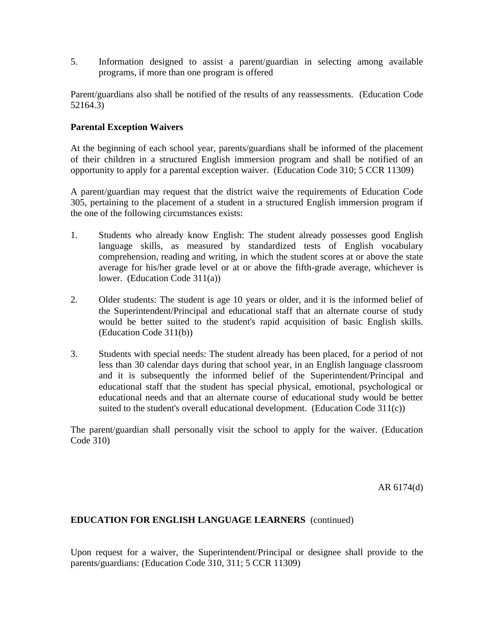5. Information designed to assist a parent/guardian in selecting among available programs, if more than one program is offered

Parent/guardians also shall be notified of the results of any reassessments. (Education Code 52164.3)

## **Parental Exception Waivers**

At the beginning of each school year, parents/guardians shall be informed of the placement of their children in a structured English immersion program and shall be notified of an opportunity to apply for a parental exception waiver. (Education Code 310; 5 CCR 11309)

A parent/guardian may request that the district waive the requirements of Education Code 305, pertaining to the placement of a student in a structured English immersion program if the one of the following circumstances exists:

- 1. Students who already know English: The student already possesses good English language skills, as measured by standardized tests of English vocabulary comprehension, reading and writing, in which the student scores at or above the state average for his/her grade level or at or above the fifth-grade average, whichever is lower. (Education Code 311(a))
- 2. Older students: The student is age 10 years or older, and it is the informed belief of the Superintendent/Principal and educational staff that an alternate course of study would be better suited to the student's rapid acquisition of basic English skills. (Education Code 311(b))
- 3. Students with special needs: The student already has been placed, for a period of not less than 30 calendar days during that school year, in an English language classroom and it is subsequently the informed belief of the Superintendent/Principal and educational staff that the student has special physical, emotional, psychological or educational needs and that an alternate course of educational study would be better suited to the student's overall educational development. (Education Code 311(c))

The parent/guardian shall personally visit the school to apply for the waiver. (Education Code 310)

AR 6174(d)

## **EDUCATION FOR ENGLISH LANGUAGE LEARNERS** (continued)

Upon request for a waiver, the Superintendent/Principal or designee shall provide to the parents/guardians: (Education Code 310, 311; 5 CCR 11309)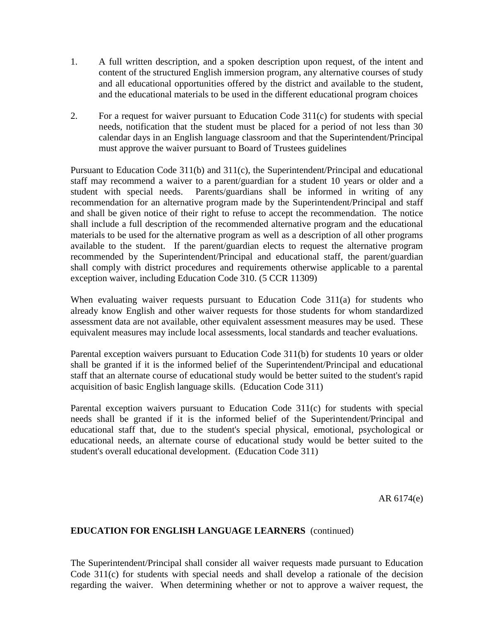- 1. A full written description, and a spoken description upon request, of the intent and content of the structured English immersion program, any alternative courses of study and all educational opportunities offered by the district and available to the student, and the educational materials to be used in the different educational program choices
- 2. For a request for waiver pursuant to Education Code 311(c) for students with special needs, notification that the student must be placed for a period of not less than 30 calendar days in an English language classroom and that the Superintendent/Principal must approve the waiver pursuant to Board of Trustees guidelines

Pursuant to Education Code 311(b) and 311(c), the Superintendent/Principal and educational staff may recommend a waiver to a parent/guardian for a student 10 years or older and a student with special needs. Parents/guardians shall be informed in writing of any recommendation for an alternative program made by the Superintendent/Principal and staff and shall be given notice of their right to refuse to accept the recommendation. The notice shall include a full description of the recommended alternative program and the educational materials to be used for the alternative program as well as a description of all other programs available to the student. If the parent/guardian elects to request the alternative program recommended by the Superintendent/Principal and educational staff, the parent/guardian shall comply with district procedures and requirements otherwise applicable to a parental exception waiver, including Education Code 310. (5 CCR 11309)

When evaluating waiver requests pursuant to Education Code 311(a) for students who already know English and other waiver requests for those students for whom standardized assessment data are not available, other equivalent assessment measures may be used. These equivalent measures may include local assessments, local standards and teacher evaluations.

Parental exception waivers pursuant to Education Code 311(b) for students 10 years or older shall be granted if it is the informed belief of the Superintendent/Principal and educational staff that an alternate course of educational study would be better suited to the student's rapid acquisition of basic English language skills. (Education Code 311)

Parental exception waivers pursuant to Education Code 311(c) for students with special needs shall be granted if it is the informed belief of the Superintendent/Principal and educational staff that, due to the student's special physical, emotional, psychological or educational needs, an alternate course of educational study would be better suited to the student's overall educational development. (Education Code 311)

AR 6174(e)

## **EDUCATION FOR ENGLISH LANGUAGE LEARNERS** (continued)

The Superintendent/Principal shall consider all waiver requests made pursuant to Education Code 311(c) for students with special needs and shall develop a rationale of the decision regarding the waiver. When determining whether or not to approve a waiver request, the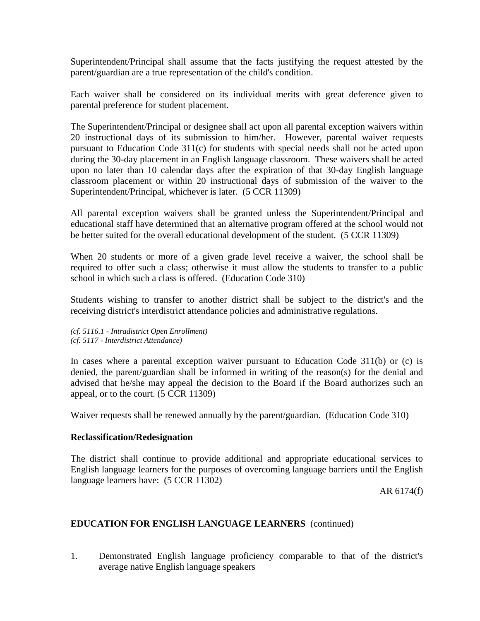Superintendent/Principal shall assume that the facts justifying the request attested by the parent/guardian are a true representation of the child's condition.

Each waiver shall be considered on its individual merits with great deference given to parental preference for student placement.

The Superintendent/Principal or designee shall act upon all parental exception waivers within 20 instructional days of its submission to him/her. However, parental waiver requests pursuant to Education Code 311(c) for students with special needs shall not be acted upon during the 30-day placement in an English language classroom. These waivers shall be acted upon no later than 10 calendar days after the expiration of that 30-day English language classroom placement or within 20 instructional days of submission of the waiver to the Superintendent/Principal, whichever is later. (5 CCR 11309)

All parental exception waivers shall be granted unless the Superintendent/Principal and educational staff have determined that an alternative program offered at the school would not be better suited for the overall educational development of the student. (5 CCR 11309)

When 20 students or more of a given grade level receive a waiver, the school shall be required to offer such a class; otherwise it must allow the students to transfer to a public school in which such a class is offered. (Education Code 310)

Students wishing to transfer to another district shall be subject to the district's and the receiving district's interdistrict attendance policies and administrative regulations.

*(cf. 5116.1 - Intradistrict Open Enrollment) (cf. 5117 - Interdistrict Attendance)*

In cases where a parental exception waiver pursuant to Education Code 311(b) or (c) is denied, the parent/guardian shall be informed in writing of the reason(s) for the denial and advised that he/she may appeal the decision to the Board if the Board authorizes such an appeal, or to the court. (5 CCR 11309)

Waiver requests shall be renewed annually by the parent/guardian. (Education Code 310)

## **Reclassification/Redesignation**

The district shall continue to provide additional and appropriate educational services to English language learners for the purposes of overcoming language barriers until the English language learners have: (5 CCR 11302)

AR 6174(f)

## **EDUCATION FOR ENGLISH LANGUAGE LEARNERS** (continued)

1. Demonstrated English language proficiency comparable to that of the district's average native English language speakers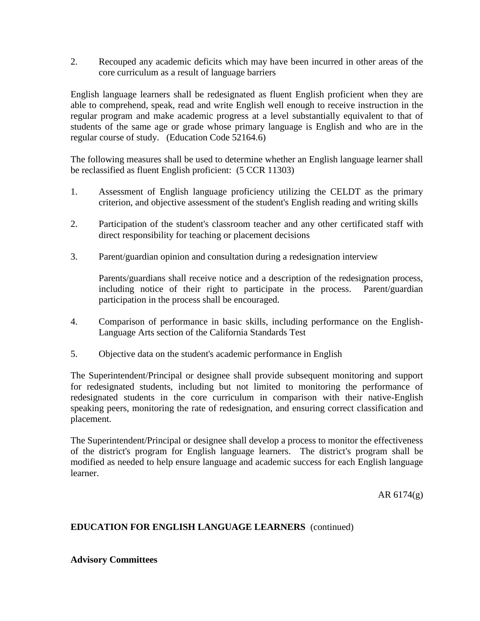2. Recouped any academic deficits which may have been incurred in other areas of the core curriculum as a result of language barriers

English language learners shall be redesignated as fluent English proficient when they are able to comprehend, speak, read and write English well enough to receive instruction in the regular program and make academic progress at a level substantially equivalent to that of students of the same age or grade whose primary language is English and who are in the regular course of study. (Education Code 52164.6)

The following measures shall be used to determine whether an English language learner shall be reclassified as fluent English proficient: (5 CCR 11303)

- 1. Assessment of English language proficiency utilizing the CELDT as the primary criterion, and objective assessment of the student's English reading and writing skills
- 2. Participation of the student's classroom teacher and any other certificated staff with direct responsibility for teaching or placement decisions
- 3. Parent/guardian opinion and consultation during a redesignation interview

Parents/guardians shall receive notice and a description of the redesignation process, including notice of their right to participate in the process. Parent/guardian participation in the process shall be encouraged.

- 4. Comparison of performance in basic skills, including performance on the English-Language Arts section of the California Standards Test
- 5. Objective data on the student's academic performance in English

The Superintendent/Principal or designee shall provide subsequent monitoring and support for redesignated students, including but not limited to monitoring the performance of redesignated students in the core curriculum in comparison with their native-English speaking peers, monitoring the rate of redesignation, and ensuring correct classification and placement.

The Superintendent/Principal or designee shall develop a process to monitor the effectiveness of the district's program for English language learners. The district's program shall be modified as needed to help ensure language and academic success for each English language learner.

AR 6174(g)

## **EDUCATION FOR ENGLISH LANGUAGE LEARNERS** (continued)

## **Advisory Committees**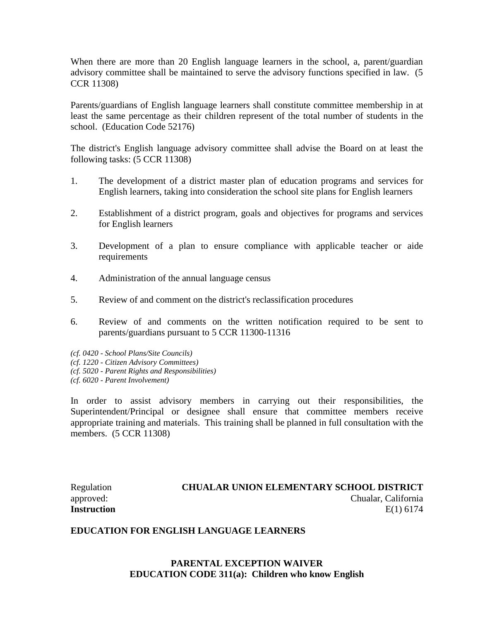When there are more than 20 English language learners in the school, a, parent/guardian advisory committee shall be maintained to serve the advisory functions specified in law. (5 CCR 11308)

Parents/guardians of English language learners shall constitute committee membership in at least the same percentage as their children represent of the total number of students in the school. (Education Code 52176)

The district's English language advisory committee shall advise the Board on at least the following tasks: (5 CCR 11308)

- 1. The development of a district master plan of education programs and services for English learners, taking into consideration the school site plans for English learners
- 2. Establishment of a district program, goals and objectives for programs and services for English learners
- 3. Development of a plan to ensure compliance with applicable teacher or aide requirements
- 4. Administration of the annual language census
- 5. Review of and comment on the district's reclassification procedures
- 6. Review of and comments on the written notification required to be sent to parents/guardians pursuant to 5 CCR 11300-11316
- *(cf. 0420 - School Plans/Site Councils)*
- *(cf. 1220 - Citizen Advisory Committees)*
- *(cf. 5020 - Parent Rights and Responsibilities)*
- *(cf. 6020 - Parent Involvement)*

In order to assist advisory members in carrying out their responsibilities, the Superintendent/Principal or designee shall ensure that committee members receive appropriate training and materials. This training shall be planned in full consultation with the members. (5 CCR 11308)

## Regulation **CHUALAR UNION ELEMENTARY SCHOOL DISTRICT** approved: Chualar, California **Instruction** E(1) 6174

## **EDUCATION FOR ENGLISH LANGUAGE LEARNERS**

## **PARENTAL EXCEPTION WAIVER EDUCATION CODE 311(a): Children who know English**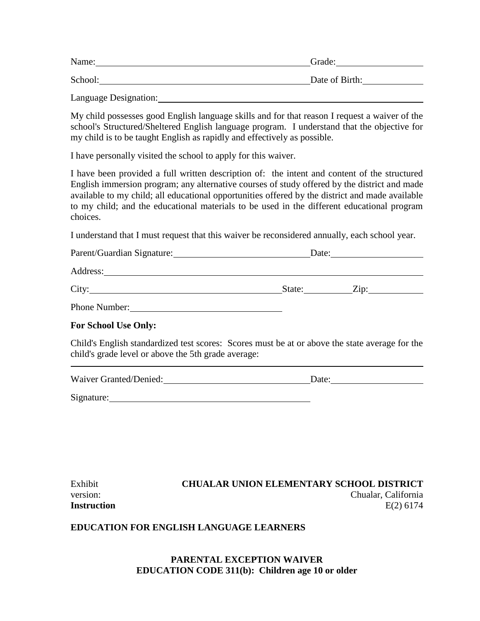| Name:   | Grade:         |
|---------|----------------|
| School: | Date of Birth: |

Language Designation:

My child possesses good English language skills and for that reason I request a waiver of the school's Structured/Sheltered English language program. I understand that the objective for my child is to be taught English as rapidly and effectively as possible.

I have personally visited the school to apply for this waiver.

I have been provided a full written description of: the intent and content of the structured English immersion program; any alternative courses of study offered by the district and made available to my child; all educational opportunities offered by the district and made available to my child; and the educational materials to be used in the different educational program choices.

I understand that I must request that this waiver be reconsidered annually, each school year.

| Parent/Guardian Signature: | Date:  |                    |
|----------------------------|--------|--------------------|
| Address:                   |        |                    |
| City:                      | State: | $\overline{Lip}$ : |
| Phone Number:              |        |                    |

## **For School Use Only:**

Child's English standardized test scores: Scores must be at or above the state average for the child's grade level or above the 5th grade average:

| Waiver Granted/Denied: |  |
|------------------------|--|
|                        |  |

Signature:

| Exhibit     | <b>CHUALAR UNION ELEMENTARY SCHOOL DISTRICT</b> |
|-------------|-------------------------------------------------|
| version:    | Chualar, California                             |
| Instruction | $E(2)$ 6174                                     |

## **EDUCATION FOR ENGLISH LANGUAGE LEARNERS**

## **PARENTAL EXCEPTION WAIVER EDUCATION CODE 311(b): Children age 10 or older**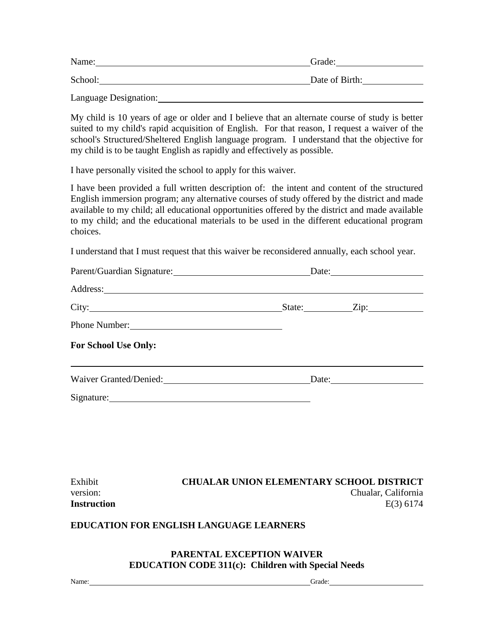Language Designation:

My child is 10 years of age or older and I believe that an alternate course of study is better suited to my child's rapid acquisition of English. For that reason, I request a waiver of the school's Structured/Sheltered English language program. I understand that the objective for my child is to be taught English as rapidly and effectively as possible.

I have personally visited the school to apply for this waiver.

I have been provided a full written description of: the intent and content of the structured English immersion program; any alternative courses of study offered by the district and made available to my child; all educational opportunities offered by the district and made available to my child; and the educational materials to be used in the different educational program choices.

I understand that I must request that this waiver be reconsidered annually, each school year.

|                                                                                                                                                                                                                                | Date: $\frac{1}{\sqrt{1-\frac{1}{2}} \cdot \frac{1}{2}}$ |                    |
|--------------------------------------------------------------------------------------------------------------------------------------------------------------------------------------------------------------------------------|----------------------------------------------------------|--------------------|
|                                                                                                                                                                                                                                |                                                          |                    |
|                                                                                                                                                                                                                                |                                                          | State: <u>Zip:</u> |
| Phone Number:                                                                                                                                                                                                                  |                                                          |                    |
| <b>For School Use Only:</b>                                                                                                                                                                                                    |                                                          |                    |
|                                                                                                                                                                                                                                |                                                          | Date:              |
| Signature: New York Changes and Science of the Changes of the Changes of the Changes of the Changes of the Changes of the Changes of the Changes of the Changes of the Changes of the Changes of the Changes of the Changes of |                                                          |                    |
|                                                                                                                                                                                                                                |                                                          |                    |

| Exhibit            | <b>CHUALAR UNION ELEMENTARY SCHOOL DISTRICT</b> |
|--------------------|-------------------------------------------------|
| version:           | Chualar, California                             |
| <b>Instruction</b> | $E(3)$ 6174                                     |

## **EDUCATION FOR ENGLISH LANGUAGE LEARNERS**

## **PARENTAL EXCEPTION WAIVER EDUCATION CODE 311(c): Children with Special Needs**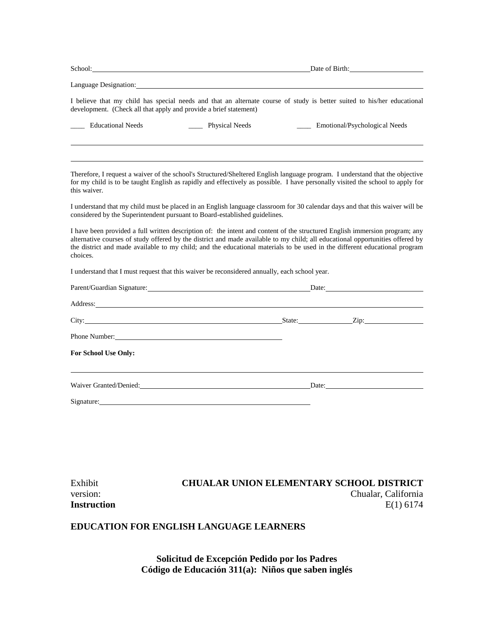|                                                                                                                                                                                                                                | Date of Birth:                                                                                                                                                                                                                                                                                                                                                                             |  |
|--------------------------------------------------------------------------------------------------------------------------------------------------------------------------------------------------------------------------------|--------------------------------------------------------------------------------------------------------------------------------------------------------------------------------------------------------------------------------------------------------------------------------------------------------------------------------------------------------------------------------------------|--|
| Language Designation:                                                                                                                                                                                                          |                                                                                                                                                                                                                                                                                                                                                                                            |  |
| development. (Check all that apply and provide a brief statement)                                                                                                                                                              | I believe that my child has special needs and that an alternate course of study is better suited to his/her educational                                                                                                                                                                                                                                                                    |  |
| <b>Educational Needs</b>                                                                                                                                                                                                       | _____ Emotional/Psychological Needs<br>_____ Physical Needs                                                                                                                                                                                                                                                                                                                                |  |
|                                                                                                                                                                                                                                |                                                                                                                                                                                                                                                                                                                                                                                            |  |
| this waiver.                                                                                                                                                                                                                   | Therefore, I request a waiver of the school's Structured/Sheltered English language program. I understand that the objective<br>for my child is to be taught English as rapidly and effectively as possible. I have personally visited the school to apply for                                                                                                                             |  |
| considered by the Superintendent pursuant to Board-established guidelines.                                                                                                                                                     | I understand that my child must be placed in an English language classroom for 30 calendar days and that this waiver will be                                                                                                                                                                                                                                                               |  |
| choices.                                                                                                                                                                                                                       | I have been provided a full written description of: the intent and content of the structured English immersion program; any<br>alternative courses of study offered by the district and made available to my child; all educational opportunities offered by<br>the district and made available to my child; and the educational materials to be used in the different educational program |  |
| I understand that I must request that this waiver be reconsidered annually, each school year.                                                                                                                                  |                                                                                                                                                                                                                                                                                                                                                                                            |  |
|                                                                                                                                                                                                                                | Parent/Guardian Signature: Date: Date: Date:                                                                                                                                                                                                                                                                                                                                               |  |
| Address: the contract of the contract of the contract of the contract of the contract of the contract of the contract of the contract of the contract of the contract of the contract of the contract of the contract of the c |                                                                                                                                                                                                                                                                                                                                                                                            |  |
|                                                                                                                                                                                                                                | City: <u>City:</u> City: 2ip:                                                                                                                                                                                                                                                                                                                                                              |  |
| Phone Number: 2008                                                                                                                                                                                                             |                                                                                                                                                                                                                                                                                                                                                                                            |  |
| For School Use Only:                                                                                                                                                                                                           |                                                                                                                                                                                                                                                                                                                                                                                            |  |
|                                                                                                                                                                                                                                | Waiver Granted/Denied: Date: Date:                                                                                                                                                                                                                                                                                                                                                         |  |
| Signature: Signature:                                                                                                                                                                                                          |                                                                                                                                                                                                                                                                                                                                                                                            |  |
|                                                                                                                                                                                                                                |                                                                                                                                                                                                                                                                                                                                                                                            |  |
|                                                                                                                                                                                                                                |                                                                                                                                                                                                                                                                                                                                                                                            |  |
|                                                                                                                                                                                                                                |                                                                                                                                                                                                                                                                                                                                                                                            |  |

| Exhibit            | <b>CHUALAR UNION ELEMENTARY SCHOOL DISTRICT</b> |
|--------------------|-------------------------------------------------|
| version:           | Chualar, California                             |
| <b>Instruction</b> | $E(1)$ 6174                                     |

## **EDUCATION FOR ENGLISH LANGUAGE LEARNERS**

**Solicitud de Excepción Pedido por los Padres Código de Educación 311(a): Niños que saben inglés**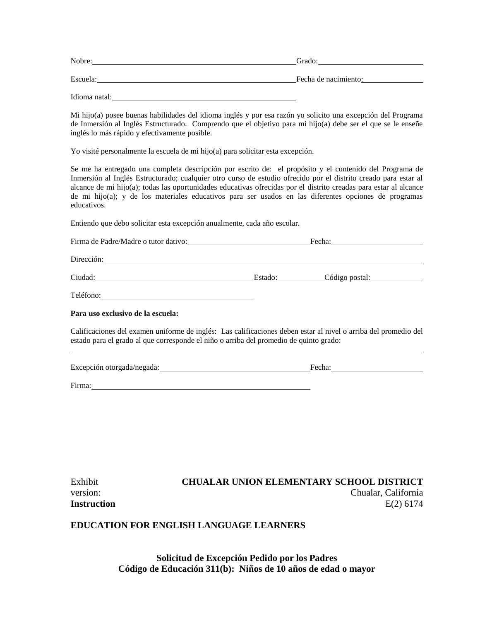| Nobre:        | Grado:               |
|---------------|----------------------|
| Escuela:      | Fecha de nacimiento: |
| Idioma natal: |                      |

Mi hijo(a) posee buenas habilidades del idioma inglés y por esa razón yo solicito una excepción del Programa de Inmersión al Inglés Estructurado. Comprendo que el objetivo para mi hijo(a) debe ser el que se le enseñe inglés lo más rápido y efectivamente posible.

Yo visité personalmente la escuela de mi hijo(a) para solicitar esta excepción.

Se me ha entregado una completa descripción por escrito de: el propósito y el contenido del Programa de Inmersión al Inglés Estructurado; cualquier otro curso de estudio ofrecido por el distrito creado para estar al alcance de mi hijo(a); todas las oportunidades educativas ofrecidas por el distrito creadas para estar al alcance de mi hijo(a); y de los materiales educativos para ser usados en las diferentes opciones de programas educativos.

Entiendo que debo solicitar esta excepción anualmente, cada año escolar.

| Firma de Padre/Madre o tutor dativo:                                                                                              | Fecha: Prechara Press and Precharance Precharance Press and Press and Press and Press and Press and Press and Press and Press and Press and Press and Press and Press and Press and Press and Press and Press and Press and Pr |                        |  |
|-----------------------------------------------------------------------------------------------------------------------------------|--------------------------------------------------------------------------------------------------------------------------------------------------------------------------------------------------------------------------------|------------------------|--|
|                                                                                                                                   |                                                                                                                                                                                                                                |                        |  |
| Ciudad:                                                                                                                           |                                                                                                                                                                                                                                | Estado: Código postal: |  |
| Teléfono:<br><u> 1980 - Jan Samuel Barbara, martin da shekara 1980 - An tsa a tsa a tsa a tsa a tsa a tsa a tsa a tsa a tsa a</u> |                                                                                                                                                                                                                                |                        |  |
| Para uso exclusivo de la escuela:                                                                                                 |                                                                                                                                                                                                                                |                        |  |

Calificaciones del examen uniforme de inglés: Las calificaciones deben estar al nivel o arriba del promedio del estado para el grado al que corresponde el niño o arriba del promedio de quinto grado:

| Excepción otorgada/negada: | Fecha |
|----------------------------|-------|
|                            |       |

Firma:

| Exhibit     | <b>CHUALAR UNION ELEMENTARY SCHOOL DISTRICT</b> |
|-------------|-------------------------------------------------|
| version:    | Chualar, California                             |
| Instruction | $E(2)$ 6174                                     |

#### **EDUCATION FOR ENGLISH LANGUAGE LEARNERS**

**Solicitud de Excepción Pedido por los Padres Código de Educación 311(b): Niños de 10 años de edad o mayor**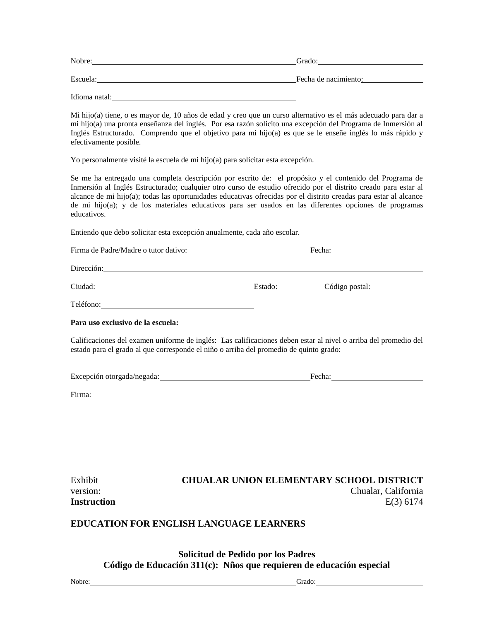| Nobre:        | Grado:               |
|---------------|----------------------|
| Escuela:      | Fecha de nacimiento: |
| Idioma natal: |                      |

Mi hijo(a) tiene, o es mayor de, 10 años de edad y creo que un curso alternativo es el más adecuado para dar a mi hijo(a) una pronta enseñanza del inglés. Por esa razón solicito una excepción del Programa de Inmersión al Inglés Estructurado. Comprendo que el objetivo para mi hijo(a) es que se le enseñe inglés lo más rápido y efectivamente posible.

Yo personalmente visité la escuela de mi hijo(a) para solicitar esta excepción.

Se me ha entregado una completa descripción por escrito de: el propósito y el contenido del Programa de Inmersión al Inglés Estructurado; cualquier otro curso de estudio ofrecido por el distrito creado para estar al alcance de mi hijo(a); todas las oportunidades educativas ofrecidas por el distrito creadas para estar al alcance de mi hijo(a); y de los materiales educativos para ser usados en las diferentes opciones de programas educativos.

Entiendo que debo solicitar esta excepción anualmente, cada año escolar.

| Firma de Padre/Madre o tutor dativo:                                                                                          |         | Fecha:         |  |  |
|-------------------------------------------------------------------------------------------------------------------------------|---------|----------------|--|--|
| Dirección:                                                                                                                    |         |                |  |  |
| Ciudad:<br><u>and the contract of the contract of the contract of the contract of the contract of the contract of the con</u> | Estado: | Código postal: |  |  |
| Teléfono:                                                                                                                     |         |                |  |  |

**Para uso exclusivo de la escuela:**

Calificaciones del examen uniforme de inglés: Las calificaciones deben estar al nivel o arriba del promedio del estado para el grado al que corresponde el niño o arriba del promedio de quinto grado:

Excepción otorgada/negada: Fecha:

Firma:

| Exhibit            | <b>CHUALAR UNION ELEMENTARY SCHOOL DISTRICT</b> |
|--------------------|-------------------------------------------------|
| version:           | Chualar, California                             |
| <b>Instruction</b> | $E(3)$ 6174                                     |

#### **EDUCATION FOR ENGLISH LANGUAGE LEARNERS**

**Solicitud de Pedido por los Padres Código de Educación 311(c): Nños que requieren de educación especial**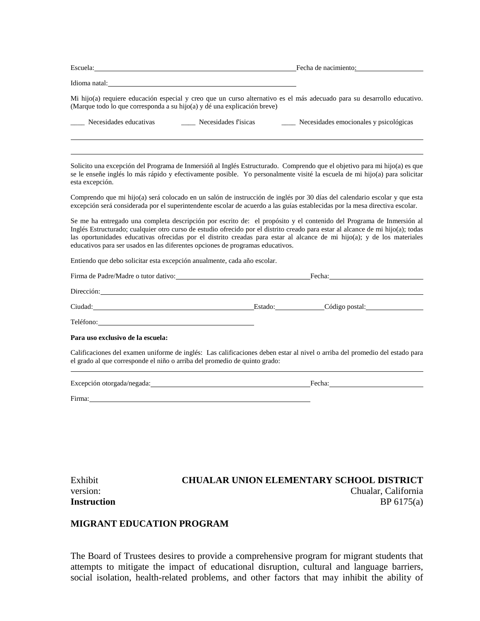|                                   | Escuela: Fecha de nacimiento: Fecha de nacimiento:                                                                                                                                                                             |                                                                  |                                                                                                                                                                                                                                                                                                                                                                                    |  |
|-----------------------------------|--------------------------------------------------------------------------------------------------------------------------------------------------------------------------------------------------------------------------------|------------------------------------------------------------------|------------------------------------------------------------------------------------------------------------------------------------------------------------------------------------------------------------------------------------------------------------------------------------------------------------------------------------------------------------------------------------|--|
|                                   | Idioma natal: experience and the second service of the service of the service of the service of the service of the service of the service of the service of the service of the service of the service of the service of the se |                                                                  |                                                                                                                                                                                                                                                                                                                                                                                    |  |
|                                   | (Marque todo lo que corresponda a su hijo(a) y dé una explicación breve)                                                                                                                                                       |                                                                  | Mi hijo(a) requiere educación especial y creo que un curso alternativo es el más adecuado para su desarrollo educativo.                                                                                                                                                                                                                                                            |  |
| __ Necesidades educativas         | ____ Necesidades fisicas                                                                                                                                                                                                       |                                                                  | ____ Necesidades emocionales y psicológicas                                                                                                                                                                                                                                                                                                                                        |  |
| esta excepción.                   |                                                                                                                                                                                                                                |                                                                  | Solicito una excepción del Programa de Inmersióñ al Inglés Estructurado. Comprendo que el objetivo para mi hijo(a) es que<br>se le enseñe inglés lo más rápido y efectivamente posible. Yo personalmente visité la escuela de mi hijo(a) para solicitar                                                                                                                            |  |
|                                   |                                                                                                                                                                                                                                |                                                                  | Comprendo que mi hijo(a) será colocado en un salón de instrucción de inglés por 30 días del calendario escolar y que esta<br>excepción será considerada por el superintendente escolar de acuerdo a las guías establecidas por la mesa directiva escolar.                                                                                                                          |  |
|                                   | educativos para ser usados en las diferentes opciones de programas educativos.                                                                                                                                                 |                                                                  | Se me ha entregado una completa descripción por escrito de: el propósito y el contenido del Programa de Inmersión al<br>Inglés Estructurado; cualquier otro curso de estudio ofrecido por el distrito creado para estar al alcance de mi hijo(a); todas<br>las oportunidades educativas ofrecidas por el distrito creadas para estar al alcance de mi hijo(a); y de los materiales |  |
|                                   | Entiendo que debo solicitar esta excepción anualmente, cada año escolar.                                                                                                                                                       |                                                                  |                                                                                                                                                                                                                                                                                                                                                                                    |  |
|                                   |                                                                                                                                                                                                                                | Firma de Padre/Madre o tutor dativo: Fecha: Fecha: Fecha: Fecha: |                                                                                                                                                                                                                                                                                                                                                                                    |  |
| Dirección:                        |                                                                                                                                                                                                                                |                                                                  |                                                                                                                                                                                                                                                                                                                                                                                    |  |
|                                   | Código postal: Código postal: Código postal: Código postal:                                                                                                                                                                    |                                                                  |                                                                                                                                                                                                                                                                                                                                                                                    |  |
| Teléfono: Teléfono:               |                                                                                                                                                                                                                                |                                                                  |                                                                                                                                                                                                                                                                                                                                                                                    |  |
| Para uso exclusivo de la escuela: |                                                                                                                                                                                                                                |                                                                  |                                                                                                                                                                                                                                                                                                                                                                                    |  |
|                                   | el grado al que corresponde el niño o arriba del promedio de quinto grado:                                                                                                                                                     |                                                                  | Calificaciones del examen uniforme de inglés: Las calificaciones deben estar al nivel o arriba del promedio del estado para                                                                                                                                                                                                                                                        |  |
|                                   |                                                                                                                                                                                                                                |                                                                  | Excepción otorgada/negada: Fecha: Fecha: Fecha: Fecha: Fecha: Fecha: Fecha: Fecha: Fecha: Fecha: Fecha: Fecha: Fecha: Fecha: Fecha: Fecha: Fecha: Fecha: Fecha: Fecha: Fecha: Fecha: Fecha: Fecha: Fecha: Fecha: Fecha: Fecha:                                                                                                                                                     |  |
|                                   | Firma: Electrical Contract Contract Contract Contract Contract Contract Contract Contract Contract Contract Contract Contract Contract Contract Contract Contract Contract Contract Contract Contract Contract Contract Contra |                                                                  |                                                                                                                                                                                                                                                                                                                                                                                    |  |
|                                   |                                                                                                                                                                                                                                |                                                                  |                                                                                                                                                                                                                                                                                                                                                                                    |  |
|                                   |                                                                                                                                                                                                                                |                                                                  |                                                                                                                                                                                                                                                                                                                                                                                    |  |
|                                   |                                                                                                                                                                                                                                |                                                                  |                                                                                                                                                                                                                                                                                                                                                                                    |  |
|                                   |                                                                                                                                                                                                                                |                                                                  |                                                                                                                                                                                                                                                                                                                                                                                    |  |
| Exhibit<br>version:               |                                                                                                                                                                                                                                |                                                                  | <b>CHUALAR UNION ELEMENTARY SCHOOL DISTRICT</b><br>Chualar, California                                                                                                                                                                                                                                                                                                             |  |

# **Instruction** BP 6175(a)

## **MIGRANT EDUCATION PROGRAM**

The Board of Trustees desires to provide a comprehensive program for migrant students that attempts to mitigate the impact of educational disruption, cultural and language barriers, social isolation, health-related problems, and other factors that may inhibit the ability of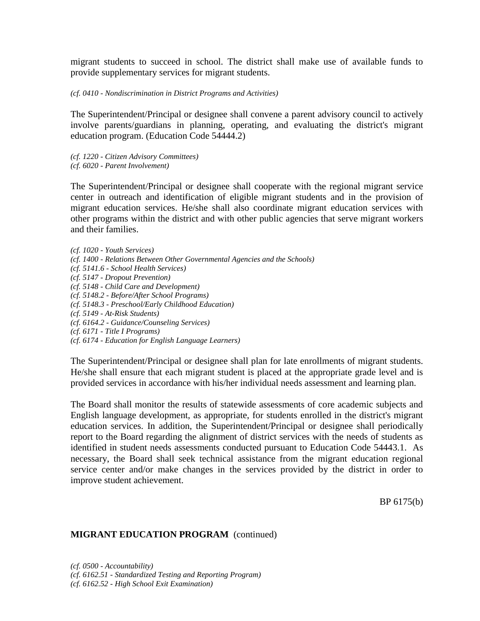migrant students to succeed in school. The district shall make use of available funds to provide supplementary services for migrant students.

*(cf. 0410 - Nondiscrimination in District Programs and Activities)*

The Superintendent/Principal or designee shall convene a parent advisory council to actively involve parents/guardians in planning, operating, and evaluating the district's migrant education program. (Education Code 54444.2)

*(cf. 1220 - Citizen Advisory Committees)*

*(cf. 6020 - Parent Involvement)*

The Superintendent/Principal or designee shall cooperate with the regional migrant service center in outreach and identification of eligible migrant students and in the provision of migrant education services. He/she shall also coordinate migrant education services with other programs within the district and with other public agencies that serve migrant workers and their families.

*(cf. 1020 - Youth Services) (cf. 1400 - Relations Between Other Governmental Agencies and the Schools) (cf. 5141.6 - School Health Services) (cf. 5147 - Dropout Prevention) (cf. 5148 - Child Care and Development) (cf. 5148.2 - Before/After School Programs) (cf. 5148.3 - Preschool/Early Childhood Education) (cf. 5149 - At-Risk Students) (cf. 6164.2 - Guidance/Counseling Services) (cf. 6171 - Title I Programs) (cf. 6174 - Education for English Language Learners)*

The Superintendent/Principal or designee shall plan for late enrollments of migrant students. He/she shall ensure that each migrant student is placed at the appropriate grade level and is provided services in accordance with his/her individual needs assessment and learning plan.

The Board shall monitor the results of statewide assessments of core academic subjects and English language development, as appropriate, for students enrolled in the district's migrant education services. In addition, the Superintendent/Principal or designee shall periodically report to the Board regarding the alignment of district services with the needs of students as identified in student needs assessments conducted pursuant to Education Code 54443.1. As necessary, the Board shall seek technical assistance from the migrant education regional service center and/or make changes in the services provided by the district in order to improve student achievement.

BP 6175(b)

## **MIGRANT EDUCATION PROGRAM** (continued)

*(cf. 0500 - Accountability) (cf. 6162.51 - Standardized Testing and Reporting Program) (cf. 6162.52 - High School Exit Examination)*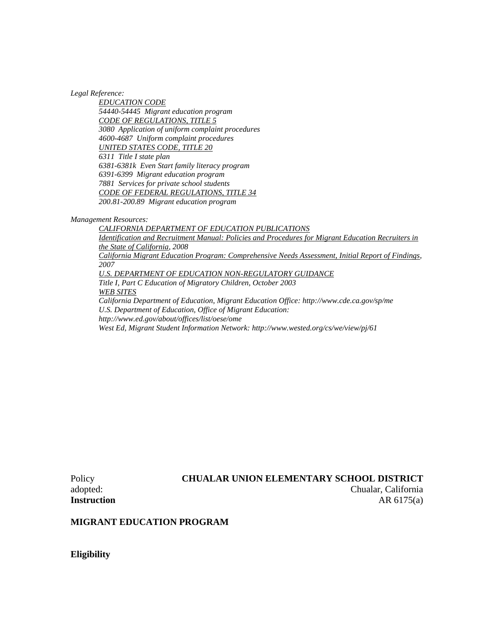*Legal Reference:*

*EDUCATION CODE 54440-54445 Migrant education program CODE OF REGULATIONS, TITLE 5 3080 Application of uniform complaint procedures 4600-4687 Uniform complaint procedures UNITED STATES CODE, TITLE 20 6311 Title I state plan 6381-6381k Even Start family literacy program 6391-6399 Migrant education program 7881 Services for private school students CODE OF FEDERAL REGULATIONS, TITLE 34 200.81-200.89 Migrant education program*

*Management Resources:*

*CALIFORNIA DEPARTMENT OF EDUCATION PUBLICATIONS Identification and Recruitment Manual: Policies and Procedures for Migrant Education Recruiters in the State of California, 2008 California Migrant Education Program: Comprehensive Needs Assessment, Initial Report of Findings, 2007 U.S. DEPARTMENT OF EDUCATION NON-REGULATORY GUIDANCE Title I, Part C Education of Migratory Children, October 2003 WEB SITES California Department of Education, Migrant Education Office: http://www.cde.ca.gov/sp/me U.S. Department of Education, Office of Migrant Education: http://www.ed.gov/about/offices/list/oese/ome West Ed, Migrant Student Information Network: http://www.wested.org/cs/we/view/pj/61*

Policy **CHUALAR UNION ELEMENTARY SCHOOL DISTRICT** adopted: Chualar, California **Instruction** AR 6175(a)

#### **MIGRANT EDUCATION PROGRAM**

**Eligibility**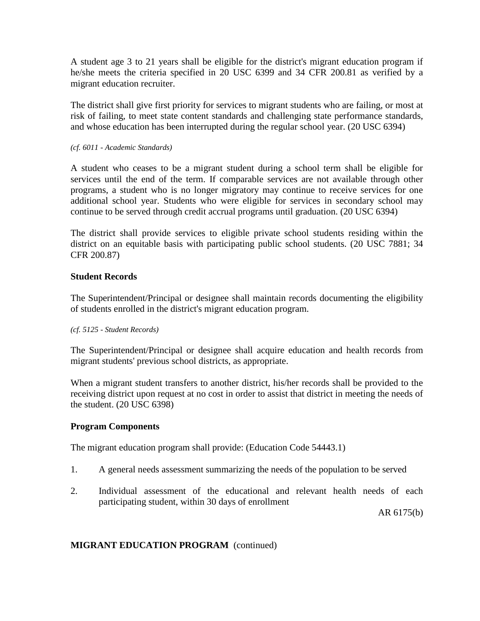A student age 3 to 21 years shall be eligible for the district's migrant education program if he/she meets the criteria specified in 20 USC 6399 and 34 CFR 200.81 as verified by a migrant education recruiter.

The district shall give first priority for services to migrant students who are failing, or most at risk of failing, to meet state content standards and challenging state performance standards, and whose education has been interrupted during the regular school year. (20 USC 6394)

*(cf. 6011 - Academic Standards)*

A student who ceases to be a migrant student during a school term shall be eligible for services until the end of the term. If comparable services are not available through other programs, a student who is no longer migratory may continue to receive services for one additional school year. Students who were eligible for services in secondary school may continue to be served through credit accrual programs until graduation. (20 USC 6394)

The district shall provide services to eligible private school students residing within the district on an equitable basis with participating public school students. (20 USC 7881; 34 CFR 200.87)

## **Student Records**

The Superintendent/Principal or designee shall maintain records documenting the eligibility of students enrolled in the district's migrant education program.

## *(cf. 5125 - Student Records)*

The Superintendent/Principal or designee shall acquire education and health records from migrant students' previous school districts, as appropriate.

When a migrant student transfers to another district, his/her records shall be provided to the receiving district upon request at no cost in order to assist that district in meeting the needs of the student. (20 USC 6398)

## **Program Components**

The migrant education program shall provide: (Education Code 54443.1)

- 1. A general needs assessment summarizing the needs of the population to be served
- 2. Individual assessment of the educational and relevant health needs of each participating student, within 30 days of enrollment

AR 6175(b)

## **MIGRANT EDUCATION PROGRAM** (continued)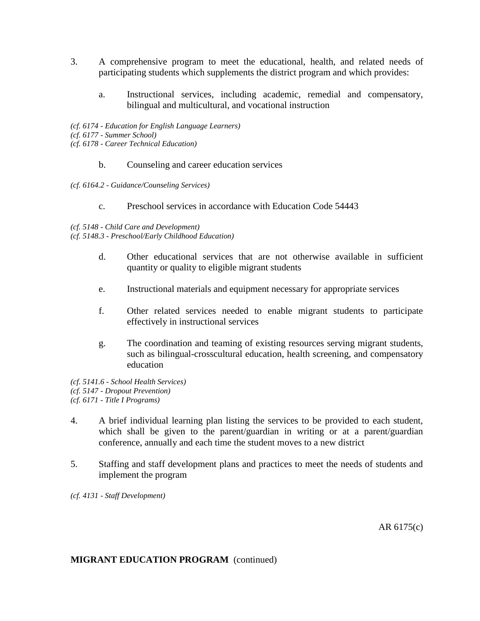- 3. A comprehensive program to meet the educational, health, and related needs of participating students which supplements the district program and which provides:
	- a. Instructional services, including academic, remedial and compensatory, bilingual and multicultural, and vocational instruction
- *(cf. 6174 - Education for English Language Learners)*
- *(cf. 6177 - Summer School)*
- *(cf. 6178 - Career Technical Education)*
	- b. Counseling and career education services
- *(cf. 6164.2 - Guidance/Counseling Services)*
	- c. Preschool services in accordance with Education Code 54443

#### *(cf. 5148 - Child Care and Development)*

*(cf. 5148.3 - Preschool/Early Childhood Education)*

- d. Other educational services that are not otherwise available in sufficient quantity or quality to eligible migrant students
- e. Instructional materials and equipment necessary for appropriate services
- f. Other related services needed to enable migrant students to participate effectively in instructional services
- g. The coordination and teaming of existing resources serving migrant students, such as bilingual-crosscultural education, health screening, and compensatory education
- *(cf. 5141.6 - School Health Services) (cf. 5147 - Dropout Prevention) (cf. 6171 - Title I Programs)*
- 4. A brief individual learning plan listing the services to be provided to each student, which shall be given to the parent/guardian in writing or at a parent/guardian conference, annually and each time the student moves to a new district
- 5. Staffing and staff development plans and practices to meet the needs of students and implement the program

*(cf. 4131 - Staff Development)*

AR 6175(c)

## **MIGRANT EDUCATION PROGRAM** (continued)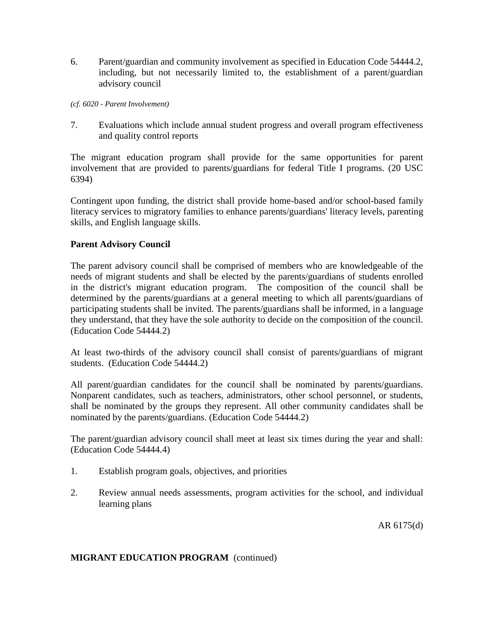6. Parent/guardian and community involvement as specified in Education Code 54444.2, including, but not necessarily limited to, the establishment of a parent/guardian advisory council

*(cf. 6020 - Parent Involvement)*

7. Evaluations which include annual student progress and overall program effectiveness and quality control reports

The migrant education program shall provide for the same opportunities for parent involvement that are provided to parents/guardians for federal Title I programs. (20 USC 6394)

Contingent upon funding, the district shall provide home-based and/or school-based family literacy services to migratory families to enhance parents/guardians' literacy levels, parenting skills, and English language skills.

## **Parent Advisory Council**

The parent advisory council shall be comprised of members who are knowledgeable of the needs of migrant students and shall be elected by the parents/guardians of students enrolled in the district's migrant education program. The composition of the council shall be determined by the parents/guardians at a general meeting to which all parents/guardians of participating students shall be invited. The parents/guardians shall be informed, in a language they understand, that they have the sole authority to decide on the composition of the council. (Education Code 54444.2)

At least two-thirds of the advisory council shall consist of parents/guardians of migrant students. (Education Code 54444.2)

All parent/guardian candidates for the council shall be nominated by parents/guardians. Nonparent candidates, such as teachers, administrators, other school personnel, or students, shall be nominated by the groups they represent. All other community candidates shall be nominated by the parents/guardians. (Education Code 54444.2)

The parent/guardian advisory council shall meet at least six times during the year and shall: (Education Code 54444.4)

- 1. Establish program goals, objectives, and priorities
- 2. Review annual needs assessments, program activities for the school, and individual learning plans

AR 6175(d)

## **MIGRANT EDUCATION PROGRAM** (continued)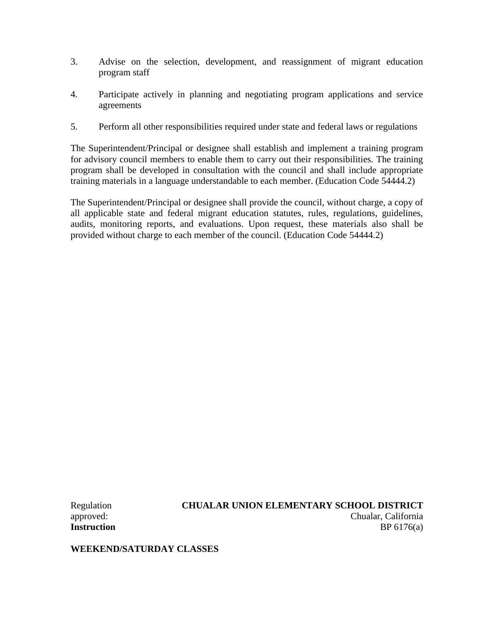- 3. Advise on the selection, development, and reassignment of migrant education program staff
- 4. Participate actively in planning and negotiating program applications and service agreements
- 5. Perform all other responsibilities required under state and federal laws or regulations

The Superintendent/Principal or designee shall establish and implement a training program for advisory council members to enable them to carry out their responsibilities. The training program shall be developed in consultation with the council and shall include appropriate training materials in a language understandable to each member. (Education Code 54444.2)

The Superintendent/Principal or designee shall provide the council, without charge, a copy of all applicable state and federal migrant education statutes, rules, regulations, guidelines, audits, monitoring reports, and evaluations. Upon request, these materials also shall be provided without charge to each member of the council. (Education Code 54444.2)

Regulation **CHUALAR UNION ELEMENTARY SCHOOL DISTRICT** approved: Chualar, California **Instruction** BP 6176(a)

**WEEKEND/SATURDAY CLASSES**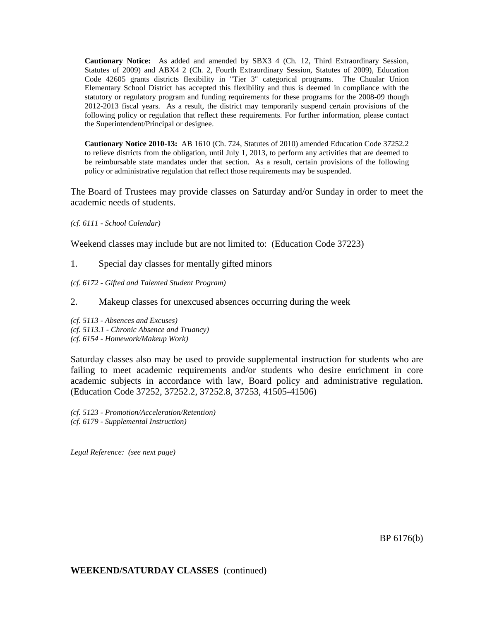**Cautionary Notice:** As added and amended by SBX3 4 (Ch. 12, Third Extraordinary Session, Statutes of 2009) and ABX4 2 (Ch. 2, Fourth Extraordinary Session, Statutes of 2009), Education Code 42605 grants districts flexibility in "Tier 3" categorical programs. The Chualar Union Elementary School District has accepted this flexibility and thus is deemed in compliance with the statutory or regulatory program and funding requirements for these programs for the 2008-09 though 2012-2013 fiscal years. As a result, the district may temporarily suspend certain provisions of the following policy or regulation that reflect these requirements. For further information, please contact the Superintendent/Principal or designee.

**Cautionary Notice 2010-13:** AB 1610 (Ch. 724, Statutes of 2010) amended Education Code 37252.2 to relieve districts from the obligation, until July 1, 2013, to perform any activities that are deemed to be reimbursable state mandates under that section. As a result, certain provisions of the following policy or administrative regulation that reflect those requirements may be suspended.

The Board of Trustees may provide classes on Saturday and/or Sunday in order to meet the academic needs of students.

*(cf. 6111 - School Calendar)*

Weekend classes may include but are not limited to: (Education Code 37223)

- 1. Special day classes for mentally gifted minors
- *(cf. 6172 - Gifted and Talented Student Program)*
- 2. Makeup classes for unexcused absences occurring during the week

*(cf. 5113 - Absences and Excuses) (cf. 5113.1 - Chronic Absence and Truancy) (cf. 6154 - Homework/Makeup Work)*

Saturday classes also may be used to provide supplemental instruction for students who are failing to meet academic requirements and/or students who desire enrichment in core academic subjects in accordance with law, Board policy and administrative regulation. (Education Code 37252, 37252.2, 37252.8, 37253, 41505-41506)

*(cf. 5123 - Promotion/Acceleration/Retention) (cf. 6179 - Supplemental Instruction)*

*Legal Reference: (see next page)*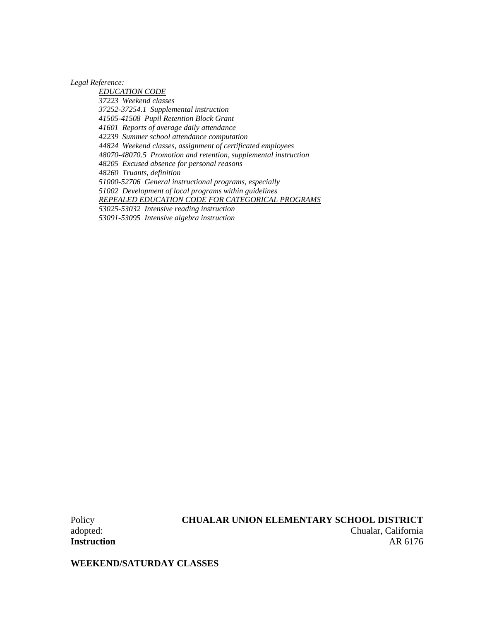*Legal Reference:*

*EDUCATION CODE 37223 Weekend classes 37252-37254.1 Supplemental instruction 41505-41508 Pupil Retention Block Grant 41601 Reports of average daily attendance 42239 Summer school attendance computation 44824 Weekend classes, assignment of certificated employees 48070-48070.5 Promotion and retention, supplemental instruction 48205 Excused absence for personal reasons 48260 Truants, definition 51000-52706 General instructional programs, especially 51002 Development of local programs within guidelines REPEALED EDUCATION CODE FOR CATEGORICAL PROGRAMS 53025-53032 Intensive reading instruction 53091-53095 Intensive algebra instruction*

**WEEKEND/SATURDAY CLASSES**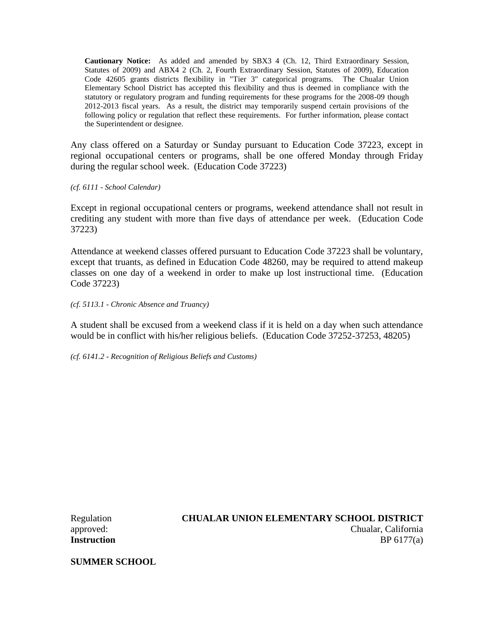**Cautionary Notice:** As added and amended by SBX3 4 (Ch. 12, Third Extraordinary Session, Statutes of 2009) and ABX4 2 (Ch. 2, Fourth Extraordinary Session, Statutes of 2009), Education Code 42605 grants districts flexibility in "Tier 3" categorical programs. The Chualar Union Elementary School District has accepted this flexibility and thus is deemed in compliance with the statutory or regulatory program and funding requirements for these programs for the 2008-09 though 2012-2013 fiscal years. As a result, the district may temporarily suspend certain provisions of the following policy or regulation that reflect these requirements. For further information, please contact the Superintendent or designee.

Any class offered on a Saturday or Sunday pursuant to Education Code 37223, except in regional occupational centers or programs, shall be one offered Monday through Friday during the regular school week. (Education Code 37223)

*(cf. 6111 - School Calendar)*

Except in regional occupational centers or programs, weekend attendance shall not result in crediting any student with more than five days of attendance per week. (Education Code 37223)

Attendance at weekend classes offered pursuant to Education Code 37223 shall be voluntary, except that truants, as defined in Education Code 48260, may be required to attend makeup classes on one day of a weekend in order to make up lost instructional time. (Education Code 37223)

*(cf. 5113.1 - Chronic Absence and Truancy)*

A student shall be excused from a weekend class if it is held on a day when such attendance would be in conflict with his/her religious beliefs. (Education Code 37252-37253, 48205)

*(cf. 6141.2 - Recognition of Religious Beliefs and Customs)*

## Regulation **CHUALAR UNION ELEMENTARY SCHOOL DISTRICT** approved: Chualar, California **Instruction** BP 6177(a)

**SUMMER SCHOOL**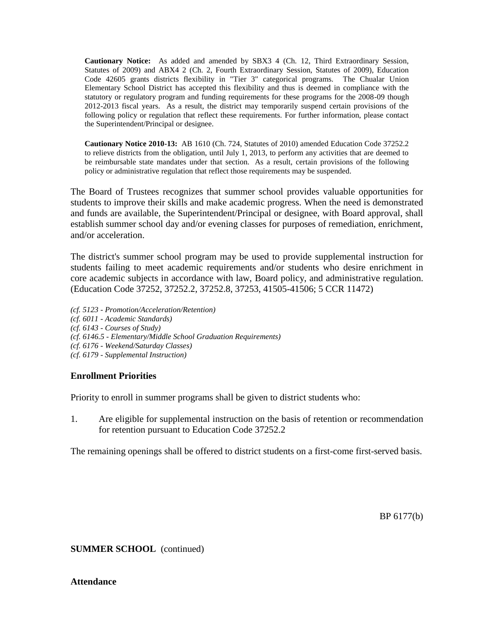**Cautionary Notice:** As added and amended by SBX3 4 (Ch. 12, Third Extraordinary Session, Statutes of 2009) and ABX4 2 (Ch. 2, Fourth Extraordinary Session, Statutes of 2009), Education Code 42605 grants districts flexibility in "Tier 3" categorical programs. The Chualar Union Elementary School District has accepted this flexibility and thus is deemed in compliance with the statutory or regulatory program and funding requirements for these programs for the 2008-09 though 2012-2013 fiscal years. As a result, the district may temporarily suspend certain provisions of the following policy or regulation that reflect these requirements. For further information, please contact the Superintendent/Principal or designee.

**Cautionary Notice 2010-13:** AB 1610 (Ch. 724, Statutes of 2010) amended Education Code 37252.2 to relieve districts from the obligation, until July 1, 2013, to perform any activities that are deemed to be reimbursable state mandates under that section. As a result, certain provisions of the following policy or administrative regulation that reflect those requirements may be suspended.

The Board of Trustees recognizes that summer school provides valuable opportunities for students to improve their skills and make academic progress. When the need is demonstrated and funds are available, the Superintendent/Principal or designee, with Board approval, shall establish summer school day and/or evening classes for purposes of remediation, enrichment, and/or acceleration.

The district's summer school program may be used to provide supplemental instruction for students failing to meet academic requirements and/or students who desire enrichment in core academic subjects in accordance with law, Board policy, and administrative regulation. (Education Code 37252, 37252.2, 37252.8, 37253, 41505-41506; 5 CCR 11472)

*(cf. 5123 - Promotion/Acceleration/Retention) (cf. 6011 - Academic Standards) (cf. 6143 - Courses of Study) (cf. 6146.5 - Elementary/Middle School Graduation Requirements) (cf. 6176 - Weekend/Saturday Classes) (cf. 6179 - Supplemental Instruction)*

## **Enrollment Priorities**

Priority to enroll in summer programs shall be given to district students who:

1. Are eligible for supplemental instruction on the basis of retention or recommendation for retention pursuant to Education Code 37252.2

The remaining openings shall be offered to district students on a first-come first-served basis.

BP 6177(b)

**SUMMER SCHOOL** (continued)

**Attendance**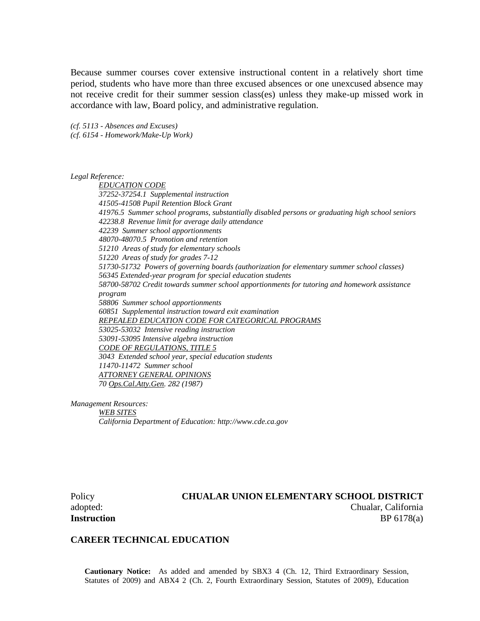Because summer courses cover extensive instructional content in a relatively short time period, students who have more than three excused absences or one unexcused absence may not receive credit for their summer session class(es) unless they make-up missed work in accordance with law, Board policy, and administrative regulation.

*(cf. 5113 - Absences and Excuses) (cf. 6154 - Homework/Make-Up Work)*

*Legal Reference:*

*EDUCATION CODE 37252-37254.1 Supplemental instruction 41505-41508 Pupil Retention Block Grant 41976.5 Summer school programs, substantially disabled persons or graduating high school seniors 42238.8 Revenue limit for average daily attendance 42239 Summer school apportionments 48070-48070.5 Promotion and retention 51210 Areas of study for elementary schools 51220 Areas of study for grades 7-12 51730-51732 Powers of governing boards (authorization for elementary summer school classes) 56345 Extended-year program for special education students 58700-58702 Credit towards summer school apportionments for tutoring and homework assistance program 58806 Summer school apportionments 60851 Supplemental instruction toward exit examination REPEALED EDUCATION CODE FOR CATEGORICAL PROGRAMS 53025-53032 Intensive reading instruction 53091-53095 Intensive algebra instruction CODE OF REGULATIONS, TITLE 5 3043 Extended school year, special education students 11470-11472 Summer school ATTORNEY GENERAL OPINIONS 70 Ops.Cal.Atty.Gen. 282 (1987)*

*Management Resources:*

*WEB SITES California Department of Education: http://www.cde.ca.gov*

#### Policy **CHUALAR UNION ELEMENTARY SCHOOL DISTRICT** adopted: Chualar, California

**Instruction** BP 6178(a)

#### **CAREER TECHNICAL EDUCATION**

**Cautionary Notice:** As added and amended by SBX3 4 (Ch. 12, Third Extraordinary Session, Statutes of 2009) and ABX4 2 (Ch. 2, Fourth Extraordinary Session, Statutes of 2009), Education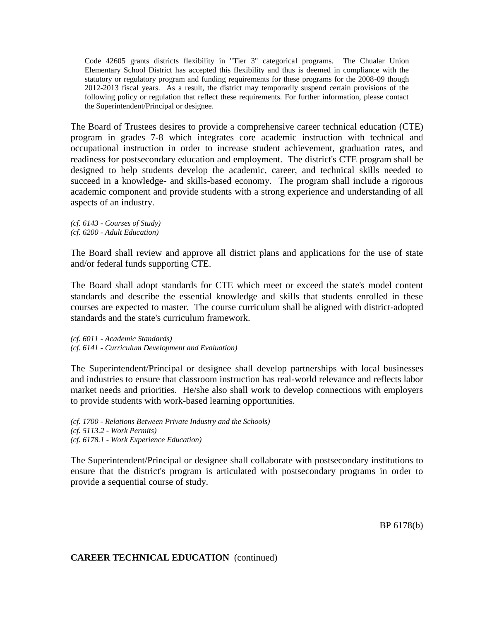Code 42605 grants districts flexibility in "Tier 3" categorical programs. The Chualar Union Elementary School District has accepted this flexibility and thus is deemed in compliance with the statutory or regulatory program and funding requirements for these programs for the 2008-09 though 2012-2013 fiscal years. As a result, the district may temporarily suspend certain provisions of the following policy or regulation that reflect these requirements. For further information, please contact the Superintendent/Principal or designee.

The Board of Trustees desires to provide a comprehensive career technical education (CTE) program in grades 7-8 which integrates core academic instruction with technical and occupational instruction in order to increase student achievement, graduation rates, and readiness for postsecondary education and employment. The district's CTE program shall be designed to help students develop the academic, career, and technical skills needed to succeed in a knowledge- and skills-based economy. The program shall include a rigorous academic component and provide students with a strong experience and understanding of all aspects of an industry.

*(cf. 6143 - Courses of Study) (cf. 6200 - Adult Education)*

The Board shall review and approve all district plans and applications for the use of state and/or federal funds supporting CTE.

The Board shall adopt standards for CTE which meet or exceed the state's model content standards and describe the essential knowledge and skills that students enrolled in these courses are expected to master. The course curriculum shall be aligned with district-adopted standards and the state's curriculum framework.

*(cf. 6011 - Academic Standards) (cf. 6141 - Curriculum Development and Evaluation)*

The Superintendent/Principal or designee shall develop partnerships with local businesses and industries to ensure that classroom instruction has real-world relevance and reflects labor market needs and priorities. He/she also shall work to develop connections with employers to provide students with work-based learning opportunities.

*(cf. 1700 - Relations Between Private Industry and the Schools) (cf. 5113.2 - Work Permits) (cf. 6178.1 - Work Experience Education)*

The Superintendent/Principal or designee shall collaborate with postsecondary institutions to ensure that the district's program is articulated with postsecondary programs in order to provide a sequential course of study.

BP 6178(b)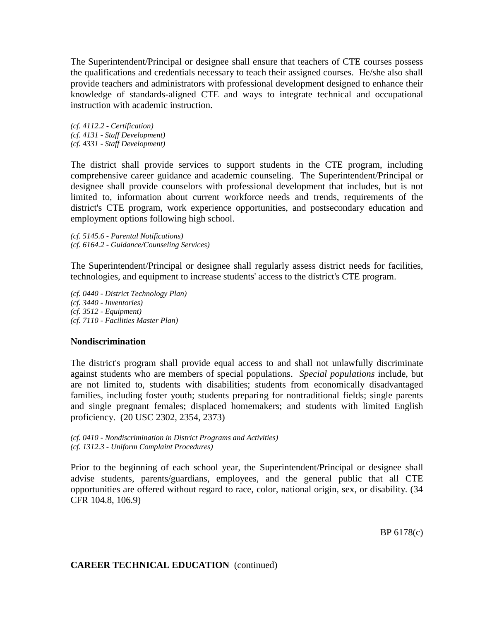The Superintendent/Principal or designee shall ensure that teachers of CTE courses possess the qualifications and credentials necessary to teach their assigned courses. He/she also shall provide teachers and administrators with professional development designed to enhance their knowledge of standards-aligned CTE and ways to integrate technical and occupational instruction with academic instruction.

*(cf. 4112.2 - Certification) (cf. 4131 - Staff Development) (cf. 4331 - Staff Development)*

The district shall provide services to support students in the CTE program, including comprehensive career guidance and academic counseling. The Superintendent/Principal or designee shall provide counselors with professional development that includes, but is not limited to, information about current workforce needs and trends, requirements of the district's CTE program, work experience opportunities, and postsecondary education and employment options following high school.

*(cf. 5145.6 - Parental Notifications) (cf. 6164.2 - Guidance/Counseling Services)*

The Superintendent/Principal or designee shall regularly assess district needs for facilities, technologies, and equipment to increase students' access to the district's CTE program.

*(cf. 0440 - District Technology Plan) (cf. 3440 - Inventories) (cf. 3512 - Equipment) (cf. 7110 - Facilities Master Plan)*

## **Nondiscrimination**

The district's program shall provide equal access to and shall not unlawfully discriminate against students who are members of special populations. *Special populations* include, but are not limited to, students with disabilities; students from economically disadvantaged families, including foster youth; students preparing for nontraditional fields; single parents and single pregnant females; displaced homemakers; and students with limited English proficiency. (20 USC 2302, 2354, 2373)

*(cf. 0410 - Nondiscrimination in District Programs and Activities) (cf. 1312.3 - Uniform Complaint Procedures)*

Prior to the beginning of each school year, the Superintendent/Principal or designee shall advise students, parents/guardians, employees, and the general public that all CTE opportunities are offered without regard to race, color, national origin, sex, or disability. (34 CFR 104.8, 106.9)

BP 6178(c)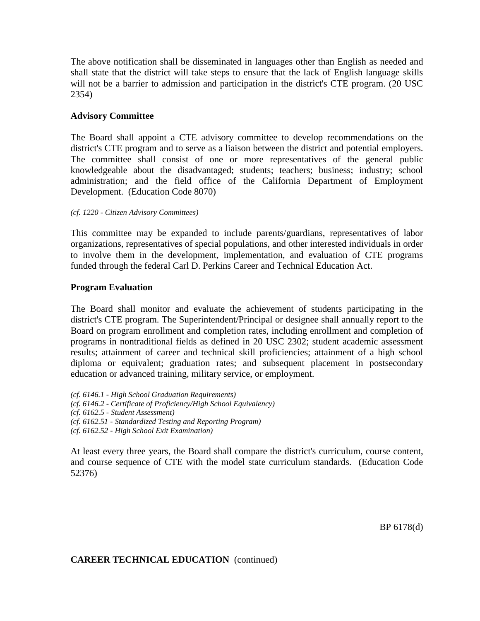The above notification shall be disseminated in languages other than English as needed and shall state that the district will take steps to ensure that the lack of English language skills will not be a barrier to admission and participation in the district's CTE program. (20 USC 2354)

## **Advisory Committee**

The Board shall appoint a CTE advisory committee to develop recommendations on the district's CTE program and to serve as a liaison between the district and potential employers. The committee shall consist of one or more representatives of the general public knowledgeable about the disadvantaged; students; teachers; business; industry; school administration; and the field office of the California Department of Employment Development. (Education Code 8070)

*(cf. 1220 - Citizen Advisory Committees)*

This committee may be expanded to include parents/guardians, representatives of labor organizations, representatives of special populations, and other interested individuals in order to involve them in the development, implementation, and evaluation of CTE programs funded through the federal Carl D. Perkins Career and Technical Education Act.

## **Program Evaluation**

The Board shall monitor and evaluate the achievement of students participating in the district's CTE program. The Superintendent/Principal or designee shall annually report to the Board on program enrollment and completion rates, including enrollment and completion of programs in nontraditional fields as defined in 20 USC 2302; student academic assessment results; attainment of career and technical skill proficiencies; attainment of a high school diploma or equivalent; graduation rates; and subsequent placement in postsecondary education or advanced training, military service, or employment.

*(cf. 6146.1 - High School Graduation Requirements) (cf. 6146.2 - Certificate of Proficiency/High School Equivalency) (cf. 6162.5 - Student Assessment) (cf. 6162.51 - Standardized Testing and Reporting Program) (cf. 6162.52 - High School Exit Examination)*

At least every three years, the Board shall compare the district's curriculum, course content, and course sequence of CTE with the model state curriculum standards. (Education Code 52376)

BP 6178(d)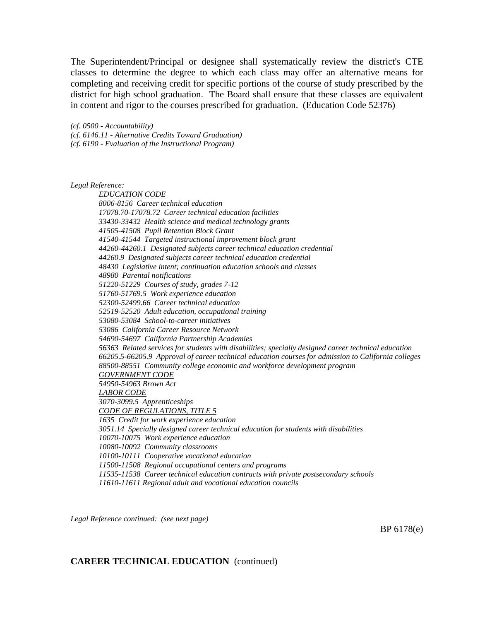The Superintendent/Principal or designee shall systematically review the district's CTE classes to determine the degree to which each class may offer an alternative means for completing and receiving credit for specific portions of the course of study prescribed by the district for high school graduation. The Board shall ensure that these classes are equivalent in content and rigor to the courses prescribed for graduation. (Education Code 52376)

*(cf. 0500 - Accountability) (cf. 6146.11 - Alternative Credits Toward Graduation) (cf. 6190 - Evaluation of the Instructional Program)*

*Legal Reference:*

*EDUCATION CODE 8006-8156 Career technical education 17078.70-17078.72 Career technical education facilities 33430-33432 Health science and medical technology grants 41505-41508 Pupil Retention Block Grant 41540-41544 Targeted instructional improvement block grant 44260-44260.1 Designated subjects career technical education credential 44260.9 Designated subjects career technical education credential 48430 Legislative intent; continuation education schools and classes 48980 Parental notifications 51220-51229 Courses of study, grades 7-12 51760-51769.5 Work experience education 52300-52499.66 Career technical education 52519-52520 Adult education, occupational training 53080-53084 School-to-career initiatives 53086 California Career Resource Network 54690-54697 California Partnership Academies 56363 Related services for students with disabilities; specially designed career technical education 66205.5-66205.9 Approval of career technical education courses for admission to California colleges 88500-88551 Community college economic and workforce development program GOVERNMENT CODE 54950-54963 Brown Act LABOR CODE 3070-3099.5 Apprenticeships CODE OF REGULATIONS, TITLE 5 1635 Credit for work experience education 3051.14 Specially designed career technical education for students with disabilities 10070-10075 Work experience education 10080-10092 Community classrooms 10100-10111 Cooperative vocational education 11500-11508 Regional occupational centers and programs 11535-11538 Career technical education contracts with private postsecondary schools 11610-11611 Regional adult and vocational education councils*

*Legal Reference continued: (see next page)*

BP 6178(e)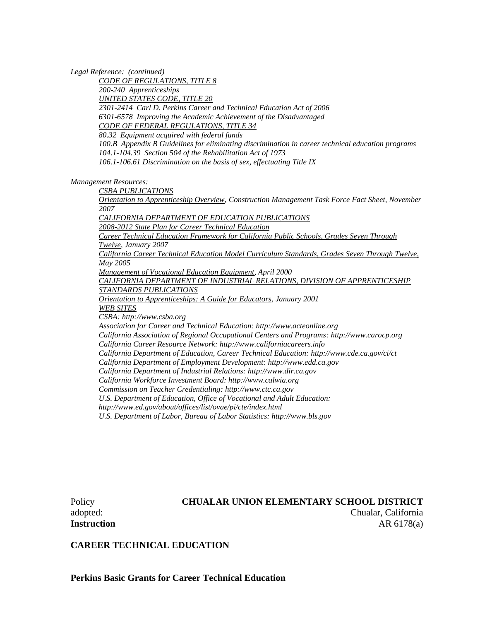*Legal Reference: (continued)*

*CODE OF REGULATIONS, TITLE 8 200-240 Apprenticeships UNITED STATES CODE, TITLE 20 2301-2414 Carl D. Perkins Career and Technical Education Act of 2006 6301-6578 Improving the Academic Achievement of the Disadvantaged CODE OF FEDERAL REGULATIONS, TITLE 34 80.32 Equipment acquired with federal funds 100.B Appendix B Guidelines for eliminating discrimination in career technical education programs 104.1-104.39 Section 504 of the Rehabilitation Act of 1973 106.1-106.61 Discrimination on the basis of sex, effectuating Title IX*

*Management Resources:*

*CSBA PUBLICATIONS*

*Orientation to Apprenticeship Overview, Construction Management Task Force Fact Sheet, November 2007*

*CALIFORNIA DEPARTMENT OF EDUCATION PUBLICATIONS 2008-2012 State Plan for Career Technical Education*

*Career Technical Education Framework for California Public Schools, Grades Seven Through* 

*Twelve, January 2007*

*California Career Technical Education Model Curriculum Standards, Grades Seven Through Twelve, May 2005*

*Management of Vocational Education Equipment, April 2000*

*CALIFORNIA DEPARTMENT OF INDUSTRIAL RELATIONS, DIVISION OF APPRENTICESHIP STANDARDS PUBLICATIONS*

*Orientation to Apprenticeships: A Guide for Educators, January 2001 WEB SITES*

*CSBA: http://www.csba.org*

*Association for Career and Technical Education: http://www.acteonline.org*

*California Association of Regional Occupational Centers and Programs: http://www.carocp.org*

*California Career Resource Network: http://www.californiacareers.info*

*California Department of Education, Career Technical Education: http://www.cde.ca.gov/ci/ct*

*California Department of Employment Development: http://www.edd.ca.gov*

*California Department of Industrial Relations: http://www.dir.ca.gov*

*California Workforce Investment Board: http://www.calwia.org*

*Commission on Teacher Credentialing: http://www.ctc.ca.gov*

*U.S. Department of Education, Office of Vocational and Adult Education:* 

*http://www.ed.gov/about/offices/list/ovae/pi/cte/index.html*

*U.S. Department of Labor, Bureau of Labor Statistics: http://www.bls.gov*

## Policy **CHUALAR UNION ELEMENTARY SCHOOL DISTRICT** adopted: Chualar, California **Instruction** AR 6178(a)

## **CAREER TECHNICAL EDUCATION**

**Perkins Basic Grants for Career Technical Education**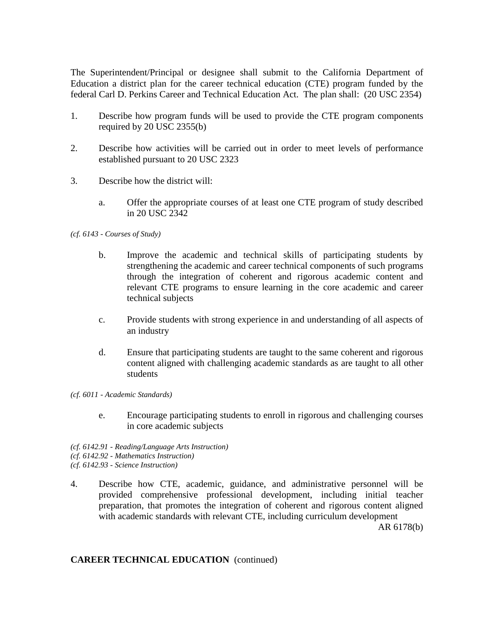The Superintendent/Principal or designee shall submit to the California Department of Education a district plan for the career technical education (CTE) program funded by the federal Carl D. Perkins Career and Technical Education Act. The plan shall: (20 USC 2354)

- 1. Describe how program funds will be used to provide the CTE program components required by 20 USC 2355(b)
- 2. Describe how activities will be carried out in order to meet levels of performance established pursuant to 20 USC 2323
- 3. Describe how the district will:
	- a. Offer the appropriate courses of at least one CTE program of study described in 20 USC 2342

#### *(cf. 6143 - Courses of Study)*

- b. Improve the academic and technical skills of participating students by strengthening the academic and career technical components of such programs through the integration of coherent and rigorous academic content and relevant CTE programs to ensure learning in the core academic and career technical subjects
- c. Provide students with strong experience in and understanding of all aspects of an industry
- d. Ensure that participating students are taught to the same coherent and rigorous content aligned with challenging academic standards as are taught to all other students
- *(cf. 6011 - Academic Standards)*
	- e. Encourage participating students to enroll in rigorous and challenging courses in core academic subjects
- *(cf. 6142.91 - Reading/Language Arts Instruction) (cf. 6142.92 - Mathematics Instruction) (cf. 6142.93 - Science Instruction)*
- 4. Describe how CTE, academic, guidance, and administrative personnel will be provided comprehensive professional development, including initial teacher preparation, that promotes the integration of coherent and rigorous content aligned with academic standards with relevant CTE, including curriculum development

AR 6178(b)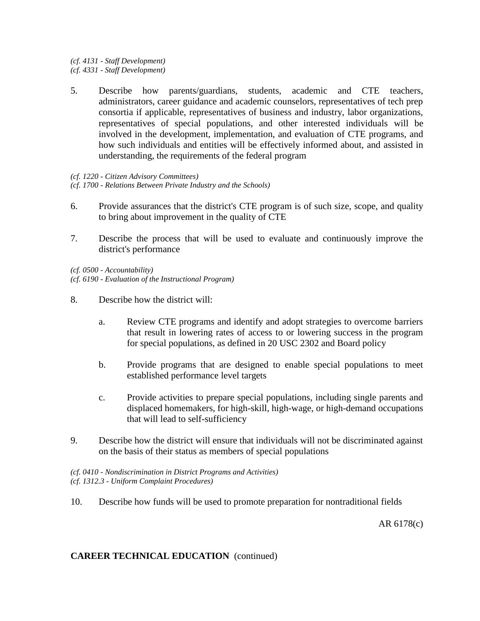*(cf. 4131 - Staff Development) (cf. 4331 - Staff Development)*

5. Describe how parents/guardians, students, academic and CTE teachers, administrators, career guidance and academic counselors, representatives of tech prep consortia if applicable, representatives of business and industry, labor organizations, representatives of special populations, and other interested individuals will be involved in the development, implementation, and evaluation of CTE programs, and how such individuals and entities will be effectively informed about, and assisted in understanding, the requirements of the federal program

*(cf. 1220 - Citizen Advisory Committees) (cf. 1700 - Relations Between Private Industry and the Schools)*

- 6. Provide assurances that the district's CTE program is of such size, scope, and quality to bring about improvement in the quality of CTE
- 7. Describe the process that will be used to evaluate and continuously improve the district's performance

*(cf. 0500 - Accountability) (cf. 6190 - Evaluation of the Instructional Program)*

- 8. Describe how the district will:
	- a. Review CTE programs and identify and adopt strategies to overcome barriers that result in lowering rates of access to or lowering success in the program for special populations, as defined in 20 USC 2302 and Board policy
	- b. Provide programs that are designed to enable special populations to meet established performance level targets
	- c. Provide activities to prepare special populations, including single parents and displaced homemakers, for high-skill, high-wage, or high-demand occupations that will lead to self-sufficiency
- 9. Describe how the district will ensure that individuals will not be discriminated against on the basis of their status as members of special populations

*(cf. 0410 - Nondiscrimination in District Programs and Activities) (cf. 1312.3 - Uniform Complaint Procedures)*

10. Describe how funds will be used to promote preparation for nontraditional fields

AR 6178(c)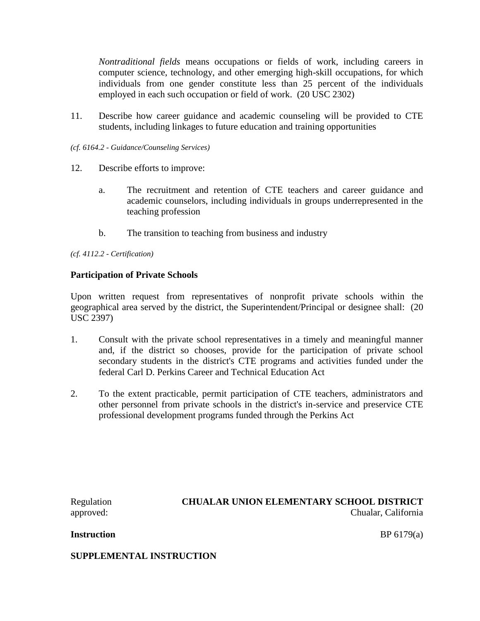*Nontraditional fields* means occupations or fields of work, including careers in computer science, technology, and other emerging high-skill occupations, for which individuals from one gender constitute less than 25 percent of the individuals employed in each such occupation or field of work. (20 USC 2302)

- 11. Describe how career guidance and academic counseling will be provided to CTE students, including linkages to future education and training opportunities
- *(cf. 6164.2 - Guidance/Counseling Services)*
- 12. Describe efforts to improve:
	- a. The recruitment and retention of CTE teachers and career guidance and academic counselors, including individuals in groups underrepresented in the teaching profession
	- b. The transition to teaching from business and industry

*(cf. 4112.2 - Certification)*

## **Participation of Private Schools**

Upon written request from representatives of nonprofit private schools within the geographical area served by the district, the Superintendent/Principal or designee shall: (20 USC 2397)

- 1. Consult with the private school representatives in a timely and meaningful manner and, if the district so chooses, provide for the participation of private school secondary students in the district's CTE programs and activities funded under the federal Carl D. Perkins Career and Technical Education Act
- 2. To the extent practicable, permit participation of CTE teachers, administrators and other personnel from private schools in the district's in-service and preservice CTE professional development programs funded through the Perkins Act

Regulation **CHUALAR UNION ELEMENTARY SCHOOL DISTRICT** approved: Chualar, California

**Instruction** BP 6179(a)

**SUPPLEMENTAL INSTRUCTION**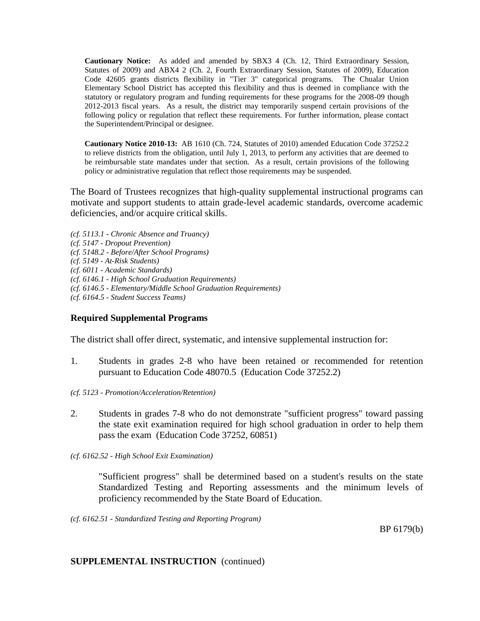**Cautionary Notice:** As added and amended by SBX3 4 (Ch. 12, Third Extraordinary Session, Statutes of 2009) and ABX4 2 (Ch. 2, Fourth Extraordinary Session, Statutes of 2009), Education Code 42605 grants districts flexibility in "Tier 3" categorical programs. The Chualar Union Elementary School District has accepted this flexibility and thus is deemed in compliance with the statutory or regulatory program and funding requirements for these programs for the 2008-09 though 2012-2013 fiscal years. As a result, the district may temporarily suspend certain provisions of the following policy or regulation that reflect these requirements. For further information, please contact the Superintendent/Principal or designee.

**Cautionary Notice 2010-13:** AB 1610 (Ch. 724, Statutes of 2010) amended Education Code 37252.2 to relieve districts from the obligation, until July 1, 2013, to perform any activities that are deemed to be reimbursable state mandates under that section. As a result, certain provisions of the following policy or administrative regulation that reflect those requirements may be suspended.

The Board of Trustees recognizes that high-quality supplemental instructional programs can motivate and support students to attain grade-level academic standards, overcome academic deficiencies, and/or acquire critical skills.

*(cf. 5113.1 - Chronic Absence and Truancy) (cf. 5147 - Dropout Prevention) (cf. 5148.2 - Before/After School Programs) (cf. 5149 - At-Risk Students) (cf. 6011 - Academic Standards) (cf. 6146.1 - High School Graduation Requirements) (cf. 6146.5 - Elementary/Middle School Graduation Requirements) (cf. 6164.5 - Student Success Teams)*

## **Required Supplemental Programs**

The district shall offer direct, systematic, and intensive supplemental instruction for:

- 1. Students in grades 2-8 who have been retained or recommended for retention pursuant to Education Code 48070.5 (Education Code 37252.2)
- *(cf. 5123 - Promotion/Acceleration/Retention)*
- 2. Students in grades 7-8 who do not demonstrate "sufficient progress" toward passing the state exit examination required for high school graduation in order to help them pass the exam (Education Code 37252, 60851)
- *(cf. 6162.52 - High School Exit Examination)*

"Sufficient progress" shall be determined based on a student's results on the state Standardized Testing and Reporting assessments and the minimum levels of proficiency recommended by the State Board of Education.

*(cf. 6162.51 - Standardized Testing and Reporting Program)*

BP 6179(b)

## **SUPPLEMENTAL INSTRUCTION** (continued)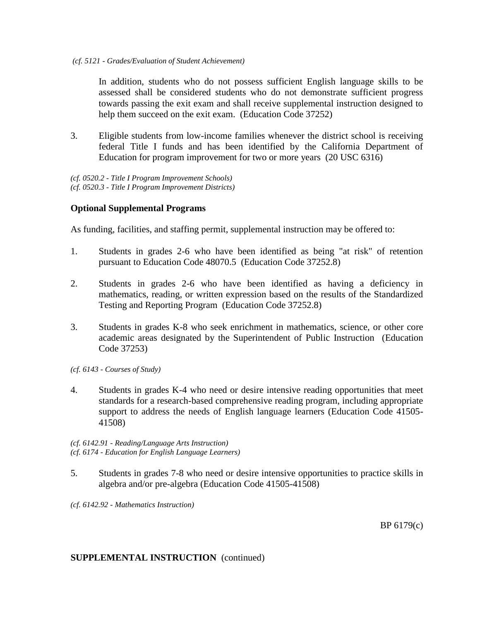In addition, students who do not possess sufficient English language skills to be assessed shall be considered students who do not demonstrate sufficient progress towards passing the exit exam and shall receive supplemental instruction designed to help them succeed on the exit exam. (Education Code 37252)

3. Eligible students from low-income families whenever the district school is receiving federal Title I funds and has been identified by the California Department of Education for program improvement for two or more years (20 USC 6316)

*(cf. 0520.2 - Title I Program Improvement Schools) (cf. 0520.3 - Title I Program Improvement Districts)*

## **Optional Supplemental Programs**

As funding, facilities, and staffing permit, supplemental instruction may be offered to:

- 1. Students in grades 2-6 who have been identified as being "at risk" of retention pursuant to Education Code 48070.5 (Education Code 37252.8)
- 2. Students in grades 2-6 who have been identified as having a deficiency in mathematics, reading, or written expression based on the results of the Standardized Testing and Reporting Program (Education Code 37252.8)
- 3. Students in grades K-8 who seek enrichment in mathematics, science, or other core academic areas designated by the Superintendent of Public Instruction (Education Code 37253)

*(cf. 6143 - Courses of Study)*

4. Students in grades K-4 who need or desire intensive reading opportunities that meet standards for a research-based comprehensive reading program, including appropriate support to address the needs of English language learners (Education Code 41505- 41508)

*(cf. 6142.91 - Reading/Language Arts Instruction) (cf. 6174 - Education for English Language Learners)*

5. Students in grades 7-8 who need or desire intensive opportunities to practice skills in algebra and/or pre-algebra (Education Code 41505-41508)

*(cf. 6142.92 - Mathematics Instruction)*

BP 6179(c)

## **SUPPLEMENTAL INSTRUCTION** (continued)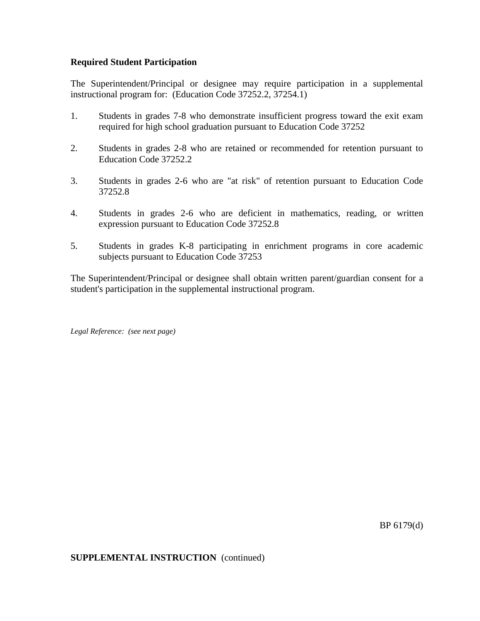## **Required Student Participation**

The Superintendent/Principal or designee may require participation in a supplemental instructional program for: (Education Code 37252.2, 37254.1)

- 1. Students in grades 7-8 who demonstrate insufficient progress toward the exit exam required for high school graduation pursuant to Education Code 37252
- 2. Students in grades 2-8 who are retained or recommended for retention pursuant to Education Code 37252.2
- 3. Students in grades 2-6 who are "at risk" of retention pursuant to Education Code 37252.8
- 4. Students in grades 2-6 who are deficient in mathematics, reading, or written expression pursuant to Education Code 37252.8
- 5. Students in grades K-8 participating in enrichment programs in core academic subjects pursuant to Education Code 37253

The Superintendent/Principal or designee shall obtain written parent/guardian consent for a student's participation in the supplemental instructional program.

*Legal Reference: (see next page)*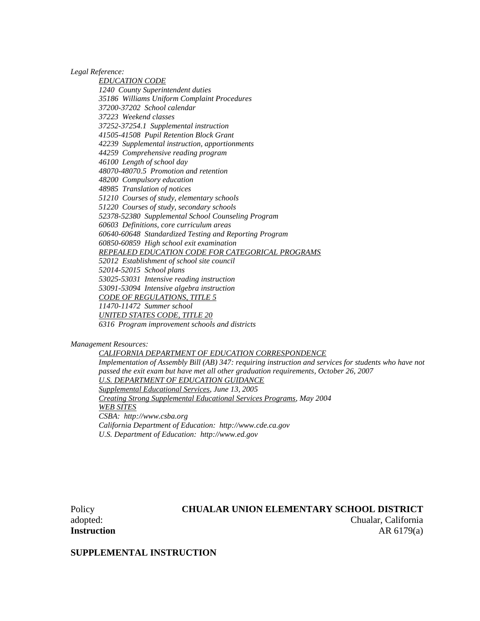*Legal Reference:*

*EDUCATION CODE 1240 County Superintendent duties 35186 Williams Uniform Complaint Procedures 37200-37202 School calendar 37223 Weekend classes 37252-37254.1 Supplemental instruction 41505-41508 Pupil Retention Block Grant 42239 Supplemental instruction, apportionments 44259 Comprehensive reading program 46100 Length of school day 48070-48070.5 Promotion and retention 48200 Compulsory education 48985 Translation of notices 51210 Courses of study, elementary schools 51220 Courses of study, secondary schools 52378-52380 Supplemental School Counseling Program 60603 Definitions, core curriculum areas 60640-60648 Standardized Testing and Reporting Program 60850-60859 High school exit examination REPEALED EDUCATION CODE FOR CATEGORICAL PROGRAMS 52012 Establishment of school site council 52014-52015 School plans 53025-53031 Intensive reading instruction 53091-53094 Intensive algebra instruction CODE OF REGULATIONS, TITLE 5 11470-11472 Summer school UNITED STATES CODE, TITLE 20 6316 Program improvement schools and districts*

*Management Resources:*

*CALIFORNIA DEPARTMENT OF EDUCATION CORRESPONDENCE Implementation of Assembly Bill (AB) 347: requiring instruction and services for students who have not passed the exit exam but have met all other graduation requirements, October 26, 2007 U.S. DEPARTMENT OF EDUCATION GUIDANCE Supplemental Educational Services, June 13, 2005 Creating Strong Supplemental Educational Services Programs, May 2004 WEB SITES CSBA: http://www.csba.org California Department of Education: http://www.cde.ca.gov U.S. Department of Education: http://www.ed.gov*

## Policy **CHUALAR UNION ELEMENTARY SCHOOL DISTRICT** adopted: Chualar, California **Instruction** AR 6179(a)

**SUPPLEMENTAL INSTRUCTION**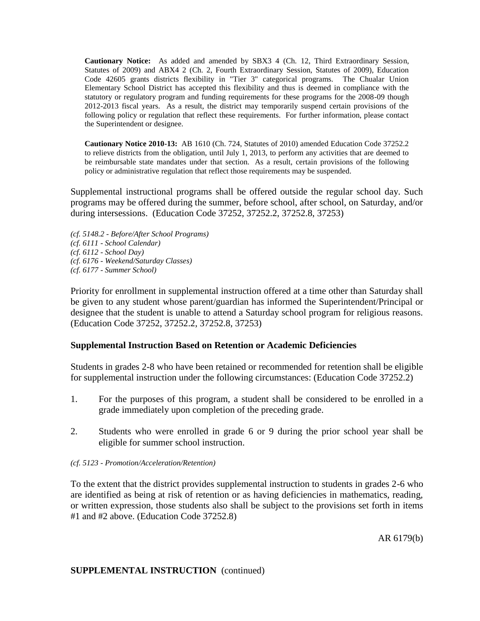**Cautionary Notice:** As added and amended by SBX3 4 (Ch. 12, Third Extraordinary Session, Statutes of 2009) and ABX4 2 (Ch. 2, Fourth Extraordinary Session, Statutes of 2009), Education Code 42605 grants districts flexibility in "Tier 3" categorical programs. The Chualar Union Elementary School District has accepted this flexibility and thus is deemed in compliance with the statutory or regulatory program and funding requirements for these programs for the 2008-09 though 2012-2013 fiscal years. As a result, the district may temporarily suspend certain provisions of the following policy or regulation that reflect these requirements. For further information, please contact the Superintendent or designee.

**Cautionary Notice 2010-13:** AB 1610 (Ch. 724, Statutes of 2010) amended Education Code 37252.2 to relieve districts from the obligation, until July 1, 2013, to perform any activities that are deemed to be reimbursable state mandates under that section. As a result, certain provisions of the following policy or administrative regulation that reflect those requirements may be suspended.

Supplemental instructional programs shall be offered outside the regular school day. Such programs may be offered during the summer, before school, after school, on Saturday, and/or during intersessions. (Education Code 37252, 37252.2, 37252.8, 37253)

*(cf. 5148.2 - Before/After School Programs) (cf. 6111 - School Calendar) (cf. 6112 - School Day) (cf. 6176 - Weekend/Saturday Classes) (cf. 6177 - Summer School)*

Priority for enrollment in supplemental instruction offered at a time other than Saturday shall be given to any student whose parent/guardian has informed the Superintendent/Principal or designee that the student is unable to attend a Saturday school program for religious reasons. (Education Code 37252, 37252.2, 37252.8, 37253)

# **Supplemental Instruction Based on Retention or Academic Deficiencies**

Students in grades 2-8 who have been retained or recommended for retention shall be eligible for supplemental instruction under the following circumstances: (Education Code 37252.2)

- 1. For the purposes of this program, a student shall be considered to be enrolled in a grade immediately upon completion of the preceding grade.
- 2. Students who were enrolled in grade 6 or 9 during the prior school year shall be eligible for summer school instruction.

## *(cf. 5123 - Promotion/Acceleration/Retention)*

To the extent that the district provides supplemental instruction to students in grades 2-6 who are identified as being at risk of retention or as having deficiencies in mathematics, reading, or written expression, those students also shall be subject to the provisions set forth in items #1 and #2 above. (Education Code 37252.8)

## **SUPPLEMENTAL INSTRUCTION** (continued)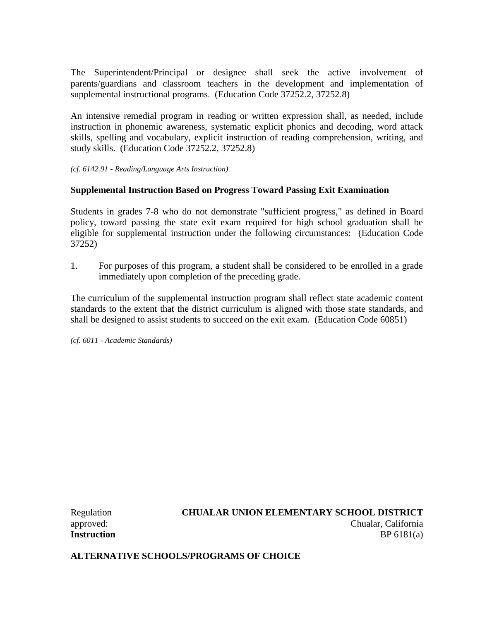The Superintendent/Principal or designee shall seek the active involvement of parents/guardians and classroom teachers in the development and implementation of supplemental instructional programs. (Education Code 37252.2, 37252.8)

An intensive remedial program in reading or written expression shall, as needed, include instruction in phonemic awareness, systematic explicit phonics and decoding, word attack skills, spelling and vocabulary, explicit instruction of reading comprehension, writing, and study skills. (Education Code 37252.2, 37252.8)

*(cf. 6142.91 - Reading/Language Arts Instruction)*

## **Supplemental Instruction Based on Progress Toward Passing Exit Examination**

Students in grades 7-8 who do not demonstrate "sufficient progress," as defined in Board policy, toward passing the state exit exam required for high school graduation shall be eligible for supplemental instruction under the following circumstances: (Education Code 37252)

1. For purposes of this program, a student shall be considered to be enrolled in a grade immediately upon completion of the preceding grade.

The curriculum of the supplemental instruction program shall reflect state academic content standards to the extent that the district curriculum is aligned with those state standards, and shall be designed to assist students to succeed on the exit exam. (Education Code 60851)

*(cf. 6011 - Academic Standards)*

Regulation **CHUALAR UNION ELEMENTARY SCHOOL DISTRICT** approved: Chualar, California **Instruction** BP 6181(a)

**ALTERNATIVE SCHOOLS/PROGRAMS OF CHOICE**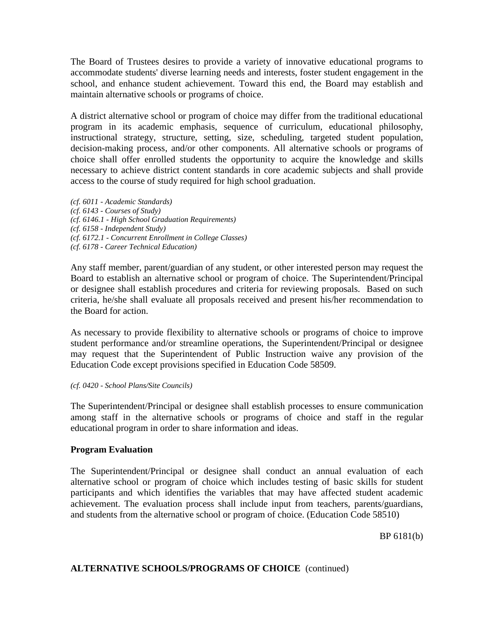The Board of Trustees desires to provide a variety of innovative educational programs to accommodate students' diverse learning needs and interests, foster student engagement in the school, and enhance student achievement. Toward this end, the Board may establish and maintain alternative schools or programs of choice.

A district alternative school or program of choice may differ from the traditional educational program in its academic emphasis, sequence of curriculum, educational philosophy, instructional strategy, structure, setting, size, scheduling, targeted student population, decision-making process, and/or other components. All alternative schools or programs of choice shall offer enrolled students the opportunity to acquire the knowledge and skills necessary to achieve district content standards in core academic subjects and shall provide access to the course of study required for high school graduation.

*(cf. 6011 - Academic Standards) (cf. 6143 - Courses of Study) (cf. 6146.1 - High School Graduation Requirements) (cf. 6158 - Independent Study) (cf. 6172.1 - Concurrent Enrollment in College Classes) (cf. 6178 - Career Technical Education)*

Any staff member, parent/guardian of any student, or other interested person may request the Board to establish an alternative school or program of choice. The Superintendent/Principal or designee shall establish procedures and criteria for reviewing proposals. Based on such criteria, he/she shall evaluate all proposals received and present his/her recommendation to the Board for action.

As necessary to provide flexibility to alternative schools or programs of choice to improve student performance and/or streamline operations, the Superintendent/Principal or designee may request that the Superintendent of Public Instruction waive any provision of the Education Code except provisions specified in Education Code 58509.

#### *(cf. 0420 - School Plans/Site Councils)*

The Superintendent/Principal or designee shall establish processes to ensure communication among staff in the alternative schools or programs of choice and staff in the regular educational program in order to share information and ideas.

# **Program Evaluation**

The Superintendent/Principal or designee shall conduct an annual evaluation of each alternative school or program of choice which includes testing of basic skills for student participants and which identifies the variables that may have affected student academic achievement. The evaluation process shall include input from teachers, parents/guardians, and students from the alternative school or program of choice. (Education Code 58510)

BP 6181(b)

## **ALTERNATIVE SCHOOLS/PROGRAMS OF CHOICE** (continued)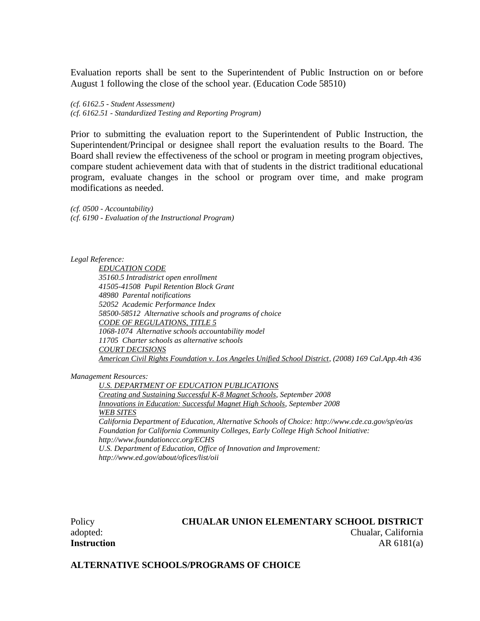Evaluation reports shall be sent to the Superintendent of Public Instruction on or before August 1 following the close of the school year. (Education Code 58510)

*(cf. 6162.5 - Student Assessment) (cf. 6162.51 - Standardized Testing and Reporting Program)*

Prior to submitting the evaluation report to the Superintendent of Public Instruction, the Superintendent/Principal or designee shall report the evaluation results to the Board. The Board shall review the effectiveness of the school or program in meeting program objectives, compare student achievement data with that of students in the district traditional educational program, evaluate changes in the school or program over time, and make program modifications as needed.

*(cf. 0500 - Accountability) (cf. 6190 - Evaluation of the Instructional Program)*

*Legal Reference:*

*EDUCATION CODE 35160.5 Intradistrict open enrollment 41505-41508 Pupil Retention Block Grant 48980 Parental notifications 52052 Academic Performance Index 58500-58512 Alternative schools and programs of choice CODE OF REGULATIONS, TITLE 5 1068-1074 Alternative schools accountability model 11705 Charter schools as alternative schools COURT DECISIONS American Civil Rights Foundation v. Los Angeles Unified School District, (2008) 169 Cal.App.4th 436*

*Management Resources:*

*U.S. DEPARTMENT OF EDUCATION PUBLICATIONS Creating and Sustaining Successful K-8 Magnet Schools, September 2008 Innovations in Education: Successful Magnet High Schools, September 2008 WEB SITES California Department of Education, Alternative Schools of Choice: http://www.cde.ca.gov/sp/eo/as Foundation for California Community Colleges, Early College High School Initiative: http://www.foundationccc.org/ECHS U.S. Department of Education, Office of Innovation and Improvement: http://www.ed.gov/about/ofices/list/oii*

## Policy **CHUALAR UNION ELEMENTARY SCHOOL DISTRICT** adopted: Chualar, California

**Instruction** AR 6181(a)

**ALTERNATIVE SCHOOLS/PROGRAMS OF CHOICE**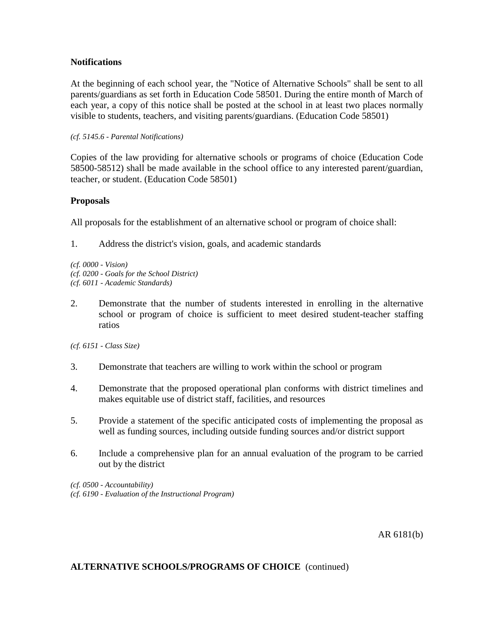## **Notifications**

At the beginning of each school year, the "Notice of Alternative Schools" shall be sent to all parents/guardians as set forth in Education Code 58501. During the entire month of March of each year, a copy of this notice shall be posted at the school in at least two places normally visible to students, teachers, and visiting parents/guardians. (Education Code 58501)

#### *(cf. 5145.6 - Parental Notifications)*

Copies of the law providing for alternative schools or programs of choice (Education Code 58500-58512) shall be made available in the school office to any interested parent/guardian, teacher, or student. (Education Code 58501)

## **Proposals**

All proposals for the establishment of an alternative school or program of choice shall:

1. Address the district's vision, goals, and academic standards

*(cf. 0000 - Vision) (cf. 0200 - Goals for the School District) (cf. 6011 - Academic Standards)*

2. Demonstrate that the number of students interested in enrolling in the alternative school or program of choice is sufficient to meet desired student-teacher staffing ratios

*(cf. 6151 - Class Size)*

- 3. Demonstrate that teachers are willing to work within the school or program
- 4. Demonstrate that the proposed operational plan conforms with district timelines and makes equitable use of district staff, facilities, and resources
- 5. Provide a statement of the specific anticipated costs of implementing the proposal as well as funding sources, including outside funding sources and/or district support
- 6. Include a comprehensive plan for an annual evaluation of the program to be carried out by the district

*(cf. 0500 - Accountability) (cf. 6190 - Evaluation of the Instructional Program)*

AR 6181(b)

## **ALTERNATIVE SCHOOLS/PROGRAMS OF CHOICE** (continued)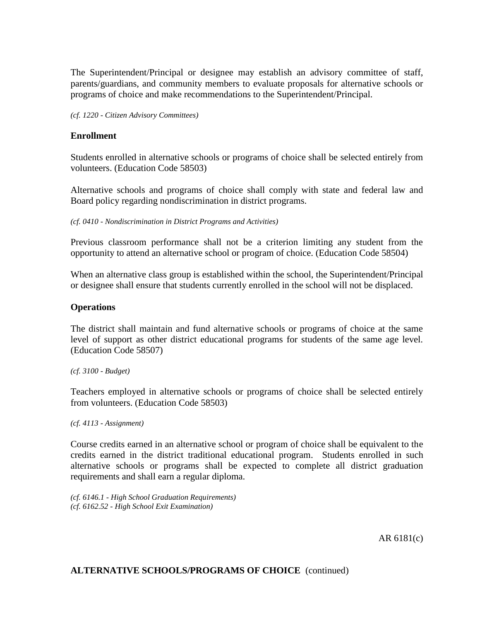The Superintendent/Principal or designee may establish an advisory committee of staff, parents/guardians, and community members to evaluate proposals for alternative schools or programs of choice and make recommendations to the Superintendent/Principal.

*(cf. 1220 - Citizen Advisory Committees)*

### **Enrollment**

Students enrolled in alternative schools or programs of choice shall be selected entirely from volunteers. (Education Code 58503)

Alternative schools and programs of choice shall comply with state and federal law and Board policy regarding nondiscrimination in district programs.

*(cf. 0410 - Nondiscrimination in District Programs and Activities)*

Previous classroom performance shall not be a criterion limiting any student from the opportunity to attend an alternative school or program of choice. (Education Code 58504)

When an alternative class group is established within the school, the Superintendent/Principal or designee shall ensure that students currently enrolled in the school will not be displaced.

#### **Operations**

The district shall maintain and fund alternative schools or programs of choice at the same level of support as other district educational programs for students of the same age level. (Education Code 58507)

*(cf. 3100 - Budget)*

Teachers employed in alternative schools or programs of choice shall be selected entirely from volunteers. (Education Code 58503)

*(cf. 4113 - Assignment)*

Course credits earned in an alternative school or program of choice shall be equivalent to the credits earned in the district traditional educational program. Students enrolled in such alternative schools or programs shall be expected to complete all district graduation requirements and shall earn a regular diploma.

*(cf. 6146.1 - High School Graduation Requirements) (cf. 6162.52 - High School Exit Examination)*

AR 6181(c)

**ALTERNATIVE SCHOOLS/PROGRAMS OF CHOICE** (continued)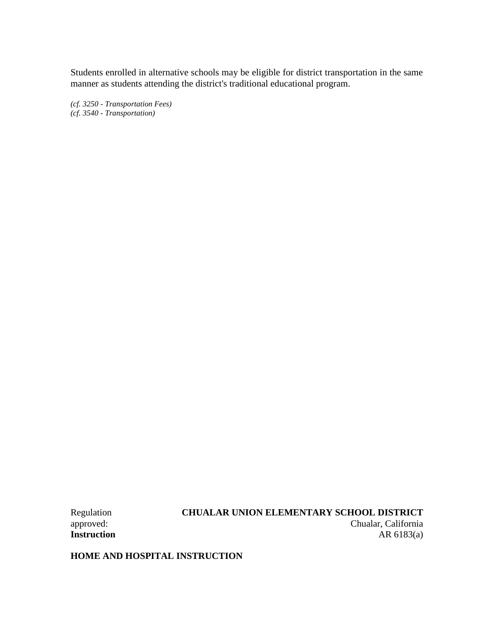Students enrolled in alternative schools may be eligible for district transportation in the same manner as students attending the district's traditional educational program.

*(cf. 3250 - Transportation Fees) (cf. 3540 - Transportation)*

Regulation **CHUALAR UNION ELEMENTARY SCHOOL DISTRICT**<br>
chualar, California Chualar, California **Instruction** AR 6183(a)

**HOME AND HOSPITAL INSTRUCTION**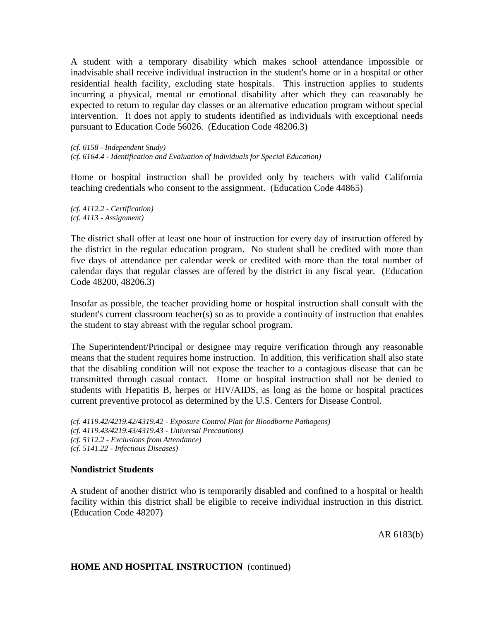A student with a temporary disability which makes school attendance impossible or inadvisable shall receive individual instruction in the student's home or in a hospital or other residential health facility, excluding state hospitals. This instruction applies to students incurring a physical, mental or emotional disability after which they can reasonably be expected to return to regular day classes or an alternative education program without special intervention. It does not apply to students identified as individuals with exceptional needs pursuant to Education Code 56026. (Education Code 48206.3)

```
(cf. 6158 - Independent Study)
```
*(cf. 6164.4 - Identification and Evaluation of Individuals for Special Education)*

Home or hospital instruction shall be provided only by teachers with valid California teaching credentials who consent to the assignment. (Education Code 44865)

*(cf. 4112.2 - Certification) (cf. 4113 - Assignment)*

The district shall offer at least one hour of instruction for every day of instruction offered by the district in the regular education program. No student shall be credited with more than five days of attendance per calendar week or credited with more than the total number of calendar days that regular classes are offered by the district in any fiscal year. (Education Code 48200, 48206.3)

Insofar as possible, the teacher providing home or hospital instruction shall consult with the student's current classroom teacher(s) so as to provide a continuity of instruction that enables the student to stay abreast with the regular school program.

The Superintendent/Principal or designee may require verification through any reasonable means that the student requires home instruction. In addition, this verification shall also state that the disabling condition will not expose the teacher to a contagious disease that can be transmitted through casual contact. Home or hospital instruction shall not be denied to students with Hepatitis B, herpes or HIV/AIDS, as long as the home or hospital practices current preventive protocol as determined by the U.S. Centers for Disease Control.

```
(cf. 4119.42/4219.42/4319.42 - Exposure Control Plan for Bloodborne Pathogens)
(cf. 4119.43/4219.43/4319.43 - Universal Precautions)
(cf. 5112.2 - Exclusions from Attendance)
(cf. 5141.22 - Infectious Diseases)
```
## **Nondistrict Students**

A student of another district who is temporarily disabled and confined to a hospital or health facility within this district shall be eligible to receive individual instruction in this district. (Education Code 48207)

AR 6183(b)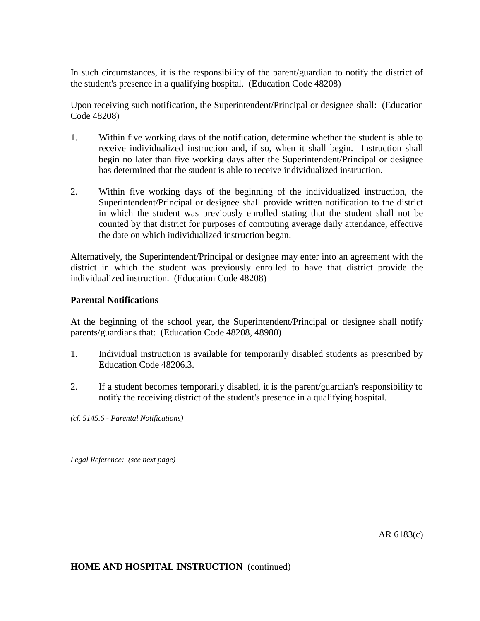In such circumstances, it is the responsibility of the parent/guardian to notify the district of the student's presence in a qualifying hospital. (Education Code 48208)

Upon receiving such notification, the Superintendent/Principal or designee shall: (Education Code 48208)

- 1. Within five working days of the notification, determine whether the student is able to receive individualized instruction and, if so, when it shall begin. Instruction shall begin no later than five working days after the Superintendent/Principal or designee has determined that the student is able to receive individualized instruction.
- 2. Within five working days of the beginning of the individualized instruction, the Superintendent/Principal or designee shall provide written notification to the district in which the student was previously enrolled stating that the student shall not be counted by that district for purposes of computing average daily attendance, effective the date on which individualized instruction began.

Alternatively, the Superintendent/Principal or designee may enter into an agreement with the district in which the student was previously enrolled to have that district provide the individualized instruction. (Education Code 48208)

## **Parental Notifications**

At the beginning of the school year, the Superintendent/Principal or designee shall notify parents/guardians that: (Education Code 48208, 48980)

- 1. Individual instruction is available for temporarily disabled students as prescribed by Education Code 48206.3.
- 2. If a student becomes temporarily disabled, it is the parent/guardian's responsibility to notify the receiving district of the student's presence in a qualifying hospital.

*(cf. 5145.6 - Parental Notifications)*

*Legal Reference: (see next page)*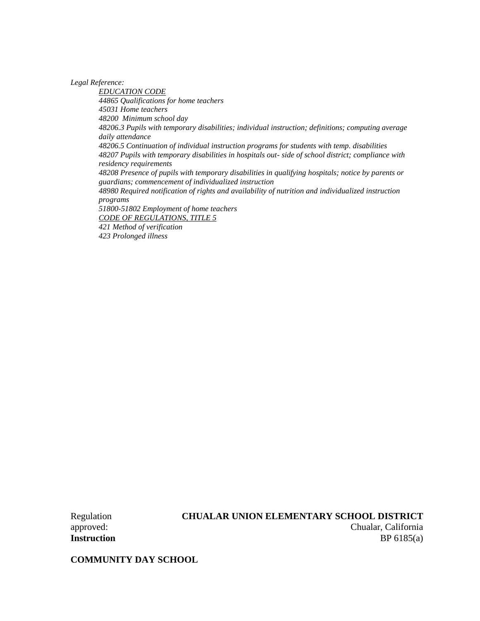*Legal Reference:*

*EDUCATION CODE 44865 Qualifications for home teachers 45031 Home teachers 48200 Minimum school day 48206.3 Pupils with temporary disabilities; individual instruction; definitions; computing average daily attendance 48206.5 Continuation of individual instruction programs for students with temp. disabilities 48207 Pupils with temporary disabilities in hospitals out- side of school district; compliance with residency requirements 48208 Presence of pupils with temporary disabilities in qualifying hospitals; notice by parents or guardians; commencement of individualized instruction 48980 Required notification of rights and availability of nutrition and individualized instruction programs 51800-51802 Employment of home teachers CODE OF REGULATIONS, TITLE 5 421 Method of verification 423 Prolonged illness*

Regulation **CHUALAR UNION ELEMENTARY SCHOOL DISTRICT** approved: Chualar, California **Instruction** BP 6185(a)

**COMMUNITY DAY SCHOOL**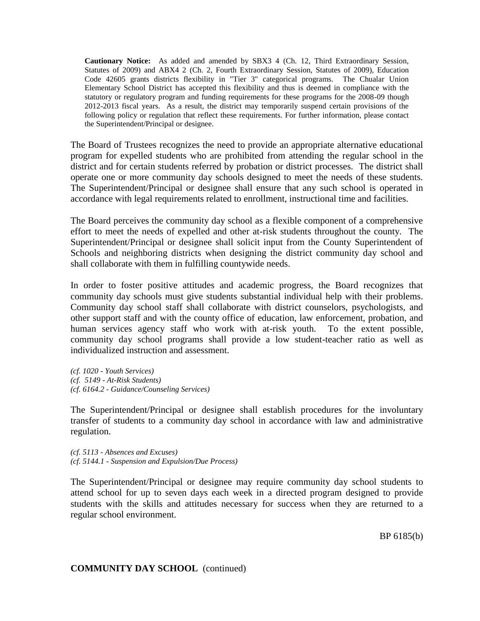**Cautionary Notice:** As added and amended by SBX3 4 (Ch. 12, Third Extraordinary Session, Statutes of 2009) and ABX4 2 (Ch. 2, Fourth Extraordinary Session, Statutes of 2009), Education Code 42605 grants districts flexibility in "Tier 3" categorical programs. The Chualar Union Elementary School District has accepted this flexibility and thus is deemed in compliance with the statutory or regulatory program and funding requirements for these programs for the 2008-09 though 2012-2013 fiscal years. As a result, the district may temporarily suspend certain provisions of the following policy or regulation that reflect these requirements. For further information, please contact the Superintendent/Principal or designee.

The Board of Trustees recognizes the need to provide an appropriate alternative educational program for expelled students who are prohibited from attending the regular school in the district and for certain students referred by probation or district processes. The district shall operate one or more community day schools designed to meet the needs of these students. The Superintendent/Principal or designee shall ensure that any such school is operated in accordance with legal requirements related to enrollment, instructional time and facilities.

The Board perceives the community day school as a flexible component of a comprehensive effort to meet the needs of expelled and other at-risk students throughout the county. The Superintendent/Principal or designee shall solicit input from the County Superintendent of Schools and neighboring districts when designing the district community day school and shall collaborate with them in fulfilling countywide needs.

In order to foster positive attitudes and academic progress, the Board recognizes that community day schools must give students substantial individual help with their problems. Community day school staff shall collaborate with district counselors, psychologists, and other support staff and with the county office of education, law enforcement, probation, and human services agency staff who work with at-risk youth. To the extent possible, community day school programs shall provide a low student-teacher ratio as well as individualized instruction and assessment.

*(cf. 1020 - Youth Services) (cf. 5149 - At-Risk Students) (cf. 6164.2 - Guidance/Counseling Services)*

The Superintendent/Principal or designee shall establish procedures for the involuntary transfer of students to a community day school in accordance with law and administrative regulation.

*(cf. 5113 - Absences and Excuses) (cf. 5144.1 - Suspension and Expulsion/Due Process)*

The Superintendent/Principal or designee may require community day school students to attend school for up to seven days each week in a directed program designed to provide students with the skills and attitudes necessary for success when they are returned to a regular school environment.

BP 6185(b)

## **COMMUNITY DAY SCHOOL** (continued)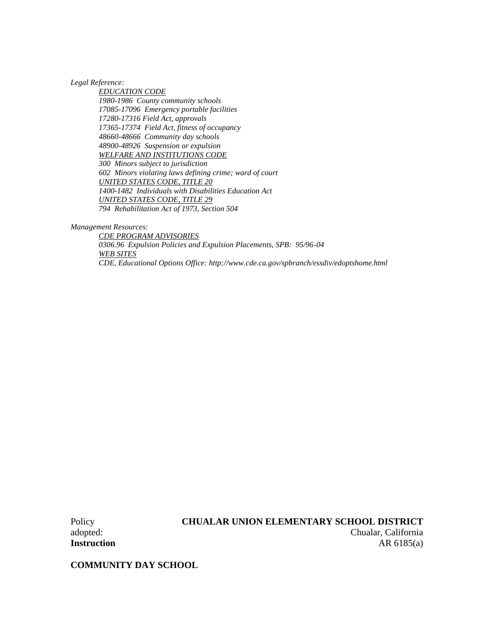*Legal Reference:*

*EDUCATION CODE 1980-1986 County community schools 17085-17096 Emergency portable facilities 17280-17316 Field Act, approvals 17365-17374 Field Act, fitness of occupancy 48660-48666 Community day schools 48900-48926 Suspension or expulsion WELFARE AND INSTITUTIONS CODE 300 Minors subject to jurisdiction 602 Minors violating laws defining crime; ward of court UNITED STATES CODE, TITLE 20 1400-1482 Individuals with Disabilities Education Act UNITED STATES CODE, TITLE 29 794 Rehabilitation Act of 1973, Section 504*

*Management Resources:*

*CDE PROGRAM ADVISORIES 0306.96 Expulsion Policies and Expulsion Placements, SPB: 95/96-04 WEB SITES CDE, Educational Options Office: http://www.cde.ca.gov/spbranch/essdiv/edoptshome.html*

## Policy **CHUALAR UNION ELEMENTARY SCHOOL DISTRICT** adopted: Chualar, California **Instruction** AR 6185(a)

**COMMUNITY DAY SCHOOL**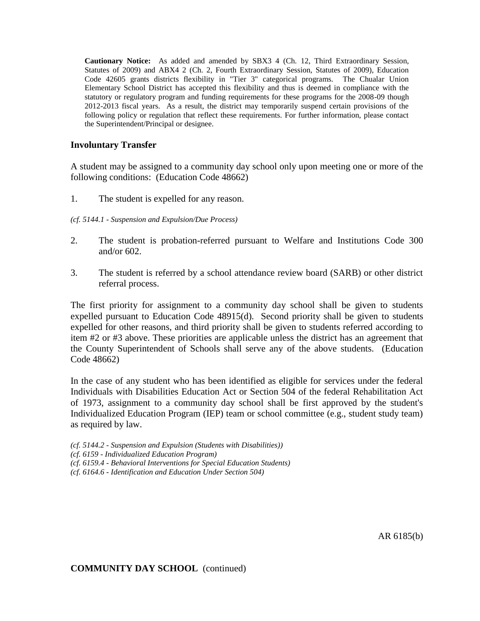**Cautionary Notice:** As added and amended by SBX3 4 (Ch. 12, Third Extraordinary Session, Statutes of 2009) and ABX4 2 (Ch. 2, Fourth Extraordinary Session, Statutes of 2009), Education Code 42605 grants districts flexibility in "Tier 3" categorical programs. The Chualar Union Elementary School District has accepted this flexibility and thus is deemed in compliance with the statutory or regulatory program and funding requirements for these programs for the 2008-09 though 2012-2013 fiscal years. As a result, the district may temporarily suspend certain provisions of the following policy or regulation that reflect these requirements. For further information, please contact the Superintendent/Principal or designee.

#### **Involuntary Transfer**

A student may be assigned to a community day school only upon meeting one or more of the following conditions: (Education Code 48662)

- 1. The student is expelled for any reason.
- *(cf. 5144.1 - Suspension and Expulsion/Due Process)*
- 2. The student is probation-referred pursuant to Welfare and Institutions Code 300 and/or 602.
- 3. The student is referred by a school attendance review board (SARB) or other district referral process.

The first priority for assignment to a community day school shall be given to students expelled pursuant to Education Code 48915(d). Second priority shall be given to students expelled for other reasons, and third priority shall be given to students referred according to item #2 or #3 above. These priorities are applicable unless the district has an agreement that the County Superintendent of Schools shall serve any of the above students. (Education Code 48662)

In the case of any student who has been identified as eligible for services under the federal Individuals with Disabilities Education Act or Section 504 of the federal Rehabilitation Act of 1973, assignment to a community day school shall be first approved by the student's Individualized Education Program (IEP) team or school committee (e.g., student study team) as required by law.

- *(cf. 5144.2 - Suspension and Expulsion (Students with Disabilities))*
- *(cf. 6159 - Individualized Education Program)*
- *(cf. 6159.4 - Behavioral Interventions for Special Education Students)*
- *(cf. 6164.6 - Identification and Education Under Section 504)*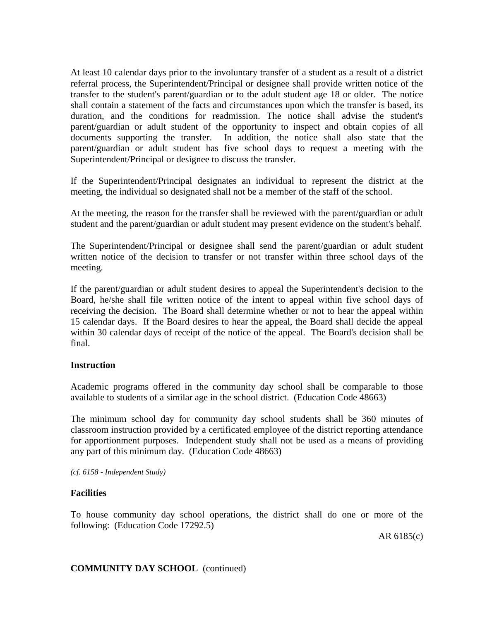At least 10 calendar days prior to the involuntary transfer of a student as a result of a district referral process, the Superintendent/Principal or designee shall provide written notice of the transfer to the student's parent/guardian or to the adult student age 18 or older. The notice shall contain a statement of the facts and circumstances upon which the transfer is based, its duration, and the conditions for readmission. The notice shall advise the student's parent/guardian or adult student of the opportunity to inspect and obtain copies of all documents supporting the transfer. In addition, the notice shall also state that the parent/guardian or adult student has five school days to request a meeting with the Superintendent/Principal or designee to discuss the transfer.

If the Superintendent/Principal designates an individual to represent the district at the meeting, the individual so designated shall not be a member of the staff of the school.

At the meeting, the reason for the transfer shall be reviewed with the parent/guardian or adult student and the parent/guardian or adult student may present evidence on the student's behalf.

The Superintendent/Principal or designee shall send the parent/guardian or adult student written notice of the decision to transfer or not transfer within three school days of the meeting.

If the parent/guardian or adult student desires to appeal the Superintendent's decision to the Board, he/she shall file written notice of the intent to appeal within five school days of receiving the decision. The Board shall determine whether or not to hear the appeal within 15 calendar days. If the Board desires to hear the appeal, the Board shall decide the appeal within 30 calendar days of receipt of the notice of the appeal. The Board's decision shall be final.

## **Instruction**

Academic programs offered in the community day school shall be comparable to those available to students of a similar age in the school district. (Education Code 48663)

The minimum school day for community day school students shall be 360 minutes of classroom instruction provided by a certificated employee of the district reporting attendance for apportionment purposes. Independent study shall not be used as a means of providing any part of this minimum day. (Education Code 48663)

*(cf. 6158 - Independent Study)*

## **Facilities**

To house community day school operations, the district shall do one or more of the following: (Education Code 17292.5)

AR 6185(c)

## **COMMUNITY DAY SCHOOL** (continued)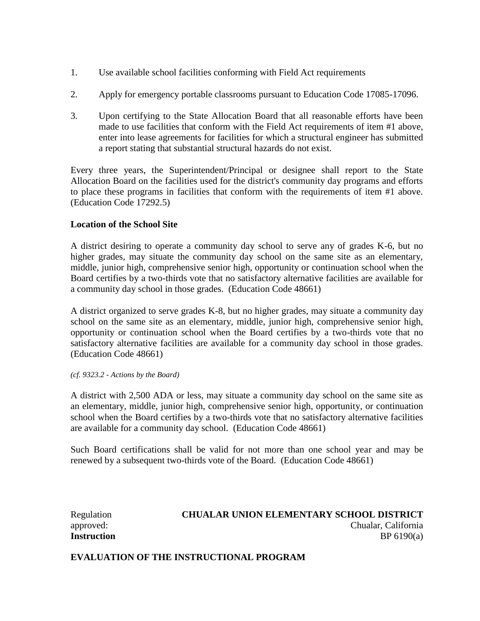- 1. Use available school facilities conforming with Field Act requirements
- 2. Apply for emergency portable classrooms pursuant to Education Code 17085-17096.
- 3. Upon certifying to the State Allocation Board that all reasonable efforts have been made to use facilities that conform with the Field Act requirements of item #1 above, enter into lease agreements for facilities for which a structural engineer has submitted a report stating that substantial structural hazards do not exist.

Every three years, the Superintendent/Principal or designee shall report to the State Allocation Board on the facilities used for the district's community day programs and efforts to place these programs in facilities that conform with the requirements of item #1 above. (Education Code 17292.5)

## **Location of the School Site**

A district desiring to operate a community day school to serve any of grades K-6, but no higher grades, may situate the community day school on the same site as an elementary, middle, junior high, comprehensive senior high, opportunity or continuation school when the Board certifies by a two-thirds vote that no satisfactory alternative facilities are available for a community day school in those grades. (Education Code 48661)

A district organized to serve grades K-8, but no higher grades, may situate a community day school on the same site as an elementary, middle, junior high, comprehensive senior high, opportunity or continuation school when the Board certifies by a two-thirds vote that no satisfactory alternative facilities are available for a community day school in those grades. (Education Code 48661)

*(cf. 9323.2 - Actions by the Board)*

A district with 2,500 ADA or less, may situate a community day school on the same site as an elementary, middle, junior high, comprehensive senior high, opportunity, or continuation school when the Board certifies by a two-thirds vote that no satisfactory alternative facilities are available for a community day school. (Education Code 48661)

Such Board certifications shall be valid for not more than one school year and may be renewed by a subsequent two-thirds vote of the Board. (Education Code 48661)

## Regulation **CHUALAR UNION ELEMENTARY SCHOOL DISTRICT** approved: Chualar, California **Instruction** BP 6190(a)

**EVALUATION OF THE INSTRUCTIONAL PROGRAM**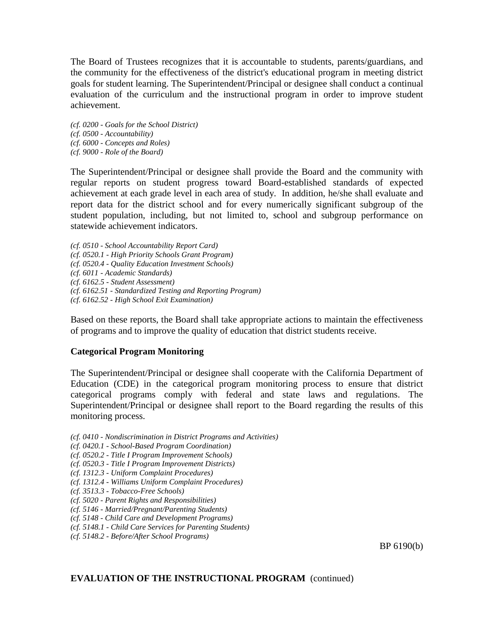The Board of Trustees recognizes that it is accountable to students, parents/guardians, and the community for the effectiveness of the district's educational program in meeting district goals for student learning. The Superintendent/Principal or designee shall conduct a continual evaluation of the curriculum and the instructional program in order to improve student achievement.

*(cf. 0200 - Goals for the School District) (cf. 0500 - Accountability) (cf. 6000 - Concepts and Roles) (cf. 9000 - Role of the Board)*

The Superintendent/Principal or designee shall provide the Board and the community with regular reports on student progress toward Board-established standards of expected achievement at each grade level in each area of study. In addition, he/she shall evaluate and report data for the district school and for every numerically significant subgroup of the student population, including, but not limited to, school and subgroup performance on statewide achievement indicators.

*(cf. 0510 - School Accountability Report Card) (cf. 0520.1 - High Priority Schools Grant Program) (cf. 0520.4 - Quality Education Investment Schools) (cf. 6011 - Academic Standards) (cf. 6162.5 - Student Assessment) (cf. 6162.51 - Standardized Testing and Reporting Program) (cf. 6162.52 - High School Exit Examination)*

Based on these reports, the Board shall take appropriate actions to maintain the effectiveness of programs and to improve the quality of education that district students receive.

## **Categorical Program Monitoring**

The Superintendent/Principal or designee shall cooperate with the California Department of Education (CDE) in the categorical program monitoring process to ensure that district categorical programs comply with federal and state laws and regulations. The Superintendent/Principal or designee shall report to the Board regarding the results of this monitoring process.

- *(cf. 0410 - Nondiscrimination in District Programs and Activities)*
- *(cf. 0420.1 - School-Based Program Coordination)*
- *(cf. 0520.2 - Title I Program Improvement Schools)*
- *(cf. 0520.3 - Title I Program Improvement Districts)*
- *(cf. 1312.3 - Uniform Complaint Procedures)*
- *(cf. 1312.4 - Williams Uniform Complaint Procedures)*
- *(cf. 3513.3 - Tobacco-Free Schools)*
- *(cf. 5020 - Parent Rights and Responsibilities)*
- *(cf. 5146 - Married/Pregnant/Parenting Students)*
- *(cf. 5148 - Child Care and Development Programs)*
- *(cf. 5148.1 - Child Care Services for Parenting Students)*
- *(cf. 5148.2 - Before/After School Programs)*

BP 6190(b)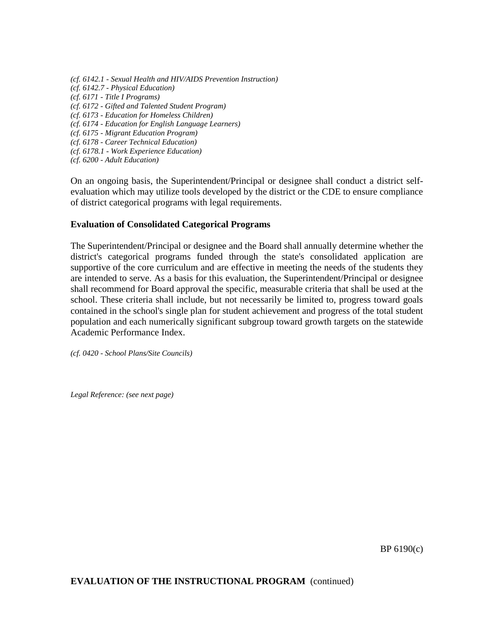*(cf. 6142.1 - Sexual Health and HIV/AIDS Prevention Instruction) (cf. 6142.7 - Physical Education) (cf. 6171 - Title I Programs) (cf. 6172 - Gifted and Talented Student Program) (cf. 6173 - Education for Homeless Children) (cf. 6174 - Education for English Language Learners) (cf. 6175 - Migrant Education Program) (cf. 6178 - Career Technical Education) (cf. 6178.1 - Work Experience Education) (cf. 6200 - Adult Education)*

On an ongoing basis, the Superintendent/Principal or designee shall conduct a district selfevaluation which may utilize tools developed by the district or the CDE to ensure compliance of district categorical programs with legal requirements.

## **Evaluation of Consolidated Categorical Programs**

The Superintendent/Principal or designee and the Board shall annually determine whether the district's categorical programs funded through the state's consolidated application are supportive of the core curriculum and are effective in meeting the needs of the students they are intended to serve. As a basis for this evaluation, the Superintendent/Principal or designee shall recommend for Board approval the specific, measurable criteria that shall be used at the school. These criteria shall include, but not necessarily be limited to, progress toward goals contained in the school's single plan for student achievement and progress of the total student population and each numerically significant subgroup toward growth targets on the statewide Academic Performance Index.

*(cf. 0420 - School Plans/Site Councils)*

*Legal Reference: (see next page)*

BP 6190(c)